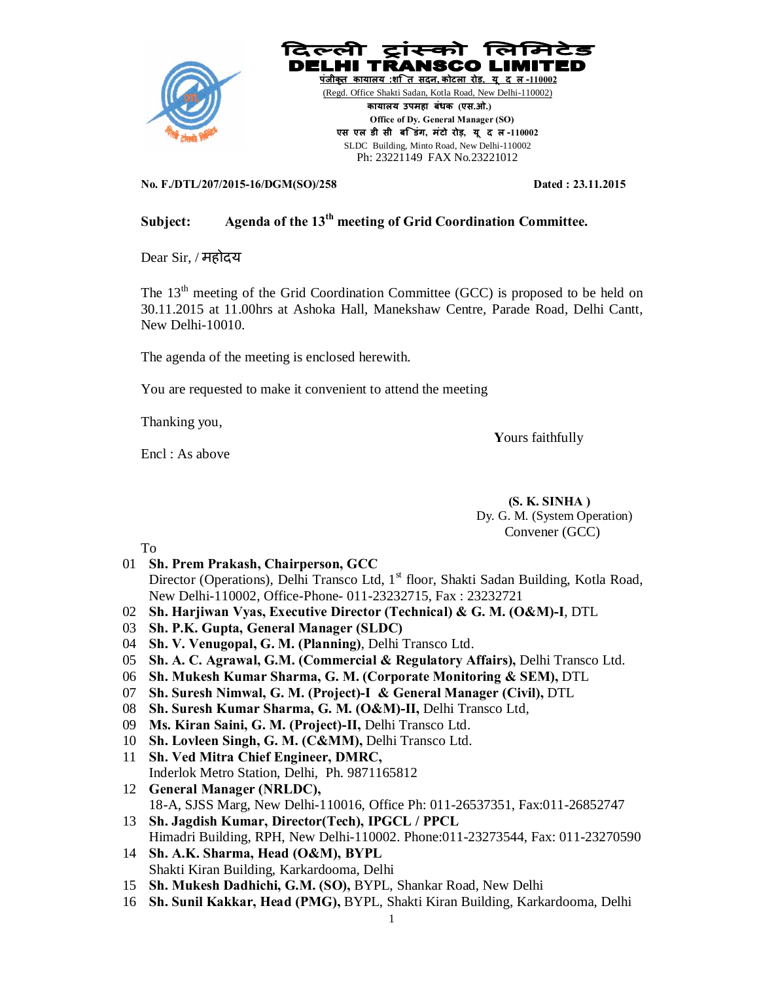

**No. F./DTL/207/2015-16/DGM(SO)/258 Dated : 23.11.2015** 

# **Subject: Agenda of the 13th meeting of Grid Coordination Committee.**

Dear Sir, / महोदय

The 13<sup>th</sup> meeting of the Grid Coordination Committee (GCC) is proposed to be held on 30.11.2015 at 11.00hrs at Ashoka Hall, Manekshaw Centre, Parade Road, Delhi Cantt, New Delhi-10010.

The agenda of the meeting is enclosed herewith.

You are requested to make it convenient to attend the meeting

Thanking you,

**Y**ours faithfully

Encl : As above

 **(S. K. SINHA )** Dy. G. M. (System Operation) Convener (GCC)

To

- 01 **Sh. Prem Prakash, Chairperson, GCC** Director (Operations), Delhi Transco Ltd,  $1<sup>st</sup>$  floor, Shakti Sadan Building, Kotla Road, New Delhi-110002, Office-Phone- 011-23232715, Fax : 23232721
- 02 **Sh. Harjiwan Vyas, Executive Director (Technical) & G. M. (O&M)-I**, DTL
- 03 **Sh. P.K. Gupta, General Manager (SLDC)**
- 04 **Sh. V. Venugopal, G. M. (Planning)**, Delhi Transco Ltd.
- 05 **Sh. A. C. Agrawal, G.M. (Commercial & Regulatory Affairs),** Delhi Transco Ltd.
- 06 **Sh. Mukesh Kumar Sharma, G. M. (Corporate Monitoring & SEM),** DTL
- 07 **Sh. Suresh Nimwal, G. M. (Project)-I & General Manager (Civil),** DTL
- 08 **Sh. Suresh Kumar Sharma, G. M. (O&M)-II,** Delhi Transco Ltd,
- 09 **Ms. Kiran Saini, G. M. (Project)-II,** Delhi Transco Ltd.
- 10 **Sh. Lovleen Singh, G. M. (C&MM),** Delhi Transco Ltd.
- 11 **Sh. Ved Mitra Chief Engineer, DMRC,** Inderlok Metro Station, Delhi, Ph. 9871165812
- 12 **General Manager (NRLDC),** 18-A, SJSS Marg, New Delhi-110016, Office Ph: 011-26537351, Fax:011-26852747
- 13 **Sh. Jagdish Kumar, Director(Tech), IPGCL / PPCL** Himadri Building, RPH, New Delhi-110002. Phone:011-23273544, Fax: 011-23270590
- 14 **Sh. A.K. Sharma, Head (O&M), BYPL** Shakti Kiran Building, Karkardooma, Delhi
- 15 **Sh. Mukesh Dadhichi, G.M. (SO),** BYPL, Shankar Road, New Delhi
- 16 **Sh. Sunil Kakkar, Head (PMG),** BYPL, Shakti Kiran Building, Karkardooma, Delhi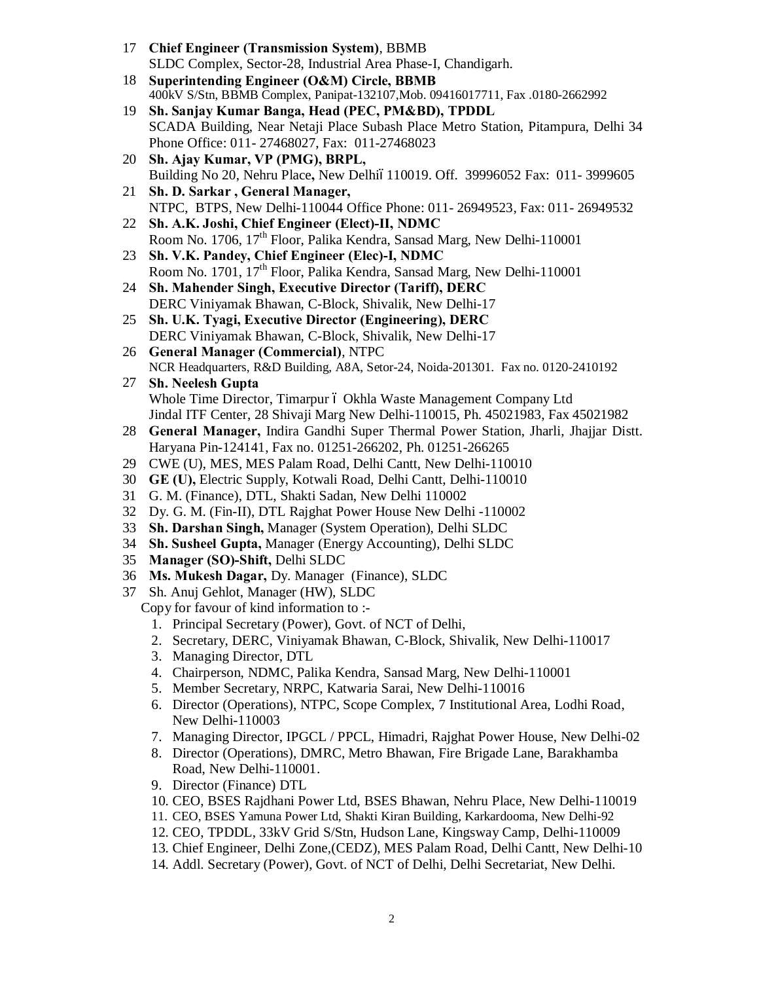- 17 **Chief Engineer (Transmission System)**, BBMB SLDC Complex, Sector-28, Industrial Area Phase-I, Chandigarh.
- 18 **Superintending Engineer (O&M) Circle, BBMB** 400kV S/Stn, BBMB Complex, Panipat-132107,Mob. 09416017711, Fax .0180-2662992
- 19 **Sh. Sanjay Kumar Banga, Head (PEC, PM&BD), TPDDL** SCADA Building, Near Netaji Place Subash Place Metro Station, Pitampura, Delhi 34 Phone Office: 011- 27468027, Fax: 011-27468023
- 20 **Sh. Ajay Kumar, VP (PMG), BRPL,**  Building No 20, Nehru Place**,** New Delhi–110019. Off. 39996052 Fax: 011- 3999605
- 21 **Sh. D. Sarkar , General Manager,** NTPC, BTPS, New Delhi-110044 Office Phone: 011- 26949523, Fax: 011- 26949532
- 22 **Sh. A.K. Joshi, Chief Engineer (Elect)-II, NDMC** Room No. 1706, 17<sup>th</sup> Floor, Palika Kendra, Sansad Marg, New Delhi-110001
- 23 **Sh. V.K. Pandey, Chief Engineer (Elec)-I, NDMC** Room No. 1701, 17th Floor, Palika Kendra, Sansad Marg, New Delhi-110001
- 24 **Sh. Mahender Singh, Executive Director (Tariff), DERC** DERC Viniyamak Bhawan, C-Block, Shivalik, New Delhi-17
- 25 **Sh. U.K. Tyagi, Executive Director (Engineering), DERC** DERC Viniyamak Bhawan, C-Block, Shivalik, New Delhi-17
- 26 **General Manager (Commercial)**, NTPC NCR Headquarters, R&D Building, A8A, Setor-24, Noida-201301. Fax no. 0120-2410192
- 27 **Sh. Neelesh Gupta** Whole Time Director, Timarpur ó Okhla Waste Management Company Ltd Jindal ITF Center, 28 Shivaji Marg New Delhi-110015, Ph. 45021983, Fax 45021982
- 28 **General Manager,** Indira Gandhi Super Thermal Power Station, Jharli, Jhajjar Distt. Haryana Pin-124141, Fax no. 01251-266202, Ph. 01251-266265
- 29 CWE (U), MES, MES Palam Road, Delhi Cantt, New Delhi-110010
- 30 **GE (U),** Electric Supply, Kotwali Road, Delhi Cantt, Delhi-110010
- 31 G. M. (Finance), DTL, Shakti Sadan, New Delhi 110002
- 32 Dy. G. M. (Fin-II), DTL Rajghat Power House New Delhi -110002
- 33 **Sh. Darshan Singh,** Manager (System Operation), Delhi SLDC
- 34 **Sh. Susheel Gupta,** Manager (Energy Accounting), Delhi SLDC
- 35 **Manager (SO)-Shift,** Delhi SLDC
- 36 **Ms. Mukesh Dagar,** Dy. Manager (Finance), SLDC
- 37 Sh. Anuj Gehlot, Manager (HW), SLDC

Copy for favour of kind information to :-

- 1. Principal Secretary (Power), Govt. of NCT of Delhi,
- 2. Secretary, DERC, Viniyamak Bhawan, C-Block, Shivalik, New Delhi-110017
- 3. Managing Director, DTL
- 4. Chairperson, NDMC, Palika Kendra, Sansad Marg, New Delhi-110001
- 5. Member Secretary, NRPC, Katwaria Sarai, New Delhi-110016
- 6. Director (Operations), NTPC, Scope Complex, 7 Institutional Area, Lodhi Road, New Delhi-110003
- 7. Managing Director, IPGCL / PPCL, Himadri, Rajghat Power House, New Delhi-02
- 8. Director (Operations), DMRC, Metro Bhawan, Fire Brigade Lane, Barakhamba Road, New Delhi-110001.
- 9. Director (Finance) DTL
- 10. CEO, BSES Rajdhani Power Ltd, BSES Bhawan, Nehru Place, New Delhi-110019
- 11. CEO, BSES Yamuna Power Ltd, Shakti Kiran Building, Karkardooma, New Delhi-92
- 12. CEO, TPDDL, 33kV Grid S/Stn, Hudson Lane, Kingsway Camp, Delhi-110009
- 13. Chief Engineer, Delhi Zone,(CEDZ), MES Palam Road, Delhi Cantt, New Delhi-10
- 14. Addl. Secretary (Power), Govt. of NCT of Delhi, Delhi Secretariat, New Delhi.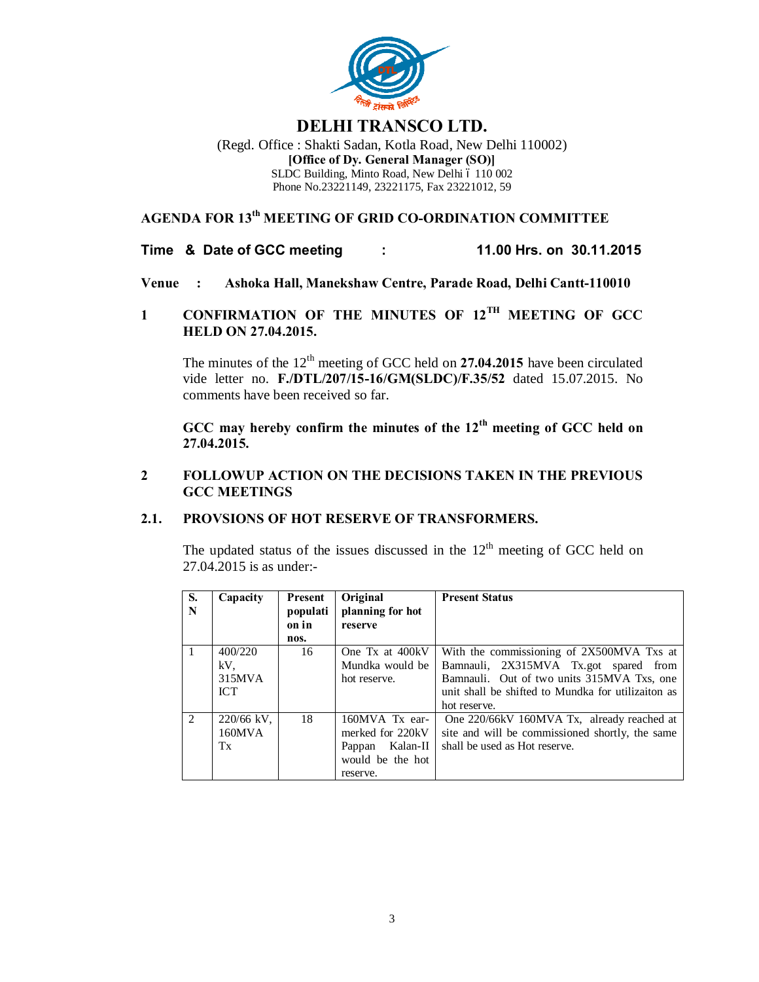

# **DELHI TRANSCO LTD.**

(Regd. Office : Shakti Sadan, Kotla Road, New Delhi 110002) **[Office of Dy. General Manager (SO)]** SLDC Building, Minto Road, New Delhi 6 110 002 Phone No.23221149, 23221175, Fax 23221012, 59

# **AGENDA FOR 13th MEETING OF GRID CO-ORDINATION COMMITTEE**

**Time & Date of GCC meeting : 11.00 Hrs. on 30.11.2015**

- **Venue : Ashoka Hall, Manekshaw Centre, Parade Road, Delhi Cantt-110010**
- **1 CONFIRMATION OF THE MINUTES OF 12TH MEETING OF GCC HELD ON 27.04.2015.**

The minutes of the 12<sup>th</sup> meeting of GCC held on **27.04.2015** have been circulated vide letter no. **F./DTL/207/15-16/GM(SLDC)/F.35/52** dated 15.07.2015. No comments have been received so far.

**GCC may hereby confirm the minutes of the 12th meeting of GCC held on 27.04.2015.**

## **2 FOLLOWUP ACTION ON THE DECISIONS TAKEN IN THE PREVIOUS GCC MEETINGS**

## **2.1. PROVSIONS OF HOT RESERVE OF TRANSFORMERS.**

The updated status of the issues discussed in the  $12<sup>th</sup>$  meeting of GCC held on 27.04.2015 is as under:-

| S.<br>N       | Capacity                               | Present<br>populati<br>on in<br>nos. | Original<br>planning for hot<br>reserve                                                  | <b>Present Status</b>                                                                                                                                                                                  |
|---------------|----------------------------------------|--------------------------------------|------------------------------------------------------------------------------------------|--------------------------------------------------------------------------------------------------------------------------------------------------------------------------------------------------------|
|               | 400/220<br>kV.<br>315MVA<br><b>ICT</b> | 16                                   | One Tx at 400kV<br>Mundka would be<br>hot reserve.                                       | With the commissioning of 2X500MVA Txs at<br>Bamnauli, 2X315MVA Tx.got spared from<br>Bamnauli. Out of two units 315MVA Txs, one<br>unit shall be shifted to Mundka for utilizaiton as<br>hot reserve. |
| $\mathcal{L}$ | 220/66 kV,<br>160MVA<br>Tx             | 18                                   | 160MVA Tx ear-<br>merked for 220kV<br>Kalan-II<br>Pappan<br>would be the hot<br>reserve. | One 220/66kV 160MVA Tx, already reached at<br>site and will be commissioned shortly, the same<br>shall be used as Hot reserve.                                                                         |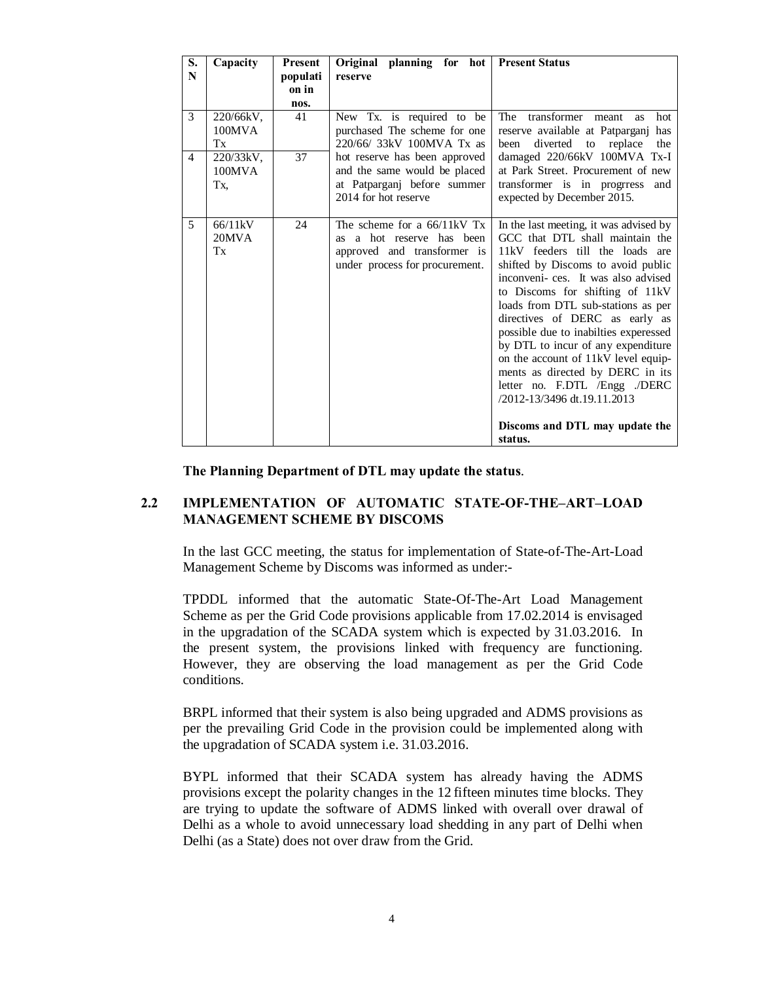| $\overline{\mathbf{S}}$ .<br>N | Capacity                                                   | <b>Present</b><br>populati | Original planning for hot<br>reserve                                                                                                                                                                           | <b>Present Status</b>                                                                                                                                                                                                                                                                                                                                                                                                                                                                                                                                           |
|--------------------------------|------------------------------------------------------------|----------------------------|----------------------------------------------------------------------------------------------------------------------------------------------------------------------------------------------------------------|-----------------------------------------------------------------------------------------------------------------------------------------------------------------------------------------------------------------------------------------------------------------------------------------------------------------------------------------------------------------------------------------------------------------------------------------------------------------------------------------------------------------------------------------------------------------|
|                                |                                                            | on in<br>nos.              |                                                                                                                                                                                                                |                                                                                                                                                                                                                                                                                                                                                                                                                                                                                                                                                                 |
| 3<br>$\overline{4}$            | 220/66kV,<br>$100$ MVA<br>Tx<br>220/33kV,<br>100MVA<br>Tx. | 41<br>37                   | New Tx. is required to be<br>purchased The scheme for one<br>220/66/ 33kV 100MVA Tx as<br>hot reserve has been approved<br>and the same would be placed<br>at Patparganj before summer<br>2014 for hot reserve | The<br>transformer<br>hot<br>meant<br><b>as</b><br>reserve available at Patparganj<br>has<br>diverted to replace<br>been<br>the<br>damaged 220/66kV 100MVA Tx-I<br>at Park Street. Procurement of new<br>transformer is in progress<br>and<br>expected by December 2015.                                                                                                                                                                                                                                                                                        |
| 5                              | 66/11kV<br>20MVA<br>Tx                                     | 24                         | The scheme for a $66/11kV$ Tx<br>as a hot reserve has been<br>approved and transformer is<br>under process for procurement.                                                                                    | In the last meeting, it was advised by<br>GCC that DTL shall maintain the<br>11kV feeders till the loads are<br>shifted by Discoms to avoid public<br>inconveni-ces. It was also advised<br>to Discoms for shifting of 11kV<br>loads from DTL sub-stations as per<br>directives of DERC as early as<br>possible due to inabilties experessed<br>by DTL to incur of any expenditure<br>on the account of 11kV level equip-<br>ments as directed by DERC in its<br>letter no. F.DTL /Engg ./DERC<br>/2012-13/3496 dt.19.11.2013<br>Discoms and DTL may update the |
|                                |                                                            |                            |                                                                                                                                                                                                                | status.                                                                                                                                                                                                                                                                                                                                                                                                                                                                                                                                                         |

**The Planning Department of DTL may update the status**.

## **2.2 IMPLEMENTATION OF AUTOMATIC STATE-OF-THE–ART–LOAD MANAGEMENT SCHEME BY DISCOMS**

In the last GCC meeting, the status for implementation of State-of-The-Art-Load Management Scheme by Discoms was informed as under:-

TPDDL informed that the automatic State-Of-The-Art Load Management Scheme as per the Grid Code provisions applicable from 17.02.2014 is envisaged in the upgradation of the SCADA system which is expected by 31.03.2016. In the present system, the provisions linked with frequency are functioning. However, they are observing the load management as per the Grid Code conditions.

BRPL informed that their system is also being upgraded and ADMS provisions as per the prevailing Grid Code in the provision could be implemented along with the upgradation of SCADA system i.e. 31.03.2016.

BYPL informed that their SCADA system has already having the ADMS provisions except the polarity changes in the 12 fifteen minutes time blocks. They are trying to update the software of ADMS linked with overall over drawal of Delhi as a whole to avoid unnecessary load shedding in any part of Delhi when Delhi (as a State) does not over draw from the Grid.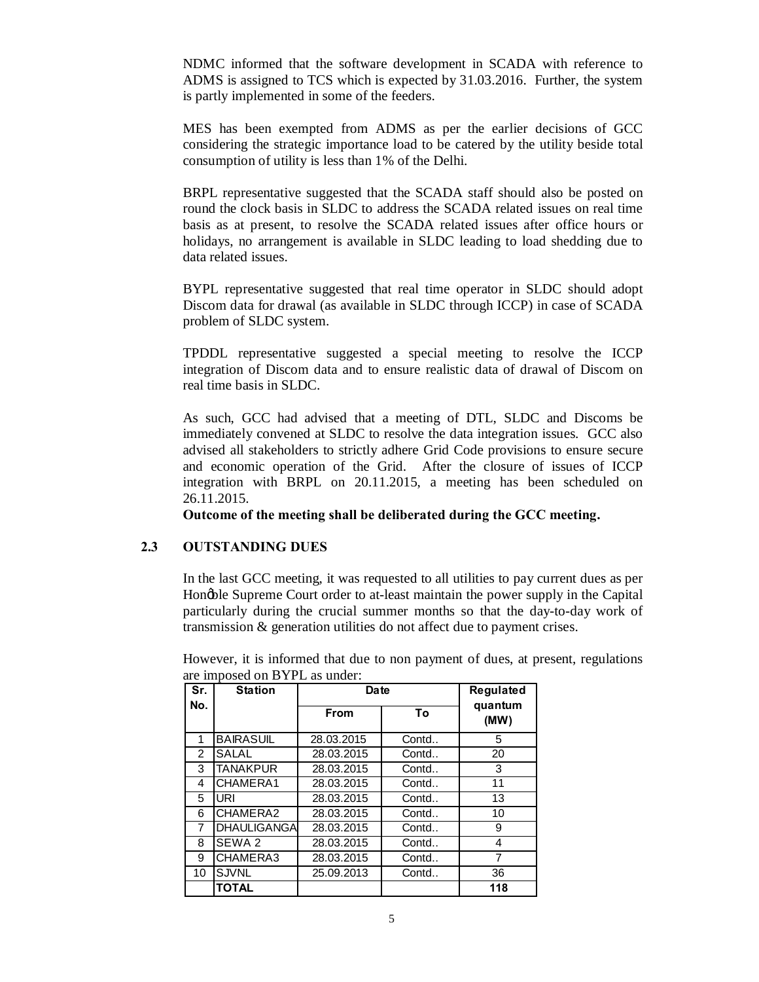NDMC informed that the software development in SCADA with reference to ADMS is assigned to TCS which is expected by 31.03.2016. Further, the system is partly implemented in some of the feeders.

MES has been exempted from ADMS as per the earlier decisions of GCC considering the strategic importance load to be catered by the utility beside total consumption of utility is less than 1% of the Delhi.

BRPL representative suggested that the SCADA staff should also be posted on round the clock basis in SLDC to address the SCADA related issues on real time basis as at present, to resolve the SCADA related issues after office hours or holidays, no arrangement is available in SLDC leading to load shedding due to data related issues.

BYPL representative suggested that real time operator in SLDC should adopt Discom data for drawal (as available in SLDC through ICCP) in case of SCADA problem of SLDC system.

TPDDL representative suggested a special meeting to resolve the ICCP integration of Discom data and to ensure realistic data of drawal of Discom on real time basis in SLDC.

As such, GCC had advised that a meeting of DTL, SLDC and Discoms be immediately convened at SLDC to resolve the data integration issues. GCC also advised all stakeholders to strictly adhere Grid Code provisions to ensure secure and economic operation of the Grid. After the closure of issues of ICCP integration with BRPL on 20.11.2015, a meeting has been scheduled on 26.11.2015.

**Outcome of the meeting shall be deliberated during the GCC meeting.**

### **2.3 OUTSTANDING DUES**

In the last GCC meeting, it was requested to all utilities to pay current dues as per Honoble Supreme Court order to at-least maintain the power supply in the Capital particularly during the crucial summer months so that the day-to-day work of transmission & generation utilities do not affect due to payment crises.

| Sr.            | <b>Station</b>     | Date        | <b>Regulated</b> |                 |
|----------------|--------------------|-------------|------------------|-----------------|
| No.            |                    | <b>From</b> | To               | quantum<br>(MW) |
| 1              | <b>BAIRASUIL</b>   | 28.03.2015  | Contd            | 5               |
| $\overline{2}$ | <b>SALAL</b>       | 28.03.2015  | Contd            | 20              |
| 3              | <b>TANAKPUR</b>    | 28.03.2015  | Contd            | 3               |
| 4              | CHAMERA1           | 28.03.2015  | Contd            | 11              |
| 5              | <b>URI</b>         | 28.03.2015  | Contd            | 13              |
| 6              | CHAMERA2           | 28.03.2015  | Contd            | 10              |
| 7              | <b>DHAULIGANGA</b> | 28.03.2015  | Contd            | 9               |
| 8              | SEWA 2             | 28.03.2015  | Contd            | 4               |
| 9              | CHAMERA3           | 28.03.2015  | Contd            | 7               |
| 10             | <b>SJVNL</b>       | 25.09.2013  | Contd            | 36              |
|                | <b>TOTAL</b>       |             |                  | 118             |

However, it is informed that due to non payment of dues, at present, regulations are imposed on BYPL as under: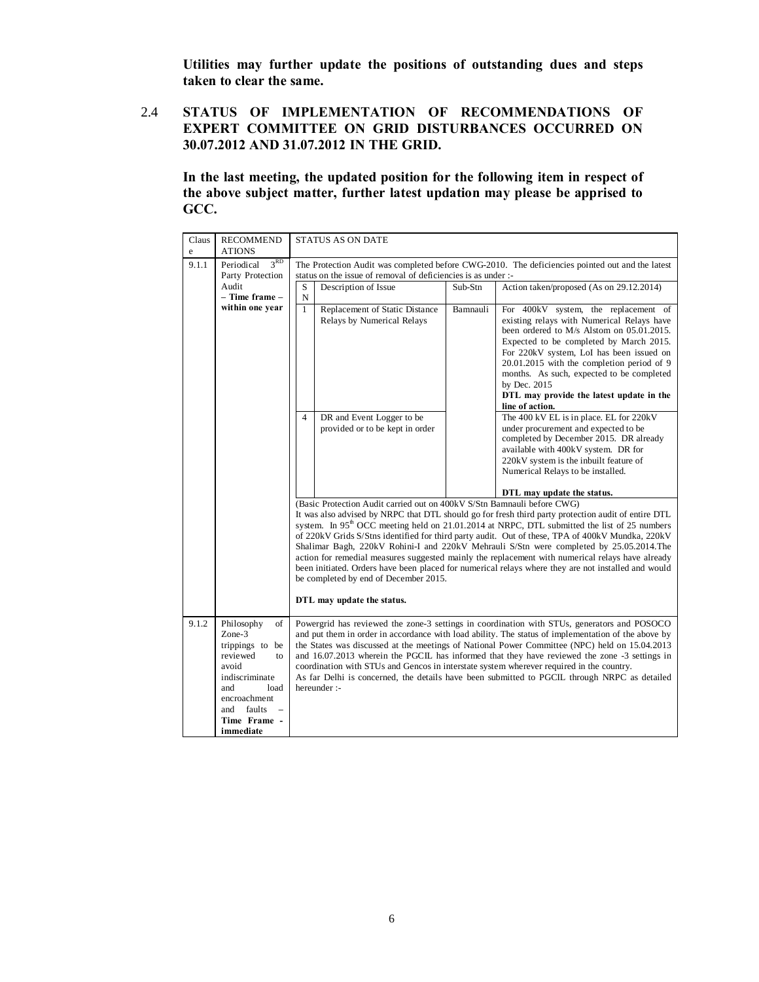**Utilities may further update the positions of outstanding dues and steps taken to clear the same.**

## 2.4 **STATUS OF IMPLEMENTATION OF RECOMMENDATIONS OF EXPERT COMMITTEE ON GRID DISTURBANCES OCCURRED ON 30.07.2012 AND 31.07.2012 IN THE GRID.**

**In the last meeting, the updated position for the following item in respect of the above subject matter, further latest updation may please be apprised to GCC.**

| Claus<br>e | <b>RECOMMEND</b><br><b>ATIONS</b>                                                                                                                                      | <b>STATUS AS ON DATE</b>                                                                                                                                                                                                                                                                                                                                                                                                                                                                                                                                                                                                                                                                                                                       |  |  |  |  |  |  |  |
|------------|------------------------------------------------------------------------------------------------------------------------------------------------------------------------|------------------------------------------------------------------------------------------------------------------------------------------------------------------------------------------------------------------------------------------------------------------------------------------------------------------------------------------------------------------------------------------------------------------------------------------------------------------------------------------------------------------------------------------------------------------------------------------------------------------------------------------------------------------------------------------------------------------------------------------------|--|--|--|--|--|--|--|
| 9.1.1      | 3 <sup>RD</sup><br>Periodical<br>Party Protection                                                                                                                      | The Protection Audit was completed before CWG-2010. The deficiencies pointed out and the latest<br>status on the issue of removal of deficiencies is as under :-                                                                                                                                                                                                                                                                                                                                                                                                                                                                                                                                                                               |  |  |  |  |  |  |  |
|            | Audit<br>- Time frame -                                                                                                                                                | S<br>Description of Issue<br>Sub-Stn<br>Action taken/proposed (As on 29.12.2014)<br>N                                                                                                                                                                                                                                                                                                                                                                                                                                                                                                                                                                                                                                                          |  |  |  |  |  |  |  |
|            | within one year                                                                                                                                                        | $\mathbf{1}$<br>Replacement of Static Distance<br>Bamnauli<br>For 400kV system, the replacement of<br>Relays by Numerical Relays<br>existing relays with Numerical Relays have<br>been ordered to M/s Alstom on 05.01.2015.<br>Expected to be completed by March 2015.<br>For 220kV system, LoI has been issued on<br>20.01.2015 with the completion period of 9<br>months. As such, expected to be completed<br>by Dec. 2015<br>DTL may provide the latest update in the<br>line of action.                                                                                                                                                                                                                                                   |  |  |  |  |  |  |  |
|            |                                                                                                                                                                        | The 400 kV EL is in place. EL for 220kV<br>$\overline{4}$<br>DR and Event Logger to be<br>provided or to be kept in order<br>under procurement and expected to be<br>completed by December 2015. DR already<br>available with 400kV system. DR for<br>220kV system is the inbuilt feature of<br>Numerical Relays to be installed.                                                                                                                                                                                                                                                                                                                                                                                                              |  |  |  |  |  |  |  |
|            |                                                                                                                                                                        | DTL may update the status.                                                                                                                                                                                                                                                                                                                                                                                                                                                                                                                                                                                                                                                                                                                     |  |  |  |  |  |  |  |
|            |                                                                                                                                                                        | (Basic Protection Audit carried out on 400kV S/Stn Bamnauli before CWG)<br>It was also advised by NRPC that DTL should go for fresh third party protection audit of entire DTL<br>system. In 95 <sup>th</sup> OCC meeting held on 21.01.2014 at NRPC, DTL submitted the list of 25 numbers<br>of 220kV Grids S/Stns identified for third party audit. Out of these, TPA of 400kV Mundka, 220kV<br>Shalimar Bagh, 220kV Rohini-I and 220kV Mehrauli S/Stn were completed by 25.05.2014. The<br>action for remedial measures suggested mainly the replacement with numerical relays have already<br>been initiated. Orders have been placed for numerical relays where they are not installed and would<br>be completed by end of December 2015. |  |  |  |  |  |  |  |
|            |                                                                                                                                                                        | DTL may update the status.                                                                                                                                                                                                                                                                                                                                                                                                                                                                                                                                                                                                                                                                                                                     |  |  |  |  |  |  |  |
| 9.1.2      | Philosophy<br>of<br>$Zone-3$<br>trippings to be<br>reviewed<br>to<br>avoid<br>indiscriminate<br>load<br>and<br>encroachment<br>and faults<br>Time Frame -<br>immediate | Powergrid has reviewed the zone-3 settings in coordination with STUs, generators and POSOCO<br>and put them in order in accordance with load ability. The status of implementation of the above by<br>the States was discussed at the meetings of National Power Committee (NPC) held on 15.04.2013<br>and 16.07.2013 wherein the PGCIL has informed that they have reviewed the zone -3 settings in<br>coordination with STUs and Gencos in interstate system wherever required in the country.<br>As far Delhi is concerned, the details have been submitted to PGCIL through NRPC as detailed<br>hereunder :-                                                                                                                               |  |  |  |  |  |  |  |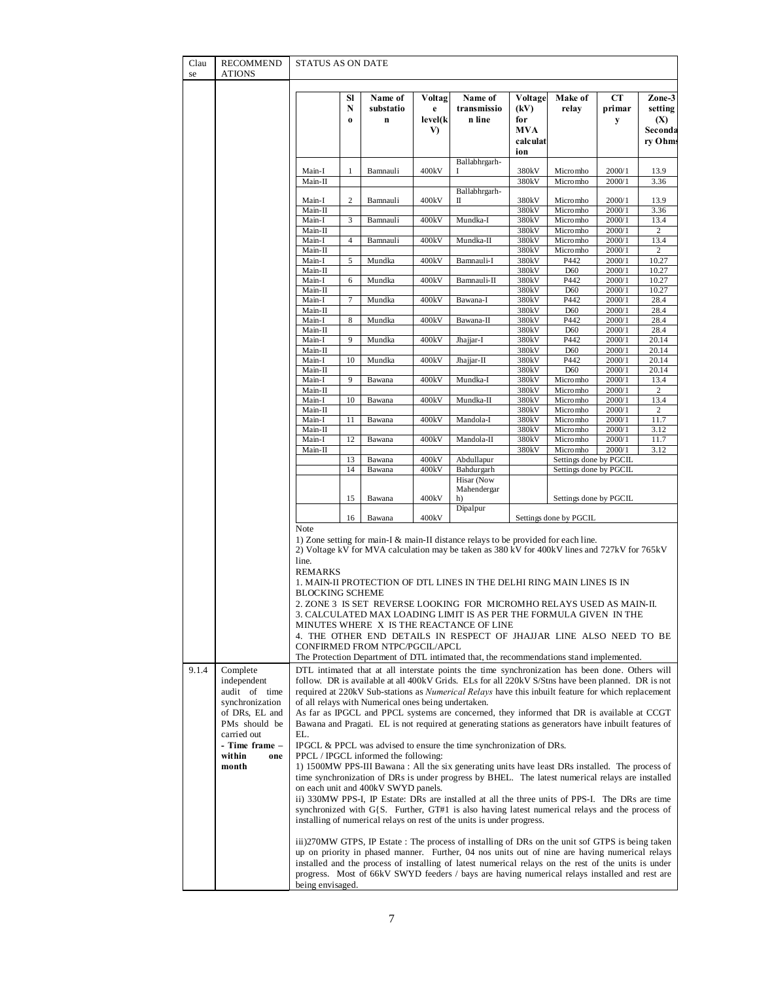| Clau<br>se | RECOMMEND<br><b>ATIONS</b>                         | <b>STATUS AS ON DATE</b>                           |                     |                                                                             |                              |                                                                                                                                                                                                                                                                                                                                                                                                                                                                                                                                                                  |                                                         |                         |                   |                                                |
|------------|----------------------------------------------------|----------------------------------------------------|---------------------|-----------------------------------------------------------------------------|------------------------------|------------------------------------------------------------------------------------------------------------------------------------------------------------------------------------------------------------------------------------------------------------------------------------------------------------------------------------------------------------------------------------------------------------------------------------------------------------------------------------------------------------------------------------------------------------------|---------------------------------------------------------|-------------------------|-------------------|------------------------------------------------|
|            |                                                    |                                                    | SI<br>N<br>$\bf{0}$ | Name of<br>substatio<br>$\mathbf{n}$                                        | Voltag<br>e<br>level(k<br>V) | Name of<br>transmissio<br>n line                                                                                                                                                                                                                                                                                                                                                                                                                                                                                                                                 | Voltage<br>(kV)<br>for<br><b>MVA</b><br>calculat<br>ion | Make of<br>relay        | CТ<br>primar<br>у | Zone-3<br>setting<br>(X)<br>Seconda<br>ry Ohms |
|            |                                                    | Main-I<br>Main-II                                  | $\mathbf{1}$        | Bamnauli                                                                    | 400kV                        | Ballabhrgarh-                                                                                                                                                                                                                                                                                                                                                                                                                                                                                                                                                    | 380kV<br>380kV                                          | Micromho<br>Micromho    | 2000/1<br>2000/1  | 13.9<br>3.36                                   |
|            |                                                    |                                                    |                     |                                                                             |                              | Ballabhrgarh-                                                                                                                                                                                                                                                                                                                                                                                                                                                                                                                                                    |                                                         |                         |                   |                                                |
|            |                                                    | Main-I<br>Main-II                                  | 2                   | Bamnauli                                                                    | 400kV                        | п                                                                                                                                                                                                                                                                                                                                                                                                                                                                                                                                                                | 380kV<br>380kV                                          | Micromho<br>Micromho    | 2000/1<br>2000/1  | 13.9<br>3.36                                   |
|            |                                                    | Main-I                                             | 3                   | Bamnauli                                                                    | 400kV                        | Mundka-I                                                                                                                                                                                                                                                                                                                                                                                                                                                                                                                                                         | 380kV                                                   | Micromho<br>Micromho    | 2000/1<br>2000/1  | 13.4<br>2                                      |
|            |                                                    | Main-II<br>Main-I                                  | $\overline{4}$      | Bamnauli                                                                    | 400kV                        | Mundka-II                                                                                                                                                                                                                                                                                                                                                                                                                                                                                                                                                        | 380kV<br>380kV                                          | Micromho                | 2000/1            | 13.4                                           |
|            |                                                    | Main-II<br>Main-I                                  | 5                   | Mundka                                                                      | 400kV                        | Bamnauli-I                                                                                                                                                                                                                                                                                                                                                                                                                                                                                                                                                       | 380kV<br>380kV                                          | Micromho<br>P442        | 2000/1<br>2000/1  | 2<br>10.27                                     |
|            |                                                    | Main-II                                            |                     |                                                                             |                              |                                                                                                                                                                                                                                                                                                                                                                                                                                                                                                                                                                  | 380 <sub>k</sub> V                                      | D60                     | 2000/1            | 10.27                                          |
|            |                                                    | Main-I<br>Main-II                                  | 6                   | Mundka                                                                      | 400kV                        | Bamnauli-II                                                                                                                                                                                                                                                                                                                                                                                                                                                                                                                                                      | 380kV<br>380kV                                          | P442<br>D <sub>60</sub> | 2000/1<br>2000/1  | 10.27<br>10.27                                 |
|            |                                                    | Main-I<br>Main-II                                  | 7                   | Mundka                                                                      | 400kV                        | Bawana-I                                                                                                                                                                                                                                                                                                                                                                                                                                                                                                                                                         | 380kV<br>380 <sub>k</sub> V                             | P442<br>D60             | 2000/1<br>2000/1  | 28.4<br>28.4                                   |
|            |                                                    | Main-I                                             | 8                   | Mundka                                                                      | 400kV                        | Bawana-II                                                                                                                                                                                                                                                                                                                                                                                                                                                                                                                                                        | 380kV                                                   | P442                    | 2000/1            | 28.4                                           |
|            |                                                    | Main-II<br>Main-I                                  | 9                   | Mundka                                                                      | 400kV                        | Jhajjar-I                                                                                                                                                                                                                                                                                                                                                                                                                                                                                                                                                        | 380kV<br>380kV                                          | D60<br>P442             | 2000/1<br>2000/1  | 28.4<br>20.14                                  |
|            |                                                    | Main-II                                            |                     |                                                                             |                              |                                                                                                                                                                                                                                                                                                                                                                                                                                                                                                                                                                  | 380kV                                                   | D60                     | 2000/1            | 20.14                                          |
|            |                                                    | Main-I<br>Main-II                                  | 10                  | Mundka                                                                      | 400kV                        | Jhajjar-II                                                                                                                                                                                                                                                                                                                                                                                                                                                                                                                                                       | 380kV<br>380kV                                          | P442<br>D60             | 2000/1<br>2000/1  | 20.14<br>20.14                                 |
|            |                                                    | Main-I                                             | 9                   | Bawana                                                                      | 400kV                        | Mundka-I                                                                                                                                                                                                                                                                                                                                                                                                                                                                                                                                                         | 380kV                                                   | Micromho                | 2000/1            | 13.4                                           |
|            |                                                    | Main-II<br>Main-I                                  | 10                  | Bawana                                                                      | 400kV                        | Mundka-II                                                                                                                                                                                                                                                                                                                                                                                                                                                                                                                                                        | 380kV<br>380kV                                          | Micromho<br>Micromho    | 2000/1<br>2000/1  | $\overline{c}$<br>13.4                         |
|            |                                                    | Main-II<br>Main-I                                  | 11                  | Bawana                                                                      | 400kV                        | Mandola-I                                                                                                                                                                                                                                                                                                                                                                                                                                                                                                                                                        | 380kV<br>380kV                                          | Micromho<br>Micromho    | 2000/1<br>2000/1  | 2<br>11.7                                      |
|            |                                                    | Main-II                                            |                     |                                                                             |                              |                                                                                                                                                                                                                                                                                                                                                                                                                                                                                                                                                                  | 380kV                                                   | Micromho                | 2000/1            | 3.12                                           |
|            |                                                    | Main-I<br>Main-II                                  | 12                  | Bawana                                                                      | 400kV                        | Mandola-II                                                                                                                                                                                                                                                                                                                                                                                                                                                                                                                                                       | 380kV<br>380 <sub>k</sub> V                             | Micromho<br>Micromho    | 2000/1<br>2000/1  | 11.7<br>3.12                                   |
|            |                                                    |                                                    | 13<br>14            | Bawana                                                                      | 400kV                        | Abdullapur                                                                                                                                                                                                                                                                                                                                                                                                                                                                                                                                                       |                                                         | Settings done by PGCIL  |                   |                                                |
|            |                                                    |                                                    |                     | Bawana                                                                      | 400kV                        | Bahdurgarh<br>Hisar (Now                                                                                                                                                                                                                                                                                                                                                                                                                                                                                                                                         |                                                         | Settings done by PGCIL  |                   |                                                |
|            |                                                    |                                                    | 15                  | Bawana                                                                      | 400kV                        | Mahendergar<br>h)                                                                                                                                                                                                                                                                                                                                                                                                                                                                                                                                                |                                                         | Settings done by PGCIL  |                   |                                                |
|            |                                                    |                                                    | 16                  | Bawana                                                                      | 400kV                        | Dipalpur                                                                                                                                                                                                                                                                                                                                                                                                                                                                                                                                                         |                                                         | Settings done by PGCIL  |                   |                                                |
|            |                                                    | Note<br>line.<br>REMARKS<br><b>BLOCKING SCHEME</b> |                     |                                                                             |                              | 1) Zone setting for main-I $\&$ main-II distance relays to be provided for each line.<br>2) Voltage kV for MVA calculation may be taken as 380 kV for 400 kV lines and 727 kV for 765 kV<br>1. MAIN-II PROTECTION OF DTL LINES IN THE DELHI RING MAIN LINES IS IN<br>2. ZONE 3 IS SET REVERSE LOOKING FOR MICROMHO RELAYS USED AS MAIN-II.<br>3. CALCULATED MAX LOADING LIMIT IS AS PER THE FORMULA GIVEN  IN THE<br>MINUTES WHERE X IS THE REACTANCE OF LINE                                                                                                    |                                                         |                         |                   |                                                |
|            |                                                    |                                                    |                     | CONFIRMED FROM NTPC/PGCIL/APCL                                              |                              | 4. THE OTHER END DETAILS IN RESPECT OF JHAJJAR LINE ALSO NEED TO BE                                                                                                                                                                                                                                                                                                                                                                                                                                                                                              |                                                         |                         |                   |                                                |
| 9.1.4      | Complete<br>independent                            |                                                    |                     |                                                                             |                              | The Protection Department of DTL intimated that, the recommendations stand implemented.<br>DTL intimated that at all interstate points the time synchronization has been done. Others will<br>follow. DR is available at all 400kV Grids. ELs for all 220kV S/Stns have been planned. DR is not                                                                                                                                                                                                                                                                  |                                                         |                         |                   |                                                |
|            | audit of time<br>synchronization<br>of DRs, EL and |                                                    |                     | of all relays with Numerical ones being undertaken.                         |                              | required at 220kV Sub-stations as <i>Numerical Relays</i> have this inbuilt feature for which replacement<br>As far as IPGCL and PPCL systems are concerned, they informed that DR is available at CCGT                                                                                                                                                                                                                                                                                                                                                          |                                                         |                         |                   |                                                |
|            | PMs should be<br>carried out                       | EL.                                                |                     |                                                                             |                              | Bawana and Pragati. EL is not required at generating stations as generators have inbuilt features of                                                                                                                                                                                                                                                                                                                                                                                                                                                             |                                                         |                         |                   |                                                |
|            | - Time frame -<br>within<br>one<br>month           |                                                    |                     | PPCL / IPGCL informed the following:<br>on each unit and 400kV SWYD panels. |                              | IPGCL & PPCL was advised to ensure the time synchronization of DRs.<br>1) 1500MW PPS-III Bawana : All the six generating units have least DRs installed. The process of<br>time synchronization of DRs is under progress by BHEL. The latest numerical relays are installed<br>ii) 330MW PPS-I, IP Estate: DRs are installed at all the three units of PPS-I. The DRs are time<br>synchronized with $G\{S$ . Further, $GT#1$ is also having latest numerical relays and the process of<br>installing of numerical relays on rest of the units is under progress. |                                                         |                         |                   |                                                |
|            |                                                    | being envisaged.                                   |                     |                                                                             |                              | iii)270MW GTPS, IP Estate: The process of installing of DRs on the unit sof GTPS is being taken<br>up on priority in phased manner. Further, 04 nos units out of nine are having numerical relays<br>installed and the process of installing of latest numerical relays on the rest of the units is under<br>progress. Most of 66kV SWYD feeders / bays are having numerical relays installed and rest are                                                                                                                                                       |                                                         |                         |                   |                                                |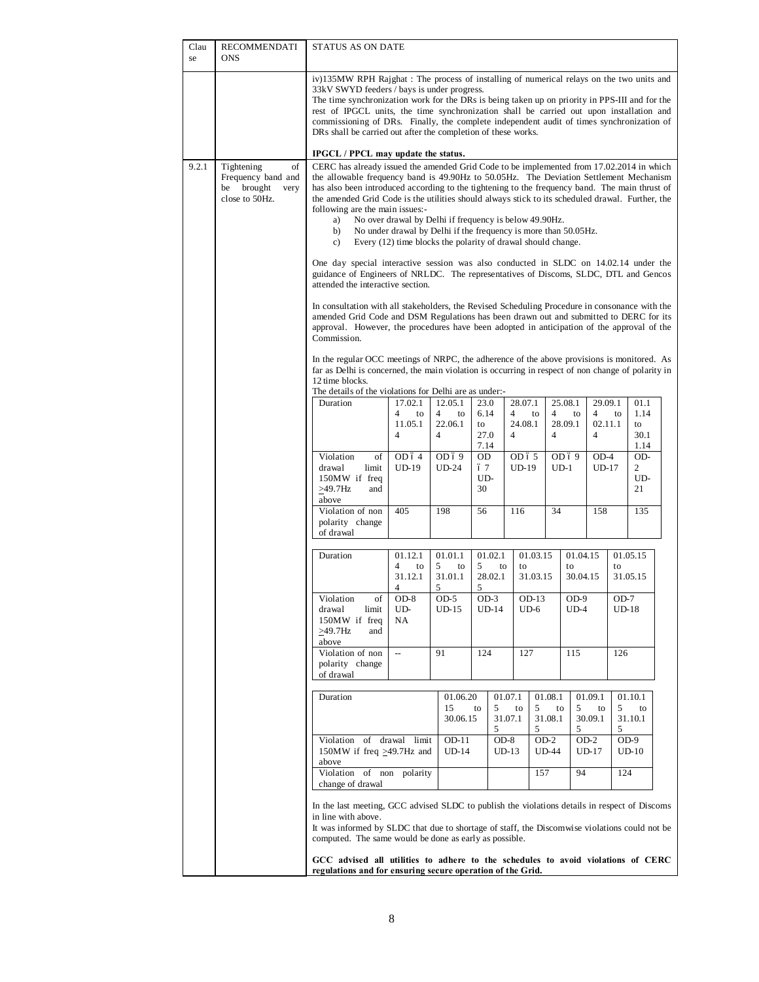| Clau<br>se | RECOMMENDATI<br><b>ONS</b>                                                        | <b>STATUS AS ON DATE</b>                                                                                                                                                                                                                                                                                                                                                                                                                                                                                                                                                                                                                                                                                                                                                  |                                                                                                                                                                                                                                                                                                                                                                                                                     |                                                              |                              |                                                        |                                        |                            |                                                        |                                            |                            |  |
|------------|-----------------------------------------------------------------------------------|---------------------------------------------------------------------------------------------------------------------------------------------------------------------------------------------------------------------------------------------------------------------------------------------------------------------------------------------------------------------------------------------------------------------------------------------------------------------------------------------------------------------------------------------------------------------------------------------------------------------------------------------------------------------------------------------------------------------------------------------------------------------------|---------------------------------------------------------------------------------------------------------------------------------------------------------------------------------------------------------------------------------------------------------------------------------------------------------------------------------------------------------------------------------------------------------------------|--------------------------------------------------------------|------------------------------|--------------------------------------------------------|----------------------------------------|----------------------------|--------------------------------------------------------|--------------------------------------------|----------------------------|--|
|            |                                                                                   | iv)135MW RPH Rajghat : The process of installing of numerical relays on the two units and<br>33kV SWYD feeders / bays is under progress.<br>The time synchronization work for the DRs is being taken up on priority in PPS-III and for the<br>rest of IPGCL units, the time synchronization shall be carried out upon installation and<br>commissioning of DRs. Finally, the complete independent audit of times synchronization of<br>DRs shall be carried out after the completion of these works.                                                                                                                                                                                                                                                                      |                                                                                                                                                                                                                                                                                                                                                                                                                     |                                                              |                              |                                                        |                                        |                            |                                                        |                                            |                            |  |
| 9.2.1      | of<br>Tightening<br>Frequency band and<br>brought<br>be<br>very<br>close to 50Hz. | IPGCL / PPCL may update the status.<br>CERC has already issued the amended Grid Code to be implemented from 17.02.2014 in which<br>the allowable frequency band is 49.90Hz to 50.05Hz. The Deviation Settlement Mechanism<br>has also been introduced according to the tightening to the frequency band. The main thrust of<br>the amended Grid Code is the utilities should always stick to its scheduled drawal. Further, the<br>following are the main issues:-<br>No over drawal by Delhi if frequency is below 49.90Hz.<br>a)<br>No under drawal by Delhi if the frequency is more than 50.05Hz.<br>b)<br>Every (12) time blocks the polarity of drawal should change.<br>c)<br>One day special interactive session was also conducted in SLDC on 14.02.14 under the |                                                                                                                                                                                                                                                                                                                                                                                                                     |                                                              |                              |                                                        |                                        |                            |                                                        |                                            |                            |  |
|            |                                                                                   | Commission.                                                                                                                                                                                                                                                                                                                                                                                                                                                                                                                                                                                                                                                                                                                                                               | guidance of Engineers of NRLDC. The representatives of Discoms, SLDC, DTL and Gencos<br>attended the interactive section.<br>In consultation with all stakeholders, the Revised Scheduling Procedure in consonance with the<br>amended Grid Code and DSM Regulations has been drawn out and submitted to DERC for its<br>approval. However, the procedures have been adopted in anticipation of the approval of the |                                                              |                              |                                                        |                                        |                            |                                                        |                                            |                            |  |
|            |                                                                                   | 12 time blocks.                                                                                                                                                                                                                                                                                                                                                                                                                                                                                                                                                                                                                                                                                                                                                           | In the regular OCC meetings of NRPC, the adherence of the above provisions is monitored. As<br>far as Delhi is concerned, the main violation is occurring in respect of non change of polarity in<br>The details of the violations for Delhi are as under:-                                                                                                                                                         |                                                              |                              |                                                        |                                        |                            |                                                        |                                            |                            |  |
|            |                                                                                   | Duration                                                                                                                                                                                                                                                                                                                                                                                                                                                                                                                                                                                                                                                                                                                                                                  | 17.02.1<br>4<br>to<br>11.05.1<br>4                                                                                                                                                                                                                                                                                                                                                                                  | 12.05.1<br>$\overline{4}$<br>to<br>22.06.1<br>$\overline{4}$ | 23.0<br>6.14<br>to<br>27.0   | 28.07.1<br>$\overline{4}$<br>24.08.1<br>$\overline{4}$ | $\overline{4}$<br>to<br>$\overline{4}$ | 25.08.1<br>to<br>28.09.1   | 29.09.1<br>$\overline{4}$<br>02.11.1<br>$\overline{4}$ | to                                         | 01.1<br>1.14<br>to<br>30.1 |  |
|            |                                                                                   | Violation<br>of<br>drawal<br>limit<br>150MW if freq<br>and<br>$>49.7$ Hz<br>above                                                                                                                                                                                                                                                                                                                                                                                                                                                                                                                                                                                                                                                                                         | OD69<br><b>UD-24</b>                                                                                                                                                                                                                                                                                                                                                                                                | 7.14<br>OD<br>67<br>UD-<br>30                                | OD ó 5<br><b>UD-19</b>       |                                                        | OD ó 9<br>$UD-1$                       | $OD-4$<br>$UD-17$          |                                                        | 1.14<br>OD-<br>$\overline{c}$<br>UD-<br>21 |                            |  |
|            |                                                                                   | Violation of non<br>polarity change<br>of drawal                                                                                                                                                                                                                                                                                                                                                                                                                                                                                                                                                                                                                                                                                                                          | 405                                                                                                                                                                                                                                                                                                                                                                                                                 | 198                                                          | 56                           | 116                                                    | 34                                     |                            | 158                                                    |                                            | 135                        |  |
|            |                                                                                   | Duration                                                                                                                                                                                                                                                                                                                                                                                                                                                                                                                                                                                                                                                                                                                                                                  | 01.12.1<br>4<br>to<br>31.12.1<br>4                                                                                                                                                                                                                                                                                                                                                                                  | 01.01.1<br>5<br>to<br>31.01.1<br>5                           | 01.02.1<br>5<br>28.02.1<br>5 | to<br>to                                               | 01.03.15<br>31.03.15                   | 01.04.15<br>to<br>30.04.15 |                                                        | 01.05.15<br>to<br>31.05.15                 |                            |  |
|            |                                                                                   | Violation<br>οf<br>drawal<br>limit<br>150MW if freq<br>$>49.7$ Hz<br>and<br>above                                                                                                                                                                                                                                                                                                                                                                                                                                                                                                                                                                                                                                                                                         | $OD-8$<br>UD-<br>NA                                                                                                                                                                                                                                                                                                                                                                                                 | $OD-5$<br>$UD-15$                                            | $OD-3$<br>$UD-14$            | OD-13<br>$UD-6$                                        |                                        | $OD-9$<br>$UD-4$           |                                                        | $OD-7$<br>$UD-18$                          |                            |  |
|            |                                                                                   | Violation of non<br>polarity change<br>of drawal                                                                                                                                                                                                                                                                                                                                                                                                                                                                                                                                                                                                                                                                                                                          | $\overline{\phantom{a}}$                                                                                                                                                                                                                                                                                                                                                                                            | 91                                                           | 124                          | 127                                                    |                                        | 115                        |                                                        | 126                                        |                            |  |
|            |                                                                                   | Duration                                                                                                                                                                                                                                                                                                                                                                                                                                                                                                                                                                                                                                                                                                                                                                  |                                                                                                                                                                                                                                                                                                                                                                                                                     | 01.06.20<br>15<br>30.06.15                                   | to<br>5<br>5                 | 01.07.1<br>to<br>31.07.1                               | 01.08.1<br>5<br>31.08.1<br>5           | to<br>5<br>5               | 01.09.1<br>to<br>30.09.1                               | 01.10.1<br>5<br>31.10.1<br>5               | to                         |  |
|            |                                                                                   | $OD-8$<br>$OD-2$<br>$OD-2$<br>$OD-9$<br>Violation of drawal limit<br>OD-11<br>150MW if freq >49.7Hz and<br>$UD-14$<br>$UD-13$<br><b>UD-44</b><br>UD-17<br>$UD-10$<br>above<br>94<br>Violation of non polarity<br>157<br>124                                                                                                                                                                                                                                                                                                                                                                                                                                                                                                                                               |                                                                                                                                                                                                                                                                                                                                                                                                                     |                                                              |                              |                                                        |                                        |                            |                                                        |                                            |                            |  |
|            |                                                                                   | change of drawal<br>In the last meeting, GCC advised SLDC to publish the violations details in respect of Discoms<br>in line with above.<br>It was informed by SLDC that due to shortage of staff, the Discomwise violations could not be                                                                                                                                                                                                                                                                                                                                                                                                                                                                                                                                 |                                                                                                                                                                                                                                                                                                                                                                                                                     |                                                              |                              |                                                        |                                        |                            |                                                        |                                            |                            |  |
|            |                                                                                   | computed. The same would be done as early as possible.<br>GCC advised all utilities to adhere to the schedules to avoid violations of CERC<br>regulations and for ensuring secure operation of the Grid.                                                                                                                                                                                                                                                                                                                                                                                                                                                                                                                                                                  |                                                                                                                                                                                                                                                                                                                                                                                                                     |                                                              |                              |                                                        |                                        |                            |                                                        |                                            |                            |  |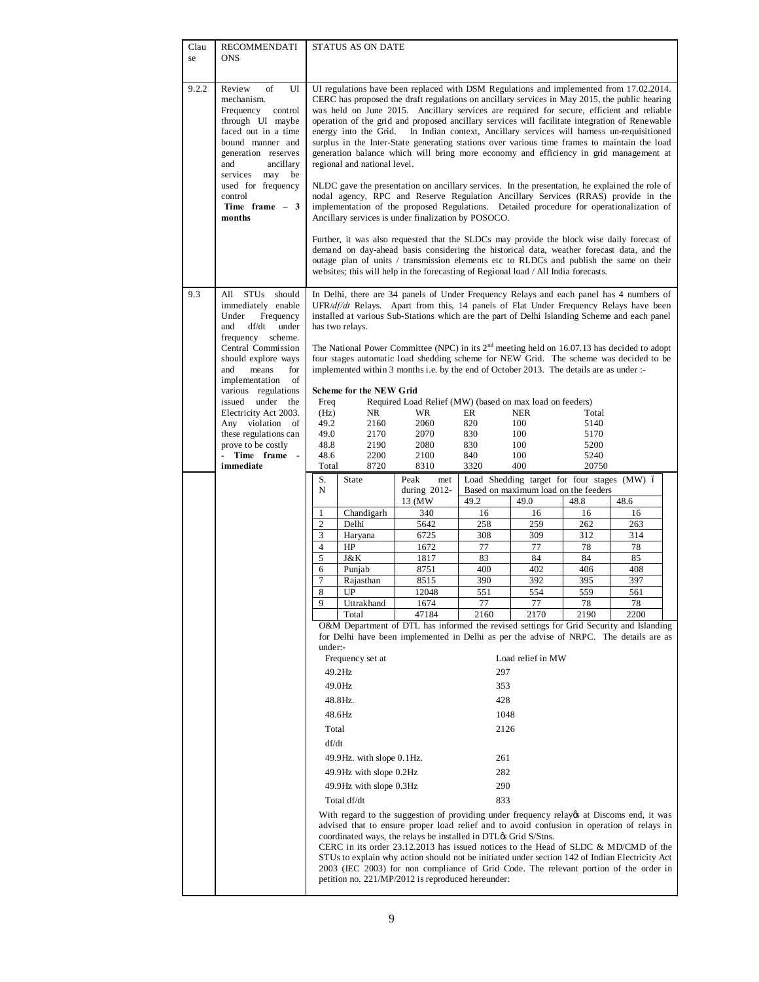| Clau  | <b>RECOMMENDATI</b>                                                                                                                                                                                                                                                                         |                      | STATUS AS ON DATE                                                                                                                                                                                                                                                                                                                                                                                                                                                                                                                                                                                                                                                                                                                                                                                                                                                                                                                                                                                                                                                                                                                                                                                                                                                                                                                                                                                                                        |                                                                                                                                                                                                                                                                                                                                                                                                                                                                                                                                                                                                                                                      |             |                                             |               |            |  |  |
|-------|---------------------------------------------------------------------------------------------------------------------------------------------------------------------------------------------------------------------------------------------------------------------------------------------|----------------------|------------------------------------------------------------------------------------------------------------------------------------------------------------------------------------------------------------------------------------------------------------------------------------------------------------------------------------------------------------------------------------------------------------------------------------------------------------------------------------------------------------------------------------------------------------------------------------------------------------------------------------------------------------------------------------------------------------------------------------------------------------------------------------------------------------------------------------------------------------------------------------------------------------------------------------------------------------------------------------------------------------------------------------------------------------------------------------------------------------------------------------------------------------------------------------------------------------------------------------------------------------------------------------------------------------------------------------------------------------------------------------------------------------------------------------------|------------------------------------------------------------------------------------------------------------------------------------------------------------------------------------------------------------------------------------------------------------------------------------------------------------------------------------------------------------------------------------------------------------------------------------------------------------------------------------------------------------------------------------------------------------------------------------------------------------------------------------------------------|-------------|---------------------------------------------|---------------|------------|--|--|
| se    | <b>ONS</b>                                                                                                                                                                                                                                                                                  |                      |                                                                                                                                                                                                                                                                                                                                                                                                                                                                                                                                                                                                                                                                                                                                                                                                                                                                                                                                                                                                                                                                                                                                                                                                                                                                                                                                                                                                                                          |                                                                                                                                                                                                                                                                                                                                                                                                                                                                                                                                                                                                                                                      |             |                                             |               |            |  |  |
| 9.2.2 | of<br>Review<br>UI<br>mechanism.<br>Frequency<br>control<br>through UI maybe<br>faced out in a time<br>bound manner and<br>generation reserves<br>and<br>ancillary<br>may<br>services<br>be<br>used for frequency<br>control<br>Time frame $-3$<br>months                                   |                      | UI regulations have been replaced with DSM Regulations and implemented from 17.02.2014.<br>CERC has proposed the draft regulations on ancillary services in May 2015, the public hearing<br>was held on June 2015. Ancillary services are required for secure, efficient and reliable<br>operation of the grid and proposed ancillary services will facilitate integration of Renewable<br>energy into the Grid.<br>In Indian context, Ancillary services will harness un-requisitioned<br>surplus in the Inter-State generating stations over various time frames to maintain the load<br>generation balance which will bring more economy and efficiency in grid management at<br>regional and national level.<br>NLDC gave the presentation on ancillary services. In the presentation, he explained the role of<br>nodal agency, RPC and Reserve Regulation Ancillary Services (RRAS) provide in the<br>implementation of the proposed Regulations. Detailed procedure for operationalization of<br>Ancillary services is under finalization by POSOCO.<br>Further, it was also requested that the SLDCs may provide the block wise daily forecast of<br>demand on day-ahead basis considering the historical data, weather forecast data, and the<br>outage plan of units / transmission elements etc to RLDCs and publish the same on their<br>websites; this will help in the forecasting of Regional load / All India forecasts. |                                                                                                                                                                                                                                                                                                                                                                                                                                                                                                                                                                                                                                                      |             |                                             |               |            |  |  |
| 9.3   | STU <sub>s</sub> should<br>All<br>immediately enable<br>Under<br>Frequency<br>under<br>and<br>df/dt<br>frequency scheme.<br>Central Commission<br>should explore ways<br>means<br>and<br>for<br>implementation<br>of<br>various regulations<br>issued under<br>the<br>Electricity Act 2003. | Freq<br>(Hz)<br>49.2 | has two relays.<br><b>Scheme for the NEW Grid</b><br>NR                                                                                                                                                                                                                                                                                                                                                                                                                                                                                                                                                                                                                                                                                                                                                                                                                                                                                                                                                                                                                                                                                                                                                                                                                                                                                                                                                                                  | In Delhi, there are 34 panels of Under Frequency Relays and each panel has 4 numbers of<br>UFR/ $df/dt$ Relays. Apart from this, 14 panels of Flat Under Frequency Relays have been<br>installed at various Sub-Stations which are the part of Delhi Islanding Scheme and each panel<br>The National Power Committee (NPC) in its $2nd$ meeting held on 16.07.13 has decided to adopt<br>four stages automatic load shedding scheme for NEW Grid. The scheme was decided to be<br>implemented within 3 months i.e. by the end of October 2013. The details are as under :-<br>Required Load Relief (MW) (based on max load on feeders)<br>WR<br>2060 | ER          | <b>NER</b><br>100                           | Total<br>5140 |            |  |  |
|       | Any violation of<br>these regulations can                                                                                                                                                                                                                                                   | 49.0                 | 2160<br>2170                                                                                                                                                                                                                                                                                                                                                                                                                                                                                                                                                                                                                                                                                                                                                                                                                                                                                                                                                                                                                                                                                                                                                                                                                                                                                                                                                                                                                             | 2070                                                                                                                                                                                                                                                                                                                                                                                                                                                                                                                                                                                                                                                 | 820<br>830  | 100                                         | 5170          |            |  |  |
|       | prove to be costly                                                                                                                                                                                                                                                                          | 48.8                 | 2190                                                                                                                                                                                                                                                                                                                                                                                                                                                                                                                                                                                                                                                                                                                                                                                                                                                                                                                                                                                                                                                                                                                                                                                                                                                                                                                                                                                                                                     | 2080                                                                                                                                                                                                                                                                                                                                                                                                                                                                                                                                                                                                                                                 | 830         | 100                                         | 5200          |            |  |  |
|       | Time frame -<br>$\overline{a}$<br>immediate                                                                                                                                                                                                                                                 | 48.6<br>Total        | 2200<br>8720                                                                                                                                                                                                                                                                                                                                                                                                                                                                                                                                                                                                                                                                                                                                                                                                                                                                                                                                                                                                                                                                                                                                                                                                                                                                                                                                                                                                                             | 2100<br>8310                                                                                                                                                                                                                                                                                                                                                                                                                                                                                                                                                                                                                                         | 840<br>3320 | 100<br>400                                  | 5240<br>20750 |            |  |  |
|       |                                                                                                                                                                                                                                                                                             | S.                   | State                                                                                                                                                                                                                                                                                                                                                                                                                                                                                                                                                                                                                                                                                                                                                                                                                                                                                                                                                                                                                                                                                                                                                                                                                                                                                                                                                                                                                                    | Peak<br>met                                                                                                                                                                                                                                                                                                                                                                                                                                                                                                                                                                                                                                          |             | Load Shedding target for four stages (MW) ó |               |            |  |  |
|       |                                                                                                                                                                                                                                                                                             | N                    |                                                                                                                                                                                                                                                                                                                                                                                                                                                                                                                                                                                                                                                                                                                                                                                                                                                                                                                                                                                                                                                                                                                                                                                                                                                                                                                                                                                                                                          | during 2012-                                                                                                                                                                                                                                                                                                                                                                                                                                                                                                                                                                                                                                         |             | Based on maximum load on the feeders        |               |            |  |  |
|       |                                                                                                                                                                                                                                                                                             |                      |                                                                                                                                                                                                                                                                                                                                                                                                                                                                                                                                                                                                                                                                                                                                                                                                                                                                                                                                                                                                                                                                                                                                                                                                                                                                                                                                                                                                                                          | 13 (MW                                                                                                                                                                                                                                                                                                                                                                                                                                                                                                                                                                                                                                               | 49.2        | 49.0                                        | 48.8          | 48.6       |  |  |
|       |                                                                                                                                                                                                                                                                                             | 1<br>$\overline{c}$  | Chandigarh<br>Delhi                                                                                                                                                                                                                                                                                                                                                                                                                                                                                                                                                                                                                                                                                                                                                                                                                                                                                                                                                                                                                                                                                                                                                                                                                                                                                                                                                                                                                      | 340<br>5642                                                                                                                                                                                                                                                                                                                                                                                                                                                                                                                                                                                                                                          | 16<br>258   | 16<br>259                                   | 16<br>262     | 16<br>263  |  |  |
|       |                                                                                                                                                                                                                                                                                             | 3                    | Haryana                                                                                                                                                                                                                                                                                                                                                                                                                                                                                                                                                                                                                                                                                                                                                                                                                                                                                                                                                                                                                                                                                                                                                                                                                                                                                                                                                                                                                                  | 6725                                                                                                                                                                                                                                                                                                                                                                                                                                                                                                                                                                                                                                                 | 308         | 309                                         | 312           | 314        |  |  |
|       |                                                                                                                                                                                                                                                                                             | $\overline{4}$       | HP                                                                                                                                                                                                                                                                                                                                                                                                                                                                                                                                                                                                                                                                                                                                                                                                                                                                                                                                                                                                                                                                                                                                                                                                                                                                                                                                                                                                                                       | 1672                                                                                                                                                                                                                                                                                                                                                                                                                                                                                                                                                                                                                                                 | 77          | 77                                          | 78            | 78         |  |  |
|       |                                                                                                                                                                                                                                                                                             | 5                    | J&K                                                                                                                                                                                                                                                                                                                                                                                                                                                                                                                                                                                                                                                                                                                                                                                                                                                                                                                                                                                                                                                                                                                                                                                                                                                                                                                                                                                                                                      | 1817                                                                                                                                                                                                                                                                                                                                                                                                                                                                                                                                                                                                                                                 | 83          | 84                                          | 84            | 85         |  |  |
|       |                                                                                                                                                                                                                                                                                             | 6<br>$\overline{7}$  | Punjab<br>Rajasthan                                                                                                                                                                                                                                                                                                                                                                                                                                                                                                                                                                                                                                                                                                                                                                                                                                                                                                                                                                                                                                                                                                                                                                                                                                                                                                                                                                                                                      | 8751<br>8515                                                                                                                                                                                                                                                                                                                                                                                                                                                                                                                                                                                                                                         | 400<br>390  | 402<br>392                                  | 406<br>395    | 408<br>397 |  |  |
|       |                                                                                                                                                                                                                                                                                             | 8                    | $\mathbf{U}\mathbf{P}$                                                                                                                                                                                                                                                                                                                                                                                                                                                                                                                                                                                                                                                                                                                                                                                                                                                                                                                                                                                                                                                                                                                                                                                                                                                                                                                                                                                                                   | 12048                                                                                                                                                                                                                                                                                                                                                                                                                                                                                                                                                                                                                                                | 551         | 554                                         | 559           | 561        |  |  |
|       |                                                                                                                                                                                                                                                                                             | 9                    | Uttrakhand                                                                                                                                                                                                                                                                                                                                                                                                                                                                                                                                                                                                                                                                                                                                                                                                                                                                                                                                                                                                                                                                                                                                                                                                                                                                                                                                                                                                                               | 1674                                                                                                                                                                                                                                                                                                                                                                                                                                                                                                                                                                                                                                                 | 77          | 77                                          | 78            | 78         |  |  |
|       |                                                                                                                                                                                                                                                                                             |                      | Total                                                                                                                                                                                                                                                                                                                                                                                                                                                                                                                                                                                                                                                                                                                                                                                                                                                                                                                                                                                                                                                                                                                                                                                                                                                                                                                                                                                                                                    | 47184<br>O&M Department of DTL has informed the revised settings for Grid Security and Islanding                                                                                                                                                                                                                                                                                                                                                                                                                                                                                                                                                     | 2160        | 2170                                        | 2190          | 2200       |  |  |
|       |                                                                                                                                                                                                                                                                                             | under:-              |                                                                                                                                                                                                                                                                                                                                                                                                                                                                                                                                                                                                                                                                                                                                                                                                                                                                                                                                                                                                                                                                                                                                                                                                                                                                                                                                                                                                                                          | for Delhi have been implemented in Delhi as per the advise of NRPC. The details are as                                                                                                                                                                                                                                                                                                                                                                                                                                                                                                                                                               |             | Load relief in MW                           |               |            |  |  |
|       |                                                                                                                                                                                                                                                                                             |                      | Frequency set at<br>49.2Hz                                                                                                                                                                                                                                                                                                                                                                                                                                                                                                                                                                                                                                                                                                                                                                                                                                                                                                                                                                                                                                                                                                                                                                                                                                                                                                                                                                                                               |                                                                                                                                                                                                                                                                                                                                                                                                                                                                                                                                                                                                                                                      | 297         |                                             |               |            |  |  |
|       |                                                                                                                                                                                                                                                                                             |                      | 49.0Hz                                                                                                                                                                                                                                                                                                                                                                                                                                                                                                                                                                                                                                                                                                                                                                                                                                                                                                                                                                                                                                                                                                                                                                                                                                                                                                                                                                                                                                   |                                                                                                                                                                                                                                                                                                                                                                                                                                                                                                                                                                                                                                                      | 353         |                                             |               |            |  |  |
|       |                                                                                                                                                                                                                                                                                             |                      | 48.8Hz.                                                                                                                                                                                                                                                                                                                                                                                                                                                                                                                                                                                                                                                                                                                                                                                                                                                                                                                                                                                                                                                                                                                                                                                                                                                                                                                                                                                                                                  |                                                                                                                                                                                                                                                                                                                                                                                                                                                                                                                                                                                                                                                      | 428         |                                             |               |            |  |  |
|       |                                                                                                                                                                                                                                                                                             |                      | 48.6Hz                                                                                                                                                                                                                                                                                                                                                                                                                                                                                                                                                                                                                                                                                                                                                                                                                                                                                                                                                                                                                                                                                                                                                                                                                                                                                                                                                                                                                                   |                                                                                                                                                                                                                                                                                                                                                                                                                                                                                                                                                                                                                                                      | 1048        |                                             |               |            |  |  |
|       |                                                                                                                                                                                                                                                                                             | Total                |                                                                                                                                                                                                                                                                                                                                                                                                                                                                                                                                                                                                                                                                                                                                                                                                                                                                                                                                                                                                                                                                                                                                                                                                                                                                                                                                                                                                                                          |                                                                                                                                                                                                                                                                                                                                                                                                                                                                                                                                                                                                                                                      | 2126        |                                             |               |            |  |  |
|       |                                                                                                                                                                                                                                                                                             | df/dt                |                                                                                                                                                                                                                                                                                                                                                                                                                                                                                                                                                                                                                                                                                                                                                                                                                                                                                                                                                                                                                                                                                                                                                                                                                                                                                                                                                                                                                                          |                                                                                                                                                                                                                                                                                                                                                                                                                                                                                                                                                                                                                                                      |             |                                             |               |            |  |  |
|       |                                                                                                                                                                                                                                                                                             |                      | 49.9Hz. with slope 0.1Hz.                                                                                                                                                                                                                                                                                                                                                                                                                                                                                                                                                                                                                                                                                                                                                                                                                                                                                                                                                                                                                                                                                                                                                                                                                                                                                                                                                                                                                |                                                                                                                                                                                                                                                                                                                                                                                                                                                                                                                                                                                                                                                      | 261         |                                             |               |            |  |  |
|       |                                                                                                                                                                                                                                                                                             |                      | 49.9Hz with slope 0.2Hz                                                                                                                                                                                                                                                                                                                                                                                                                                                                                                                                                                                                                                                                                                                                                                                                                                                                                                                                                                                                                                                                                                                                                                                                                                                                                                                                                                                                                  |                                                                                                                                                                                                                                                                                                                                                                                                                                                                                                                                                                                                                                                      | 282         |                                             |               |            |  |  |
|       |                                                                                                                                                                                                                                                                                             |                      | 49.9Hz with slope 0.3Hz                                                                                                                                                                                                                                                                                                                                                                                                                                                                                                                                                                                                                                                                                                                                                                                                                                                                                                                                                                                                                                                                                                                                                                                                                                                                                                                                                                                                                  |                                                                                                                                                                                                                                                                                                                                                                                                                                                                                                                                                                                                                                                      | 290         |                                             |               |            |  |  |
|       |                                                                                                                                                                                                                                                                                             |                      | Total df/dt                                                                                                                                                                                                                                                                                                                                                                                                                                                                                                                                                                                                                                                                                                                                                                                                                                                                                                                                                                                                                                                                                                                                                                                                                                                                                                                                                                                                                              |                                                                                                                                                                                                                                                                                                                                                                                                                                                                                                                                                                                                                                                      | 833         |                                             |               |            |  |  |
|       |                                                                                                                                                                                                                                                                                             |                      |                                                                                                                                                                                                                                                                                                                                                                                                                                                                                                                                                                                                                                                                                                                                                                                                                                                                                                                                                                                                                                                                                                                                                                                                                                                                                                                                                                                                                                          | With regard to the suggestion of providing under frequency relayes at Discoms end, it was                                                                                                                                                                                                                                                                                                                                                                                                                                                                                                                                                            |             |                                             |               |            |  |  |
|       |                                                                                                                                                                                                                                                                                             |                      |                                                                                                                                                                                                                                                                                                                                                                                                                                                                                                                                                                                                                                                                                                                                                                                                                                                                                                                                                                                                                                                                                                                                                                                                                                                                                                                                                                                                                                          | advised that to ensure proper load relief and to avoid confusion in operation of relays in<br>coordinated ways, the relays be installed in DTL $\alpha$ s Grid S/Stns.<br>CERC in its order $23.12.2013$ has issued notices to the Head of SLDC & MD/CMD of the<br>STUs to explain why action should not be initiated under section 142 of Indian Electricity Act<br>2003 (IEC 2003) for non compliance of Grid Code. The relevant portion of the order in                                                                                                                                                                                           |             |                                             |               |            |  |  |
|       |                                                                                                                                                                                                                                                                                             |                      |                                                                                                                                                                                                                                                                                                                                                                                                                                                                                                                                                                                                                                                                                                                                                                                                                                                                                                                                                                                                                                                                                                                                                                                                                                                                                                                                                                                                                                          | petition no. 221/MP/2012 is reproduced hereunder:                                                                                                                                                                                                                                                                                                                                                                                                                                                                                                                                                                                                    |             |                                             |               |            |  |  |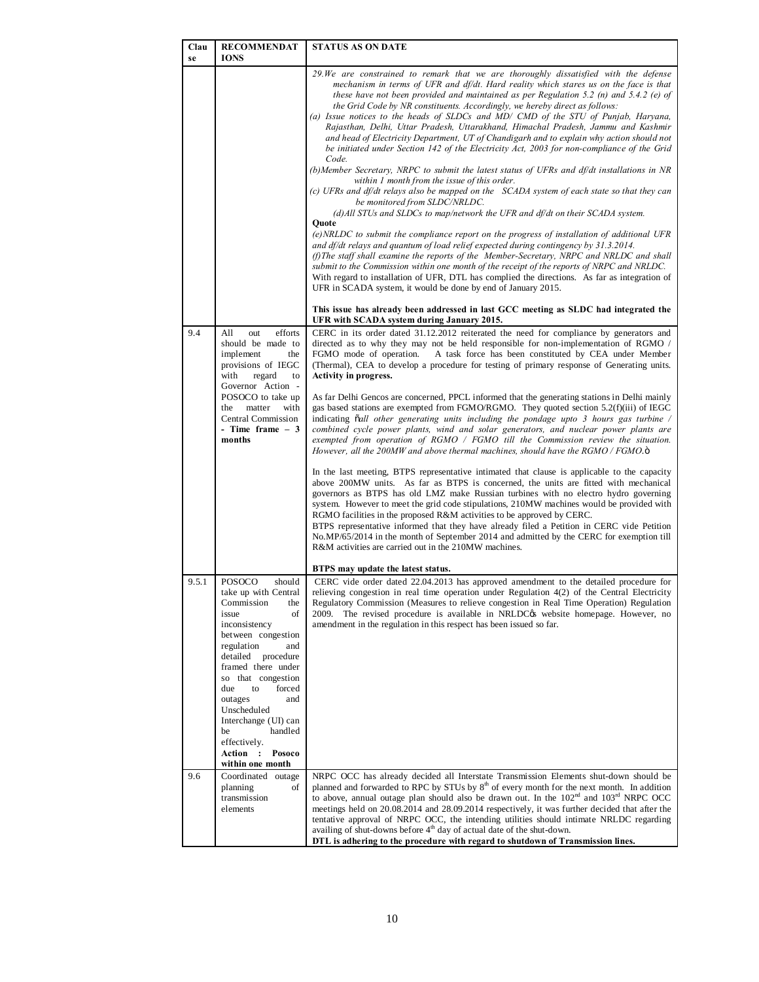| Clau<br>se | <b>RECOMMENDAT</b><br><b>IONS</b>                                                                                                                                                                                                                                                                                                                                        | <b>STATUS AS ON DATE</b>                                                                                                                                                                                                                                                                                                                                                                                                                                                                                                                                                                                                                                                                                                                                                                                                                                                                                                                                                                                                                                                                                                                                                                                                                                                                                                                                                                                                                                                                                                                                                                                                                                                                                                                                                                                         |
|------------|--------------------------------------------------------------------------------------------------------------------------------------------------------------------------------------------------------------------------------------------------------------------------------------------------------------------------------------------------------------------------|------------------------------------------------------------------------------------------------------------------------------------------------------------------------------------------------------------------------------------------------------------------------------------------------------------------------------------------------------------------------------------------------------------------------------------------------------------------------------------------------------------------------------------------------------------------------------------------------------------------------------------------------------------------------------------------------------------------------------------------------------------------------------------------------------------------------------------------------------------------------------------------------------------------------------------------------------------------------------------------------------------------------------------------------------------------------------------------------------------------------------------------------------------------------------------------------------------------------------------------------------------------------------------------------------------------------------------------------------------------------------------------------------------------------------------------------------------------------------------------------------------------------------------------------------------------------------------------------------------------------------------------------------------------------------------------------------------------------------------------------------------------------------------------------------------------|
|            |                                                                                                                                                                                                                                                                                                                                                                          | 29. We are constrained to remark that we are thoroughly dissatisfied with the defense<br>mechanism in terms of UFR and $df/dt$ . Hard reality which stares us on the face is that<br>these have not been provided and maintained as per Regulation 5.2 (n) and 5.4.2 (e) of<br>the Grid Code by NR constituents. Accordingly, we hereby direct as follows:<br>(a) Issue notices to the heads of SLDCs and MD/ CMD of the STU of Punjab, Haryana,<br>Rajasthan, Delhi, Uttar Pradesh, Uttarakhand, Himachal Pradesh, Jammu and Kashmir<br>and head of Electricity Department, UT of Chandigarh and to explain why action should not<br>be initiated under Section 142 of the Electricity Act, 2003 for non-compliance of the Grid<br>Code.<br>(b)Member Secretary, NRPC to submit the latest status of UFRs and df/dt installations in NR<br>within 1 month from the issue of this order.<br>(c) UFRs and df/dt relays also be mapped on the SCADA system of each state so that they can<br>be monitored from SLDC/NRLDC.<br>(d) All STUs and SLDCs to map/network the UFR and $df/dt$ on their SCADA system.<br>Quote<br>(e) NRLDC to submit the compliance report on the progress of installation of additional UFR<br>and df/dt relays and quantum of load relief expected during contingency by 31.3.2014.<br>(f) The staff shall examine the reports of the Member-Secretary, NRPC and NRLDC and shall<br>submit to the Commission within one month of the receipt of the reports of NRPC and NRLDC.<br>With regard to installation of UFR, DTL has complied the directions. As far as integration of<br>UFR in SCADA system, it would be done by end of January 2015.<br>This issue has already been addressed in last GCC meeting as SLDC had integrated the<br>UFR with SCADA system during January 2015. |
| 9.4        | All<br>efforts<br>out<br>should be made to<br>implement<br>the<br>provisions of IEGC<br>regard<br>with<br>to<br>Governor Action -<br>POSOCO to take up<br>matter<br>with<br>the<br>Central Commission<br>- Time frame $-3$<br>months                                                                                                                                     | CERC in its order dated 31.12.2012 reiterated the need for compliance by generators and<br>directed as to why they may not be held responsible for non-implementation of RGMO /<br>FGMO mode of operation.<br>A task force has been constituted by CEA under Member<br>(Thermal), CEA to develop a procedure for testing of primary response of Generating units.<br>Activity in progress.<br>As far Delhi Gencos are concerned, PPCL informed that the generating stations in Delhi mainly<br>gas based stations are exempted from FGMO/RGMO. They quoted section $5.2(f)(iii)$ of IEGC<br>indicating oall other generating units including the pondage upto 3 hours gas turbine /<br>combined cycle power plants, wind and solar generators, and nuclear power plants are<br>exempted from operation of $RGMO$ / $FGMO$ till the Commission review the situation.<br>However, all the 200MW and above thermal machines, should have the RGMO / FGMO. $\ddot{o}$<br>In the last meeting, BTPS representative intimated that clause is applicable to the capacity<br>above 200MW units. As far as BTPS is concerned, the units are fitted with mechanical<br>governors as BTPS has old LMZ make Russian turbines with no electro hydro governing<br>system. However to meet the grid code stipulations, 210MW machines would be provided with<br>RGMO facilities in the proposed R&M activities to be approved by CERC.<br>BTPS representative informed that they have already filed a Petition in CERC vide Petition<br>No.MP/65/2014 in the month of September 2014 and admitted by the CERC for exemption till<br>R&M activities are carried out in the 210MW machines.                                                                                                                                       |
| 9.5.1      | POSOCO<br>should<br>take up with Central<br>Commission<br>the<br>issue<br>of<br>inconsistency<br>between congestion<br>regulation<br>and<br>detailed<br>procedure<br>framed there under<br>so that congestion<br>forced<br>due<br>to<br>outages<br>and<br>Unscheduled<br>Interchange (UI) can<br>handled<br>be<br>effectively.<br>Action :<br>Posoco<br>within one month | BTPS may update the latest status.<br>CERC vide order dated 22.04.2013 has approved amendment to the detailed procedure for<br>relieving congestion in real time operation under Regulation 4(2) of the Central Electricity<br>Regulatory Commission (Measures to relieve congestion in Real Time Operation) Regulation<br>2009. The revised procedure is available in NRLDC <sub>C</sub> website homepage. However, no<br>amendment in the regulation in this respect has been issued so far.                                                                                                                                                                                                                                                                                                                                                                                                                                                                                                                                                                                                                                                                                                                                                                                                                                                                                                                                                                                                                                                                                                                                                                                                                                                                                                                   |
| 9.6        | Coordinated outage<br>planning<br>of<br>transmission<br>elements                                                                                                                                                                                                                                                                                                         | NRPC OCC has already decided all Interstate Transmission Elements shut-down should be<br>planned and forwarded to RPC by STUs by 8 <sup>th</sup> of every month for the next month. In addition<br>to above, annual outage plan should also be drawn out. In the $102nd$ and $103rd$ NRPC OCC<br>meetings held on 20.08.2014 and 28.09.2014 respectively, it was further decided that after the<br>tentative approval of NRPC OCC, the intending utilities should intimate NRLDC regarding<br>availing of shut-downs before $4th$ day of actual date of the shut-down.<br>DTL is adhering to the procedure with regard to shutdown of Transmission lines.                                                                                                                                                                                                                                                                                                                                                                                                                                                                                                                                                                                                                                                                                                                                                                                                                                                                                                                                                                                                                                                                                                                                                        |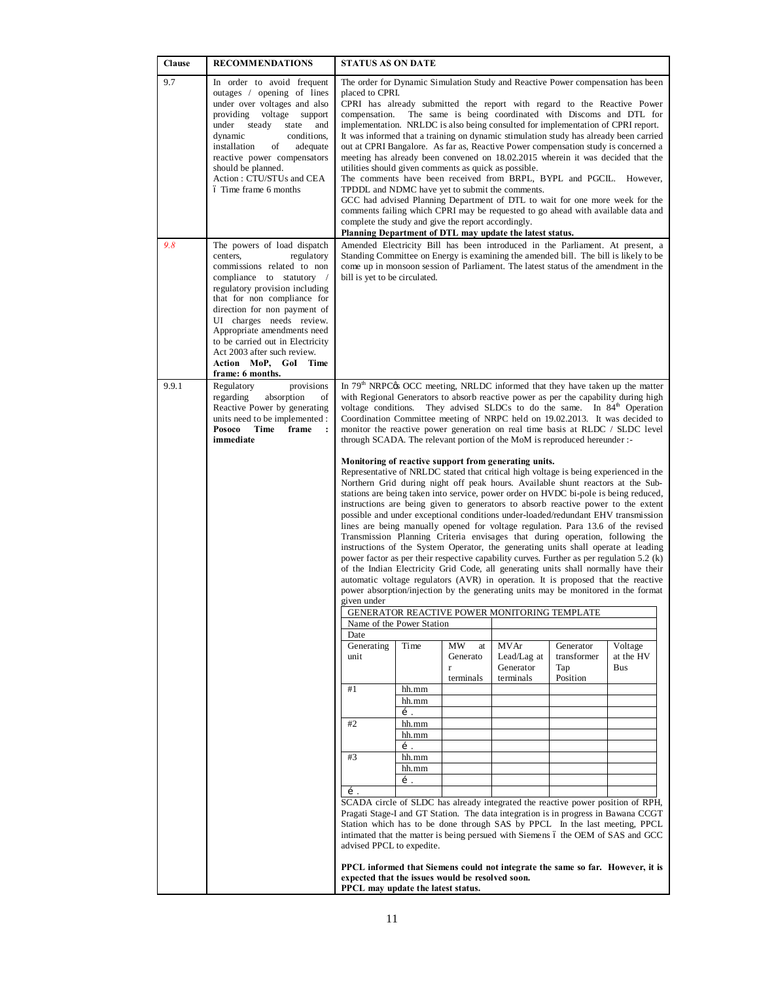| Clause | <b>RECOMMENDATIONS</b>                                                                                                                                                                                                                                                                                                                                                                      | <b>STATUS AS ON DATE</b>                                                                                                                                                                                                                                                                                                                                                                                                                                                                                                                                                                                                                                                                                                                                                                                                                                                                                                                                                                                                                                                                 |                                                                              |                                                   |                                                                                                                                                                                                                                                                                                                        |                                             |                                                                                                                                                                                                                                                                                                                                                                                                                                                                                                                                                                                                                                                                                                                                                                                                                                                                                                                                                                                                                                                                                                                                                                                                                                                                                                                                                                                                                                                                                                                                                                                                                                                                                                                                                                                                                                                                                  |  |
|--------|---------------------------------------------------------------------------------------------------------------------------------------------------------------------------------------------------------------------------------------------------------------------------------------------------------------------------------------------------------------------------------------------|------------------------------------------------------------------------------------------------------------------------------------------------------------------------------------------------------------------------------------------------------------------------------------------------------------------------------------------------------------------------------------------------------------------------------------------------------------------------------------------------------------------------------------------------------------------------------------------------------------------------------------------------------------------------------------------------------------------------------------------------------------------------------------------------------------------------------------------------------------------------------------------------------------------------------------------------------------------------------------------------------------------------------------------------------------------------------------------|------------------------------------------------------------------------------|---------------------------------------------------|------------------------------------------------------------------------------------------------------------------------------------------------------------------------------------------------------------------------------------------------------------------------------------------------------------------------|---------------------------------------------|----------------------------------------------------------------------------------------------------------------------------------------------------------------------------------------------------------------------------------------------------------------------------------------------------------------------------------------------------------------------------------------------------------------------------------------------------------------------------------------------------------------------------------------------------------------------------------------------------------------------------------------------------------------------------------------------------------------------------------------------------------------------------------------------------------------------------------------------------------------------------------------------------------------------------------------------------------------------------------------------------------------------------------------------------------------------------------------------------------------------------------------------------------------------------------------------------------------------------------------------------------------------------------------------------------------------------------------------------------------------------------------------------------------------------------------------------------------------------------------------------------------------------------------------------------------------------------------------------------------------------------------------------------------------------------------------------------------------------------------------------------------------------------------------------------------------------------------------------------------------------------|--|
| 9.7    | In order to avoid frequent<br>outages / opening of lines<br>under over voltages and also<br>providing voltage support<br>steady<br>under<br>state<br>and<br>dynamic<br>conditions,<br>installation<br>of<br>adequate<br>reactive power compensators<br>should be planned.<br>Action: CTU/STUs and CEA<br>ó Time frame 6 months                                                              | The order for Dynamic Simulation Study and Reactive Power compensation has been<br>placed to CPRI.<br>CPRI has already submitted the report with regard to the Reactive Power<br>compensation.<br>The same is being coordinated with Discoms and DTL for<br>implementation. NRLDC is also being consulted for implementation of CPRI report.<br>It was informed that a training on dynamic stimulation study has already been carried<br>out at CPRI Bangalore. As far as, Reactive Power compensation study is concerned a<br>meeting has already been convened on 18.02.2015 wherein it was decided that the<br>utilities should given comments as quick as possible.<br>The comments have been received from BRPL, BYPL and PGCIL. However,<br>TPDDL and NDMC have yet to submit the comments.<br>GCC had advised Planning Department of DTL to wait for one more week for the<br>comments failing which CPRI may be requested to go ahead with available data and<br>complete the study and give the report accordingly.<br>Planning Department of DTL may update the latest status. |                                                                              |                                                   |                                                                                                                                                                                                                                                                                                                        |                                             |                                                                                                                                                                                                                                                                                                                                                                                                                                                                                                                                                                                                                                                                                                                                                                                                                                                                                                                                                                                                                                                                                                                                                                                                                                                                                                                                                                                                                                                                                                                                                                                                                                                                                                                                                                                                                                                                                  |  |
| 9.8    | The powers of load dispatch<br>regulatory<br>centers.<br>commissions related to non<br>compliance to statutory /<br>regulatory provision including<br>that for non compliance for<br>direction for non payment of<br>UI charges needs review.<br>Appropriate amendments need<br>to be carried out in Electricity<br>Act 2003 after such review.<br>Action MoP, GoI Time<br>frame: 6 months. | Standing Committee on Energy is examining the amended bill. The bill is likely to be<br>come up in monsoon session of Parliament. The latest status of the amendment in the<br>bill is yet to be circulated.                                                                                                                                                                                                                                                                                                                                                                                                                                                                                                                                                                                                                                                                                                                                                                                                                                                                             |                                                                              |                                                   |                                                                                                                                                                                                                                                                                                                        |                                             |                                                                                                                                                                                                                                                                                                                                                                                                                                                                                                                                                                                                                                                                                                                                                                                                                                                                                                                                                                                                                                                                                                                                                                                                                                                                                                                                                                                                                                                                                                                                                                                                                                                                                                                                                                                                                                                                                  |  |
| 9.9.1  | provisions<br>Regulatory<br>regarding<br>absorption<br>of<br>Reactive Power by generating<br>units need to be implemented :<br>Posoco<br>Time<br>frame<br>immediate                                                                                                                                                                                                                         | voltage conditions.<br>given under<br>Name of the Power Station<br>Date<br>Generating<br>unit<br>#1<br>#2<br>#3<br>í.<br>advised PPCL to expedite.                                                                                                                                                                                                                                                                                                                                                                                                                                                                                                                                                                                                                                                                                                                                                                                                                                                                                                                                       | Time<br>hh.mm<br>hh.mm<br>í.<br>hh.mm<br>hh.mm<br>í.<br>hh.mm<br>hh.mm<br>í. | MW<br>at<br>Generato<br>$\mathbf{r}$<br>terminals | through SCADA. The relevant portion of the MoM is reproduced hereunder :-<br>Monitoring of reactive support from generating units.<br>Northern Grid during night off peak hours. Available shunt reactors at the Sub-<br>GENERATOR REACTIVE POWER MONITORING TEMPLATE<br>MVAr<br>Lead/Lag at<br>Generator<br>terminals | Generator<br>transformer<br>Tap<br>Position | In 79 <sup>th</sup> NRPC <sub>®</sub> OCC meeting, NRLDC informed that they have taken up the matter<br>with Regional Generators to absorb reactive power as per the capability during high<br>They advised SLDCs to do the same. In 84 <sup>th</sup> Operation<br>Coordination Committee meeting of NRPC held on 19.02.2013. It was decided to<br>monitor the reactive power generation on real time basis at RLDC / SLDC level<br>Representative of NRLDC stated that critical high voltage is being experienced in the<br>stations are being taken into service, power order on HVDC bi-pole is being reduced,<br>instructions are being given to generators to absorb reactive power to the extent<br>possible and under exceptional conditions under-loaded/redundant EHV transmission<br>lines are being manually opened for voltage regulation. Para 13.6 of the revised<br>Transmission Planning Criteria envisages that during operation, following the<br>instructions of the System Operator, the generating units shall operate at leading<br>power factor as per their respective capability curves. Further as per regulation 5.2 (k)<br>of the Indian Electricity Grid Code, all generating units shall normally have their<br>automatic voltage regulators (AVR) in operation. It is proposed that the reactive<br>power absorption/injection by the generating units may be monitored in the format<br>Voltage<br>at the HV<br>Bus<br>SCADA circle of SLDC has already integrated the reactive power position of RPH,<br>Pragati Stage-I and GT Station. The data integration is in progress in Bawana CCGT<br>Station which has to be done through SAS by PPCL In the last meeting, PPCL<br>intimated that the matter is being persued with Siemens 6 the OEM of SAS and GCC<br>PPCL informed that Siemens could not integrate the same so far. However, it is |  |
|        |                                                                                                                                                                                                                                                                                                                                                                                             | expected that the issues would be resolved soon.<br>PPCL may update the latest status.                                                                                                                                                                                                                                                                                                                                                                                                                                                                                                                                                                                                                                                                                                                                                                                                                                                                                                                                                                                                   |                                                                              |                                                   |                                                                                                                                                                                                                                                                                                                        |                                             |                                                                                                                                                                                                                                                                                                                                                                                                                                                                                                                                                                                                                                                                                                                                                                                                                                                                                                                                                                                                                                                                                                                                                                                                                                                                                                                                                                                                                                                                                                                                                                                                                                                                                                                                                                                                                                                                                  |  |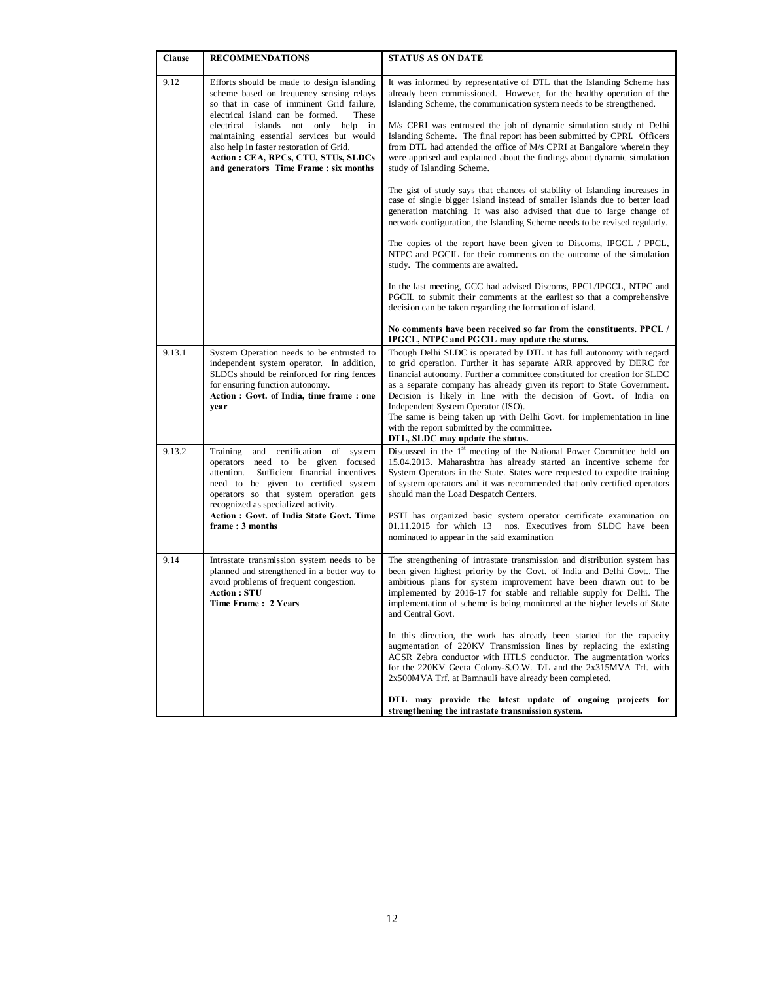| Clause | <b>RECOMMENDATIONS</b>                                                                                                                                                                                                                                                                                                                                                                           | <b>STATUS AS ON DATE</b>                                                                                                                                                                                                                                                                                                                                                                                                                                                                                                                                                                                                                  |
|--------|--------------------------------------------------------------------------------------------------------------------------------------------------------------------------------------------------------------------------------------------------------------------------------------------------------------------------------------------------------------------------------------------------|-------------------------------------------------------------------------------------------------------------------------------------------------------------------------------------------------------------------------------------------------------------------------------------------------------------------------------------------------------------------------------------------------------------------------------------------------------------------------------------------------------------------------------------------------------------------------------------------------------------------------------------------|
| 9.12   | Efforts should be made to design islanding<br>scheme based on frequency sensing relays<br>so that in case of imminent Grid failure,<br>electrical island can be formed.<br>These<br>electrical islands not only help in<br>maintaining essential services but would<br>also help in faster restoration of Grid.<br>Action : CEA, RPCs, CTU, STUs, SLDCs<br>and generators Time Frame: six months | It was informed by representative of DTL that the Islanding Scheme has<br>already been commissioned. However, for the healthy operation of the<br>Islanding Scheme, the communication system needs to be strengthened.<br>M/s CPRI was entrusted the job of dynamic simulation study of Delhi<br>Islanding Scheme. The final report has been submitted by CPRI. Officers<br>from DTL had attended the office of M/s CPRI at Bangalore wherein they<br>were apprised and explained about the findings about dynamic simulation<br>study of Islanding Scheme.<br>The gist of study says that chances of stability of Islanding increases in |
|        |                                                                                                                                                                                                                                                                                                                                                                                                  | case of single bigger island instead of smaller islands due to better load<br>generation matching. It was also advised that due to large change of<br>network configuration, the Islanding Scheme needs to be revised regularly.                                                                                                                                                                                                                                                                                                                                                                                                          |
|        |                                                                                                                                                                                                                                                                                                                                                                                                  | The copies of the report have been given to Discoms, IPGCL / PPCL,<br>NTPC and PGCIL for their comments on the outcome of the simulation<br>study. The comments are awaited.                                                                                                                                                                                                                                                                                                                                                                                                                                                              |
|        |                                                                                                                                                                                                                                                                                                                                                                                                  | In the last meeting, GCC had advised Discoms, PPCL/IPGCL, NTPC and<br>PGCIL to submit their comments at the earliest so that a comprehensive<br>decision can be taken regarding the formation of island.                                                                                                                                                                                                                                                                                                                                                                                                                                  |
|        |                                                                                                                                                                                                                                                                                                                                                                                                  | No comments have been received so far from the constituents. PPCL /<br>IPGCL, NTPC and PGCIL may update the status.                                                                                                                                                                                                                                                                                                                                                                                                                                                                                                                       |
| 9.13.1 | System Operation needs to be entrusted to<br>independent system operator. In addition,<br>SLDCs should be reinforced for ring fences<br>for ensuring function autonomy.<br>Action : Govt. of India, time frame : one<br>year                                                                                                                                                                     | Though Delhi SLDC is operated by DTL it has full autonomy with regard<br>to grid operation. Further it has separate ARR approved by DERC for<br>financial autonomy. Further a committee constituted for creation for SLDC<br>as a separate company has already given its report to State Government.<br>Decision is likely in line with the decision of Govt. of India on<br>Independent System Operator (ISO).<br>The same is being taken up with Delhi Govt. for implementation in line<br>with the report submitted by the committee.<br>DTL, SLDC may update the status.                                                              |
| 9.13.2 | Training<br>and<br>certification of system<br>operators<br>need to be given focused<br>attention.<br>Sufficient financial incentives<br>need to be given to certified system<br>operators so that system operation gets<br>recognized as specialized activity.<br>Action : Govt. of India State Govt. Time<br>frame: 3 months                                                                    | Discussed in the 1 <sup>st</sup> meeting of the National Power Committee held on<br>15.04.2013. Maharashtra has already started an incentive scheme for<br>System Operators in the State. States were requested to expedite training<br>of system operators and it was recommended that only certified operators<br>should man the Load Despatch Centers.<br>PSTI has organized basic system operator certificate examination on<br>01.11.2015 for which 13<br>nos. Executives from SLDC have been<br>nominated to appear in the said examination                                                                                         |
| 9.14   | Intrastate transmission system needs to be<br>planned and strengthened in a better way to                                                                                                                                                                                                                                                                                                        | The strengthening of intrastate transmission and distribution system has<br>been given highest priority by the Govt. of India and Delhi Govt The                                                                                                                                                                                                                                                                                                                                                                                                                                                                                          |
|        | avoid problems of frequent congestion.<br><b>Action: STU</b><br>Time Frame: 2 Years                                                                                                                                                                                                                                                                                                              | ambitious plans for system improvement have been drawn out to be<br>implemented by 2016-17 for stable and reliable supply for Delhi. The<br>implementation of scheme is being monitored at the higher levels of State<br>and Central Govt.                                                                                                                                                                                                                                                                                                                                                                                                |
|        |                                                                                                                                                                                                                                                                                                                                                                                                  | In this direction, the work has already been started for the capacity<br>augmentation of 220KV Transmission lines by replacing the existing<br>ACSR Zebra conductor with HTLS conductor. The augmentation works<br>for the 220KV Geeta Colony-S.O.W. T/L and the 2x315MVA Trf. with<br>2x500MVA Trf. at Bamnauli have already been completed.                                                                                                                                                                                                                                                                                             |
|        |                                                                                                                                                                                                                                                                                                                                                                                                  | DTL may provide the latest update of ongoing projects for<br>strengthening the intrastate transmission system.                                                                                                                                                                                                                                                                                                                                                                                                                                                                                                                            |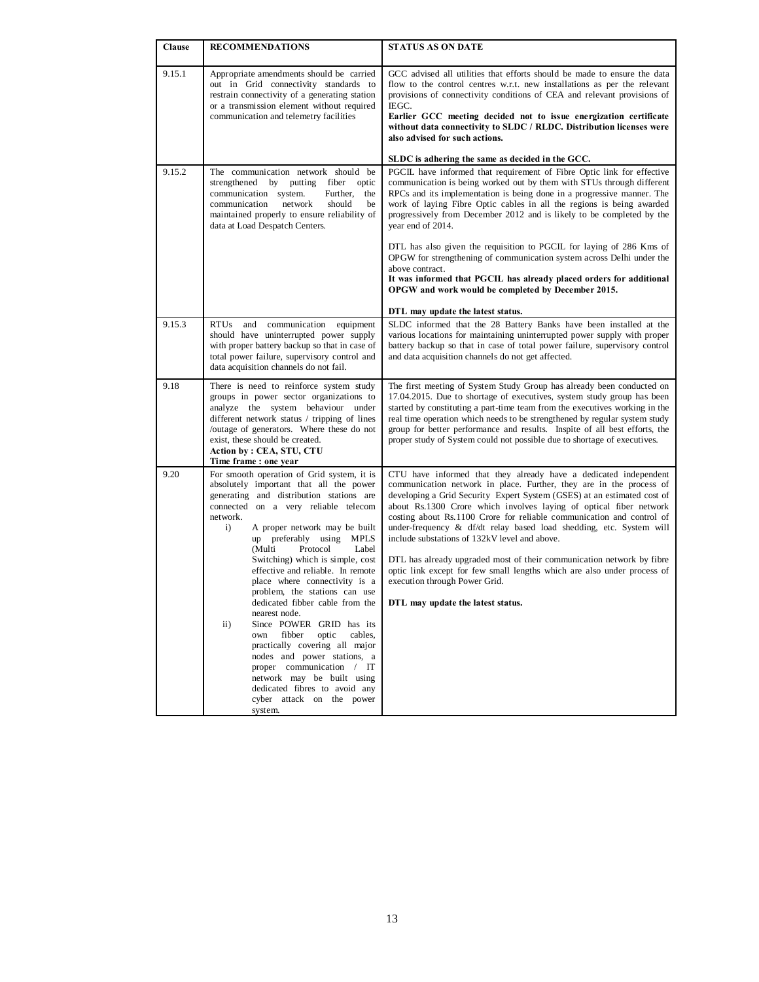| Clause | <b>RECOMMENDATIONS</b>                                                                                                                                                                                                                                                                                                                                                                                                                                                                                                                                                                                                                                                                                                                                                                              | <b>STATUS AS ON DATE</b>                                                                                                                                                                                                                                                                                                                                                                                                                                                                                                                                                                                                                                                                                            |
|--------|-----------------------------------------------------------------------------------------------------------------------------------------------------------------------------------------------------------------------------------------------------------------------------------------------------------------------------------------------------------------------------------------------------------------------------------------------------------------------------------------------------------------------------------------------------------------------------------------------------------------------------------------------------------------------------------------------------------------------------------------------------------------------------------------------------|---------------------------------------------------------------------------------------------------------------------------------------------------------------------------------------------------------------------------------------------------------------------------------------------------------------------------------------------------------------------------------------------------------------------------------------------------------------------------------------------------------------------------------------------------------------------------------------------------------------------------------------------------------------------------------------------------------------------|
| 9.15.1 | Appropriate amendments should be carried<br>out in Grid connectivity standards to<br>restrain connectivity of a generating station<br>or a transmission element without required<br>communication and telemetry facilities                                                                                                                                                                                                                                                                                                                                                                                                                                                                                                                                                                          | GCC advised all utilities that efforts should be made to ensure the data<br>flow to the control centres w.r.t. new installations as per the relevant<br>provisions of connectivity conditions of CEA and relevant provisions of<br>IEGC.<br>Earlier GCC meeting decided not to issue energization certificate<br>without data connectivity to SLDC / RLDC. Distribution licenses were<br>also advised for such actions.                                                                                                                                                                                                                                                                                             |
|        |                                                                                                                                                                                                                                                                                                                                                                                                                                                                                                                                                                                                                                                                                                                                                                                                     | SLDC is adhering the same as decided in the GCC.                                                                                                                                                                                                                                                                                                                                                                                                                                                                                                                                                                                                                                                                    |
| 9.15.2 | The communication network should be<br>strengthened by<br>putting<br>fiber optic<br>communication system.<br>Further,<br>the<br>should<br>communication<br>network<br>be<br>maintained properly to ensure reliability of<br>data at Load Despatch Centers.                                                                                                                                                                                                                                                                                                                                                                                                                                                                                                                                          | PGCIL have informed that requirement of Fibre Optic link for effective<br>communication is being worked out by them with STUs through different<br>RPCs and its implementation is being done in a progressive manner. The<br>work of laying Fibre Optic cables in all the regions is being awarded<br>progressively from December 2012 and is likely to be completed by the<br>year end of 2014.                                                                                                                                                                                                                                                                                                                    |
|        |                                                                                                                                                                                                                                                                                                                                                                                                                                                                                                                                                                                                                                                                                                                                                                                                     | DTL has also given the requisition to PGCIL for laying of 286 Kms of<br>OPGW for strengthening of communication system across Delhi under the<br>above contract.<br>It was informed that PGCIL has already placed orders for additional<br>OPGW and work would be completed by December 2015.                                                                                                                                                                                                                                                                                                                                                                                                                       |
|        |                                                                                                                                                                                                                                                                                                                                                                                                                                                                                                                                                                                                                                                                                                                                                                                                     | DTL may update the latest status.                                                                                                                                                                                                                                                                                                                                                                                                                                                                                                                                                                                                                                                                                   |
| 9.15.3 | <b>RTUs</b><br>communication<br>and<br>equipment<br>should have uninterrupted power supply<br>with proper battery backup so that in case of<br>total power failure, supervisory control and<br>data acquisition channels do not fail.                                                                                                                                                                                                                                                                                                                                                                                                                                                                                                                                                               | SLDC informed that the 28 Battery Banks have been installed at the<br>various locations for maintaining uninterrupted power supply with proper<br>battery backup so that in case of total power failure, supervisory control<br>and data acquisition channels do not get affected.                                                                                                                                                                                                                                                                                                                                                                                                                                  |
| 9.18   | There is need to reinforce system study<br>groups in power sector organizations to<br>analyze the system behaviour under<br>different network status / tripping of lines<br>/outage of generators. Where these do not<br>exist, these should be created.<br>Action by: CEA, STU, CTU<br>Time frame: one year                                                                                                                                                                                                                                                                                                                                                                                                                                                                                        | The first meeting of System Study Group has already been conducted on<br>17.04.2015. Due to shortage of executives, system study group has been<br>started by constituting a part-time team from the executives working in the<br>real time operation which needs to be strengthened by regular system study<br>group for better performance and results. Inspite of all best efforts, the<br>proper study of System could not possible due to shortage of executives.                                                                                                                                                                                                                                              |
| 9.20   | For smooth operation of Grid system, it is<br>absolutely important that all the power<br>generating and distribution stations are<br>connected on a very reliable telecom<br>network.<br>$\mathbf{i}$<br>A proper network may be built<br>up preferably using<br><b>MPLS</b><br>(Multi<br>Protocol<br>Label<br>Switching) which is simple, cost<br>effective and reliable. In remote<br>place where connectivity is a<br>problem, the stations can use<br>dedicated fibber cable from the<br>nearest node.<br>Since POWER GRID has its<br>$\mathbf{ii}$ )<br>fibber<br>optic<br>cables,<br>own<br>practically covering all major<br>nodes and power stations, a<br>proper communication / IT<br>network may be built using<br>dedicated fibres to avoid any<br>cyber attack on the power<br>system. | CTU have informed that they already have a dedicated independent<br>communication network in place. Further, they are in the process of<br>developing a Grid Security Expert System (GSES) at an estimated cost of<br>about Rs.1300 Crore which involves laying of optical fiber network<br>costing about Rs.1100 Crore for reliable communication and control of<br>under-frequency & df/dt relay based load shedding, etc. System will<br>include substations of 132kV level and above.<br>DTL has already upgraded most of their communication network by fibre<br>optic link except for few small lengths which are also under process of<br>execution through Power Grid.<br>DTL may update the latest status. |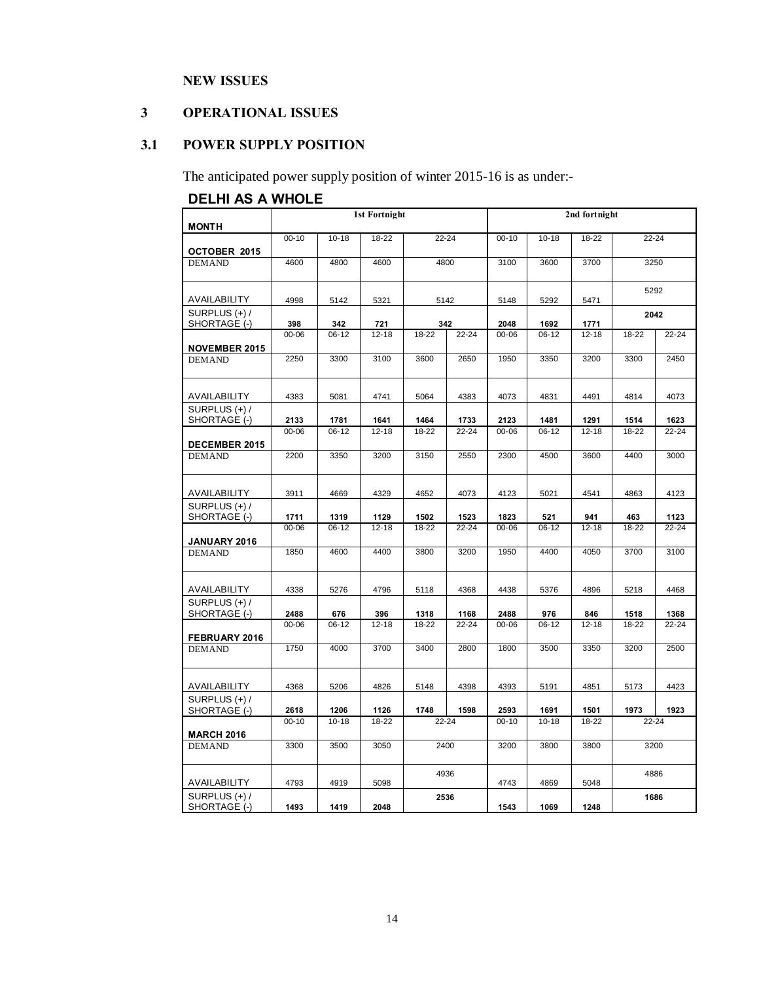# **NEW ISSUES**

# **3 OPERATIONAL ISSUES**

# **3.1 POWER SUPPLY POSITION**

The anticipated power supply position of winter 2015-16 is as under:-

# **DELHI AS A WHOLE**

| <b>MONTH</b>                    |           |           | 1st Fortnight |           |       | 2nd fortnight     |           |           |           |           |
|---------------------------------|-----------|-----------|---------------|-----------|-------|-------------------|-----------|-----------|-----------|-----------|
| OCTOBER 2015                    | $00 - 10$ | $10 - 18$ | $18 - 22$     |           | 22-24 |                   | $10 - 18$ | 18-22     |           | $22 - 24$ |
| <b>DEMAND</b>                   | 4600      | 4800      | 4600          |           | 4800  |                   | 3600      | 3700      | 3250      |           |
| AVAILABILITY                    | 4998      | 5142      | 5321          |           | 5142  |                   | 5292      | 5471      | 5292      |           |
| SURPLUS (+) /<br>SHORTAGE (-)   | 398       | 342       | 721           |           | 342   |                   | 1692      | 1771      | 2042      |           |
| <b>NOVEMBER 2015</b>            | 00-06     | $06 - 12$ | $12 - 18$     | 18-22     | 22-24 | 2048<br>$00 - 06$ | $06 - 12$ | $12 - 18$ | 18-22     | $22 - 24$ |
| <b>DEMAND</b>                   | 2250      | 3300      | 3100          | 3600      | 2650  | 1950              | 3350      | 3200      | 3300      | 2450      |
| AVAILABILITY                    | 4383      | 5081      | 4741          | 5064      | 4383  | 4073              | 4831      | 4491      | 4814      | 4073      |
| SURPLUS (+) /<br>SHORTAGE (-)   | 2133      | 1781      | 1641          | 1464      | 1733  | 2123              | 1481      | 1291      | 1514      | 1623      |
| <b>DECEMBER 2015</b>            | 00-06     | $06 - 12$ | $12 - 18$     | 18-22     | 22-24 | $00 - 06$         | $06 - 12$ | $12 - 18$ | 18-22     | 22-24     |
| <b>DEMAND</b>                   | 2200      | 3350      | 3200          | 3150      | 2550  | 2300              | 4500      | 3600      | 4400      | 3000      |
| AVAILABILITY                    | 3911      | 4669      | 4329          | 4652      | 4073  | 4123              | 5021      | 4541      | 4863      | 4123      |
| SURPLUS (+) /<br>SHORTAGE (-)   | 1711      | 1319      | 1129          | 1502      | 1523  | 1823              | 521       | 941       | 463       | 1123      |
| <b>JANUARY 2016</b>             | 00-06     | $06-12$   | $12 - 18$     | 18-22     | 22-24 | $00 - 06$         | $06 - 12$ | $12 - 18$ | 18-22     | $22 - 24$ |
| <b>DEMAND</b>                   | 1850      | 4600      | 4400          | 3800      | 3200  | 1950              | 4400      | 4050      | 3700      | 3100      |
| AVAILABILITY                    | 4338      | 5276      | 4796          | 5118      | 4368  | 4438              | 5376      | 4896      | 5218      | 4468      |
| SURPLUS (+) /<br>SHORTAGE (-)   | 2488      | 676       | 396           | 1318      | 1168  | 2488              | 976       | 846       | 1518      | 1368      |
| FEBRUARY 2016                   | 00-06     | $06-12$   | 12-18         | 18-22     | 22-24 | $00 - 06$         | $06-12$   | $12 - 18$ | 18-22     | $22 - 24$ |
| <b>DEMAND</b>                   | 1750      | 4000      | 3700          | 3400      | 2800  | 1800              | 3500      | 3350      | 3200      | 2500      |
| AVAILABILITY                    | 4368      | 5206      | 4826          | 5148      | 4398  | 4393              | 5191      | 4851      | 5173      | 4423      |
| SURPLUS $(+)$ /<br>SHORTAGE (-) | 2618      | 1206      | 1126          | 1748      | 1598  | 2593              | 1691      | 1501      | 1973      | 1923      |
| <b>MARCH 2016</b>               | $00 - 10$ | $10 - 18$ | 18-22         | $22 - 24$ |       | $00 - 10$         | $10 - 18$ | 18-22     | $22 - 24$ |           |
| <b>DEMAND</b>                   | 3300      | 3500      | 3050          | 2400      |       | 3200              | 3800      | 3800      | 3200      |           |
| AVAILABILITY                    | 4793      | 4919      | 5098          | 4936      |       | 4743              | 4869      | 5048      | 4886      |           |
| SURPLUS $(+)$ /<br>SHORTAGE (-) | 1493      | 1419      | 2048          | 2536      |       | 1543              | 1069      | 1248      | 1686      |           |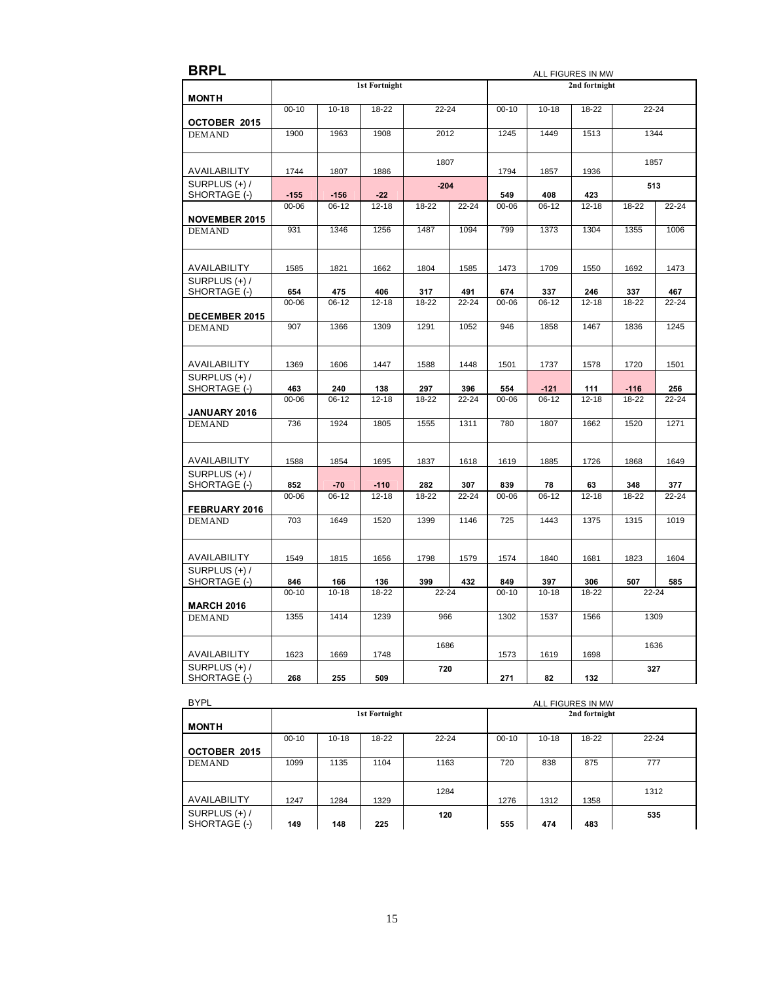| <b>1st Fortnight</b><br>2nd fortnight<br><b>MONTH</b><br>$00 - 10$<br>$10 - 18$<br>18-22<br>$22 - 24$<br>$00 - 10$<br>$10 - 18$<br>18-22<br>$22 - 24$<br>OCTOBER 2015<br>1900<br>1963<br>1908<br>2012<br>1245<br>1449<br>1513<br>1344<br><b>DEMAND</b><br>1807<br>1857<br>AVAILABILITY<br>1744<br>1807<br>1886<br>1794<br>1857<br>1936<br>SURPLUS (+) /<br>$-204$<br>513<br>SHORTAGE (-)<br>$-22$<br>549<br>408<br>423<br>$-155$<br>$-156$<br>00-06<br>18-22<br>22-24<br>$00 - 06$<br>$06 - 12$<br>18-22<br>$06 - 12$<br>$12 - 18$<br>$12 - 18$<br>$22 - 24$<br><b>NOVEMBER 2015</b><br>1487<br>1094<br>931<br>1346<br>1256<br>799<br>1373<br>1304<br>1355<br>1006<br><b>DEMAND</b><br>AVAILABILITY<br>1585<br>1821<br>1662<br>1804<br>1585<br>1473<br>1709<br>1550<br>1692<br>1473<br>SURPLUS (+)/<br>SHORTAGE (-)<br>491<br>654<br>475<br>406<br>317<br>674<br>337<br>246<br>337<br>467<br>$22 - 24$<br>00-06<br>$06-12$<br>$12 - 18$<br>18-22<br>$00 - 06$<br>$06 - 12$<br>$12 - 18$<br>18-22<br>22-24<br>DECEMBER 2015<br>907<br>1366<br>1309<br>1291<br>1052<br>1858<br>1467<br>1836<br>1245<br>946<br><b>DEMAND</b><br>AVAILABILITY<br>1369<br>1448<br>1606<br>1447<br>1588<br>1501<br>1737<br>1578<br>1720<br>1501<br>SURPLUS (+) /<br>SHORTAGE (-)<br>396<br>463<br>240<br>138<br>297<br>554<br>$-121$<br>111<br>$-116$<br>256<br>$00 - 06$<br>00-06<br>$06-12$<br>$12 - 18$<br>18-22<br>22-24<br>$06 - 12$<br>$12 - 18$<br>18-22<br>22-24<br>JANUARY 2016<br>1924<br>736<br>1805<br>1555<br>1311<br>780<br>1807<br>1662<br>1520<br>1271<br><b>DEMAND</b><br>AVAILABILITY<br>1854<br>1695<br>1726<br>1649<br>1588<br>1837<br>1618<br>1619<br>1885<br>1868<br>SURPLUS (+) /<br>SHORTAGE (-)<br>852<br>$-70$<br>$-110$<br>282<br>307<br>839<br>78<br>63<br>348<br>377<br>$06-12$<br>$12 - 18$<br>$22 - 24$<br>$00 - 06$<br>$06 - 12$<br>$12 - 18$<br>$22 - 24$<br>00-06<br>18-22<br>18-22<br>FEBRUARY 2016<br>703<br>1649<br>1520<br>1399<br>1146<br>725<br>1443<br>1375<br>1019<br>1315<br><b>DEMAND</b><br>AVAILABILITY<br>1549<br>1815<br>1798<br>1579<br>1574<br>1656<br>1840<br>1681<br>1823<br>1604<br>SURPLUS (+) /<br>SHORTAGE (-)<br>846<br>166<br>136<br>399<br>432<br>849<br>397<br>306<br>507<br>585<br>$00 - 10$<br>$22 - 24$<br>$22 - 24$<br>$10 - 18$<br>18-22<br>$00 - 10$<br>$10 - 18$<br>18-22<br><b>MARCH 2016</b><br>1355<br>1414<br>1239<br>966<br>1302<br>1537<br>1566<br>1309<br><b>DEMAND</b><br>1686<br>1636<br>AVAILABILITY<br>1623<br>1669<br>1748<br>1573<br>1698<br>1619<br>SURPLUS (+)/<br>720<br>327<br>SHORTAGE (-)<br>268<br>255<br>509<br>271<br>82<br>132 | <b>BRPL</b> |  |  | ALL FIGURES IN MW |  |  |  |  |
|----------------------------------------------------------------------------------------------------------------------------------------------------------------------------------------------------------------------------------------------------------------------------------------------------------------------------------------------------------------------------------------------------------------------------------------------------------------------------------------------------------------------------------------------------------------------------------------------------------------------------------------------------------------------------------------------------------------------------------------------------------------------------------------------------------------------------------------------------------------------------------------------------------------------------------------------------------------------------------------------------------------------------------------------------------------------------------------------------------------------------------------------------------------------------------------------------------------------------------------------------------------------------------------------------------------------------------------------------------------------------------------------------------------------------------------------------------------------------------------------------------------------------------------------------------------------------------------------------------------------------------------------------------------------------------------------------------------------------------------------------------------------------------------------------------------------------------------------------------------------------------------------------------------------------------------------------------------------------------------------------------------------------------------------------------------------------------------------------------------------------------------------------------------------------------------------------------------------------------------------------------------------------------------------------------------------------------------------------------------------------------------------------------------------------------------------------------------------------------------------------------------------------------------------------------------------------------------------------|-------------|--|--|-------------------|--|--|--|--|
|                                                                                                                                                                                                                                                                                                                                                                                                                                                                                                                                                                                                                                                                                                                                                                                                                                                                                                                                                                                                                                                                                                                                                                                                                                                                                                                                                                                                                                                                                                                                                                                                                                                                                                                                                                                                                                                                                                                                                                                                                                                                                                                                                                                                                                                                                                                                                                                                                                                                                                                                                                                                    |             |  |  |                   |  |  |  |  |
|                                                                                                                                                                                                                                                                                                                                                                                                                                                                                                                                                                                                                                                                                                                                                                                                                                                                                                                                                                                                                                                                                                                                                                                                                                                                                                                                                                                                                                                                                                                                                                                                                                                                                                                                                                                                                                                                                                                                                                                                                                                                                                                                                                                                                                                                                                                                                                                                                                                                                                                                                                                                    |             |  |  |                   |  |  |  |  |
|                                                                                                                                                                                                                                                                                                                                                                                                                                                                                                                                                                                                                                                                                                                                                                                                                                                                                                                                                                                                                                                                                                                                                                                                                                                                                                                                                                                                                                                                                                                                                                                                                                                                                                                                                                                                                                                                                                                                                                                                                                                                                                                                                                                                                                                                                                                                                                                                                                                                                                                                                                                                    |             |  |  |                   |  |  |  |  |
|                                                                                                                                                                                                                                                                                                                                                                                                                                                                                                                                                                                                                                                                                                                                                                                                                                                                                                                                                                                                                                                                                                                                                                                                                                                                                                                                                                                                                                                                                                                                                                                                                                                                                                                                                                                                                                                                                                                                                                                                                                                                                                                                                                                                                                                                                                                                                                                                                                                                                                                                                                                                    |             |  |  |                   |  |  |  |  |
|                                                                                                                                                                                                                                                                                                                                                                                                                                                                                                                                                                                                                                                                                                                                                                                                                                                                                                                                                                                                                                                                                                                                                                                                                                                                                                                                                                                                                                                                                                                                                                                                                                                                                                                                                                                                                                                                                                                                                                                                                                                                                                                                                                                                                                                                                                                                                                                                                                                                                                                                                                                                    |             |  |  |                   |  |  |  |  |
|                                                                                                                                                                                                                                                                                                                                                                                                                                                                                                                                                                                                                                                                                                                                                                                                                                                                                                                                                                                                                                                                                                                                                                                                                                                                                                                                                                                                                                                                                                                                                                                                                                                                                                                                                                                                                                                                                                                                                                                                                                                                                                                                                                                                                                                                                                                                                                                                                                                                                                                                                                                                    |             |  |  |                   |  |  |  |  |
|                                                                                                                                                                                                                                                                                                                                                                                                                                                                                                                                                                                                                                                                                                                                                                                                                                                                                                                                                                                                                                                                                                                                                                                                                                                                                                                                                                                                                                                                                                                                                                                                                                                                                                                                                                                                                                                                                                                                                                                                                                                                                                                                                                                                                                                                                                                                                                                                                                                                                                                                                                                                    |             |  |  |                   |  |  |  |  |
|                                                                                                                                                                                                                                                                                                                                                                                                                                                                                                                                                                                                                                                                                                                                                                                                                                                                                                                                                                                                                                                                                                                                                                                                                                                                                                                                                                                                                                                                                                                                                                                                                                                                                                                                                                                                                                                                                                                                                                                                                                                                                                                                                                                                                                                                                                                                                                                                                                                                                                                                                                                                    |             |  |  |                   |  |  |  |  |
|                                                                                                                                                                                                                                                                                                                                                                                                                                                                                                                                                                                                                                                                                                                                                                                                                                                                                                                                                                                                                                                                                                                                                                                                                                                                                                                                                                                                                                                                                                                                                                                                                                                                                                                                                                                                                                                                                                                                                                                                                                                                                                                                                                                                                                                                                                                                                                                                                                                                                                                                                                                                    |             |  |  |                   |  |  |  |  |
|                                                                                                                                                                                                                                                                                                                                                                                                                                                                                                                                                                                                                                                                                                                                                                                                                                                                                                                                                                                                                                                                                                                                                                                                                                                                                                                                                                                                                                                                                                                                                                                                                                                                                                                                                                                                                                                                                                                                                                                                                                                                                                                                                                                                                                                                                                                                                                                                                                                                                                                                                                                                    |             |  |  |                   |  |  |  |  |
|                                                                                                                                                                                                                                                                                                                                                                                                                                                                                                                                                                                                                                                                                                                                                                                                                                                                                                                                                                                                                                                                                                                                                                                                                                                                                                                                                                                                                                                                                                                                                                                                                                                                                                                                                                                                                                                                                                                                                                                                                                                                                                                                                                                                                                                                                                                                                                                                                                                                                                                                                                                                    |             |  |  |                   |  |  |  |  |
|                                                                                                                                                                                                                                                                                                                                                                                                                                                                                                                                                                                                                                                                                                                                                                                                                                                                                                                                                                                                                                                                                                                                                                                                                                                                                                                                                                                                                                                                                                                                                                                                                                                                                                                                                                                                                                                                                                                                                                                                                                                                                                                                                                                                                                                                                                                                                                                                                                                                                                                                                                                                    |             |  |  |                   |  |  |  |  |
|                                                                                                                                                                                                                                                                                                                                                                                                                                                                                                                                                                                                                                                                                                                                                                                                                                                                                                                                                                                                                                                                                                                                                                                                                                                                                                                                                                                                                                                                                                                                                                                                                                                                                                                                                                                                                                                                                                                                                                                                                                                                                                                                                                                                                                                                                                                                                                                                                                                                                                                                                                                                    |             |  |  |                   |  |  |  |  |
|                                                                                                                                                                                                                                                                                                                                                                                                                                                                                                                                                                                                                                                                                                                                                                                                                                                                                                                                                                                                                                                                                                                                                                                                                                                                                                                                                                                                                                                                                                                                                                                                                                                                                                                                                                                                                                                                                                                                                                                                                                                                                                                                                                                                                                                                                                                                                                                                                                                                                                                                                                                                    |             |  |  |                   |  |  |  |  |
|                                                                                                                                                                                                                                                                                                                                                                                                                                                                                                                                                                                                                                                                                                                                                                                                                                                                                                                                                                                                                                                                                                                                                                                                                                                                                                                                                                                                                                                                                                                                                                                                                                                                                                                                                                                                                                                                                                                                                                                                                                                                                                                                                                                                                                                                                                                                                                                                                                                                                                                                                                                                    |             |  |  |                   |  |  |  |  |
|                                                                                                                                                                                                                                                                                                                                                                                                                                                                                                                                                                                                                                                                                                                                                                                                                                                                                                                                                                                                                                                                                                                                                                                                                                                                                                                                                                                                                                                                                                                                                                                                                                                                                                                                                                                                                                                                                                                                                                                                                                                                                                                                                                                                                                                                                                                                                                                                                                                                                                                                                                                                    |             |  |  |                   |  |  |  |  |
|                                                                                                                                                                                                                                                                                                                                                                                                                                                                                                                                                                                                                                                                                                                                                                                                                                                                                                                                                                                                                                                                                                                                                                                                                                                                                                                                                                                                                                                                                                                                                                                                                                                                                                                                                                                                                                                                                                                                                                                                                                                                                                                                                                                                                                                                                                                                                                                                                                                                                                                                                                                                    |             |  |  |                   |  |  |  |  |
|                                                                                                                                                                                                                                                                                                                                                                                                                                                                                                                                                                                                                                                                                                                                                                                                                                                                                                                                                                                                                                                                                                                                                                                                                                                                                                                                                                                                                                                                                                                                                                                                                                                                                                                                                                                                                                                                                                                                                                                                                                                                                                                                                                                                                                                                                                                                                                                                                                                                                                                                                                                                    |             |  |  |                   |  |  |  |  |
|                                                                                                                                                                                                                                                                                                                                                                                                                                                                                                                                                                                                                                                                                                                                                                                                                                                                                                                                                                                                                                                                                                                                                                                                                                                                                                                                                                                                                                                                                                                                                                                                                                                                                                                                                                                                                                                                                                                                                                                                                                                                                                                                                                                                                                                                                                                                                                                                                                                                                                                                                                                                    |             |  |  |                   |  |  |  |  |
|                                                                                                                                                                                                                                                                                                                                                                                                                                                                                                                                                                                                                                                                                                                                                                                                                                                                                                                                                                                                                                                                                                                                                                                                                                                                                                                                                                                                                                                                                                                                                                                                                                                                                                                                                                                                                                                                                                                                                                                                                                                                                                                                                                                                                                                                                                                                                                                                                                                                                                                                                                                                    |             |  |  |                   |  |  |  |  |
|                                                                                                                                                                                                                                                                                                                                                                                                                                                                                                                                                                                                                                                                                                                                                                                                                                                                                                                                                                                                                                                                                                                                                                                                                                                                                                                                                                                                                                                                                                                                                                                                                                                                                                                                                                                                                                                                                                                                                                                                                                                                                                                                                                                                                                                                                                                                                                                                                                                                                                                                                                                                    |             |  |  |                   |  |  |  |  |
|                                                                                                                                                                                                                                                                                                                                                                                                                                                                                                                                                                                                                                                                                                                                                                                                                                                                                                                                                                                                                                                                                                                                                                                                                                                                                                                                                                                                                                                                                                                                                                                                                                                                                                                                                                                                                                                                                                                                                                                                                                                                                                                                                                                                                                                                                                                                                                                                                                                                                                                                                                                                    |             |  |  |                   |  |  |  |  |
|                                                                                                                                                                                                                                                                                                                                                                                                                                                                                                                                                                                                                                                                                                                                                                                                                                                                                                                                                                                                                                                                                                                                                                                                                                                                                                                                                                                                                                                                                                                                                                                                                                                                                                                                                                                                                                                                                                                                                                                                                                                                                                                                                                                                                                                                                                                                                                                                                                                                                                                                                                                                    |             |  |  |                   |  |  |  |  |
|                                                                                                                                                                                                                                                                                                                                                                                                                                                                                                                                                                                                                                                                                                                                                                                                                                                                                                                                                                                                                                                                                                                                                                                                                                                                                                                                                                                                                                                                                                                                                                                                                                                                                                                                                                                                                                                                                                                                                                                                                                                                                                                                                                                                                                                                                                                                                                                                                                                                                                                                                                                                    |             |  |  |                   |  |  |  |  |
|                                                                                                                                                                                                                                                                                                                                                                                                                                                                                                                                                                                                                                                                                                                                                                                                                                                                                                                                                                                                                                                                                                                                                                                                                                                                                                                                                                                                                                                                                                                                                                                                                                                                                                                                                                                                                                                                                                                                                                                                                                                                                                                                                                                                                                                                                                                                                                                                                                                                                                                                                                                                    |             |  |  |                   |  |  |  |  |
|                                                                                                                                                                                                                                                                                                                                                                                                                                                                                                                                                                                                                                                                                                                                                                                                                                                                                                                                                                                                                                                                                                                                                                                                                                                                                                                                                                                                                                                                                                                                                                                                                                                                                                                                                                                                                                                                                                                                                                                                                                                                                                                                                                                                                                                                                                                                                                                                                                                                                                                                                                                                    |             |  |  |                   |  |  |  |  |
|                                                                                                                                                                                                                                                                                                                                                                                                                                                                                                                                                                                                                                                                                                                                                                                                                                                                                                                                                                                                                                                                                                                                                                                                                                                                                                                                                                                                                                                                                                                                                                                                                                                                                                                                                                                                                                                                                                                                                                                                                                                                                                                                                                                                                                                                                                                                                                                                                                                                                                                                                                                                    |             |  |  |                   |  |  |  |  |
|                                                                                                                                                                                                                                                                                                                                                                                                                                                                                                                                                                                                                                                                                                                                                                                                                                                                                                                                                                                                                                                                                                                                                                                                                                                                                                                                                                                                                                                                                                                                                                                                                                                                                                                                                                                                                                                                                                                                                                                                                                                                                                                                                                                                                                                                                                                                                                                                                                                                                                                                                                                                    |             |  |  |                   |  |  |  |  |
|                                                                                                                                                                                                                                                                                                                                                                                                                                                                                                                                                                                                                                                                                                                                                                                                                                                                                                                                                                                                                                                                                                                                                                                                                                                                                                                                                                                                                                                                                                                                                                                                                                                                                                                                                                                                                                                                                                                                                                                                                                                                                                                                                                                                                                                                                                                                                                                                                                                                                                                                                                                                    |             |  |  |                   |  |  |  |  |
|                                                                                                                                                                                                                                                                                                                                                                                                                                                                                                                                                                                                                                                                                                                                                                                                                                                                                                                                                                                                                                                                                                                                                                                                                                                                                                                                                                                                                                                                                                                                                                                                                                                                                                                                                                                                                                                                                                                                                                                                                                                                                                                                                                                                                                                                                                                                                                                                                                                                                                                                                                                                    |             |  |  |                   |  |  |  |  |
|                                                                                                                                                                                                                                                                                                                                                                                                                                                                                                                                                                                                                                                                                                                                                                                                                                                                                                                                                                                                                                                                                                                                                                                                                                                                                                                                                                                                                                                                                                                                                                                                                                                                                                                                                                                                                                                                                                                                                                                                                                                                                                                                                                                                                                                                                                                                                                                                                                                                                                                                                                                                    |             |  |  |                   |  |  |  |  |
|                                                                                                                                                                                                                                                                                                                                                                                                                                                                                                                                                                                                                                                                                                                                                                                                                                                                                                                                                                                                                                                                                                                                                                                                                                                                                                                                                                                                                                                                                                                                                                                                                                                                                                                                                                                                                                                                                                                                                                                                                                                                                                                                                                                                                                                                                                                                                                                                                                                                                                                                                                                                    |             |  |  |                   |  |  |  |  |
|                                                                                                                                                                                                                                                                                                                                                                                                                                                                                                                                                                                                                                                                                                                                                                                                                                                                                                                                                                                                                                                                                                                                                                                                                                                                                                                                                                                                                                                                                                                                                                                                                                                                                                                                                                                                                                                                                                                                                                                                                                                                                                                                                                                                                                                                                                                                                                                                                                                                                                                                                                                                    |             |  |  |                   |  |  |  |  |
|                                                                                                                                                                                                                                                                                                                                                                                                                                                                                                                                                                                                                                                                                                                                                                                                                                                                                                                                                                                                                                                                                                                                                                                                                                                                                                                                                                                                                                                                                                                                                                                                                                                                                                                                                                                                                                                                                                                                                                                                                                                                                                                                                                                                                                                                                                                                                                                                                                                                                                                                                                                                    |             |  |  |                   |  |  |  |  |
|                                                                                                                                                                                                                                                                                                                                                                                                                                                                                                                                                                                                                                                                                                                                                                                                                                                                                                                                                                                                                                                                                                                                                                                                                                                                                                                                                                                                                                                                                                                                                                                                                                                                                                                                                                                                                                                                                                                                                                                                                                                                                                                                                                                                                                                                                                                                                                                                                                                                                                                                                                                                    |             |  |  |                   |  |  |  |  |
|                                                                                                                                                                                                                                                                                                                                                                                                                                                                                                                                                                                                                                                                                                                                                                                                                                                                                                                                                                                                                                                                                                                                                                                                                                                                                                                                                                                                                                                                                                                                                                                                                                                                                                                                                                                                                                                                                                                                                                                                                                                                                                                                                                                                                                                                                                                                                                                                                                                                                                                                                                                                    |             |  |  |                   |  |  |  |  |
|                                                                                                                                                                                                                                                                                                                                                                                                                                                                                                                                                                                                                                                                                                                                                                                                                                                                                                                                                                                                                                                                                                                                                                                                                                                                                                                                                                                                                                                                                                                                                                                                                                                                                                                                                                                                                                                                                                                                                                                                                                                                                                                                                                                                                                                                                                                                                                                                                                                                                                                                                                                                    |             |  |  |                   |  |  |  |  |
|                                                                                                                                                                                                                                                                                                                                                                                                                                                                                                                                                                                                                                                                                                                                                                                                                                                                                                                                                                                                                                                                                                                                                                                                                                                                                                                                                                                                                                                                                                                                                                                                                                                                                                                                                                                                                                                                                                                                                                                                                                                                                                                                                                                                                                                                                                                                                                                                                                                                                                                                                                                                    |             |  |  |                   |  |  |  |  |
|                                                                                                                                                                                                                                                                                                                                                                                                                                                                                                                                                                                                                                                                                                                                                                                                                                                                                                                                                                                                                                                                                                                                                                                                                                                                                                                                                                                                                                                                                                                                                                                                                                                                                                                                                                                                                                                                                                                                                                                                                                                                                                                                                                                                                                                                                                                                                                                                                                                                                                                                                                                                    |             |  |  |                   |  |  |  |  |
|                                                                                                                                                                                                                                                                                                                                                                                                                                                                                                                                                                                                                                                                                                                                                                                                                                                                                                                                                                                                                                                                                                                                                                                                                                                                                                                                                                                                                                                                                                                                                                                                                                                                                                                                                                                                                                                                                                                                                                                                                                                                                                                                                                                                                                                                                                                                                                                                                                                                                                                                                                                                    |             |  |  |                   |  |  |  |  |
|                                                                                                                                                                                                                                                                                                                                                                                                                                                                                                                                                                                                                                                                                                                                                                                                                                                                                                                                                                                                                                                                                                                                                                                                                                                                                                                                                                                                                                                                                                                                                                                                                                                                                                                                                                                                                                                                                                                                                                                                                                                                                                                                                                                                                                                                                                                                                                                                                                                                                                                                                                                                    |             |  |  |                   |  |  |  |  |
|                                                                                                                                                                                                                                                                                                                                                                                                                                                                                                                                                                                                                                                                                                                                                                                                                                                                                                                                                                                                                                                                                                                                                                                                                                                                                                                                                                                                                                                                                                                                                                                                                                                                                                                                                                                                                                                                                                                                                                                                                                                                                                                                                                                                                                                                                                                                                                                                                                                                                                                                                                                                    |             |  |  |                   |  |  |  |  |
|                                                                                                                                                                                                                                                                                                                                                                                                                                                                                                                                                                                                                                                                                                                                                                                                                                                                                                                                                                                                                                                                                                                                                                                                                                                                                                                                                                                                                                                                                                                                                                                                                                                                                                                                                                                                                                                                                                                                                                                                                                                                                                                                                                                                                                                                                                                                                                                                                                                                                                                                                                                                    |             |  |  |                   |  |  |  |  |
|                                                                                                                                                                                                                                                                                                                                                                                                                                                                                                                                                                                                                                                                                                                                                                                                                                                                                                                                                                                                                                                                                                                                                                                                                                                                                                                                                                                                                                                                                                                                                                                                                                                                                                                                                                                                                                                                                                                                                                                                                                                                                                                                                                                                                                                                                                                                                                                                                                                                                                                                                                                                    |             |  |  |                   |  |  |  |  |
|                                                                                                                                                                                                                                                                                                                                                                                                                                                                                                                                                                                                                                                                                                                                                                                                                                                                                                                                                                                                                                                                                                                                                                                                                                                                                                                                                                                                                                                                                                                                                                                                                                                                                                                                                                                                                                                                                                                                                                                                                                                                                                                                                                                                                                                                                                                                                                                                                                                                                                                                                                                                    |             |  |  |                   |  |  |  |  |
|                                                                                                                                                                                                                                                                                                                                                                                                                                                                                                                                                                                                                                                                                                                                                                                                                                                                                                                                                                                                                                                                                                                                                                                                                                                                                                                                                                                                                                                                                                                                                                                                                                                                                                                                                                                                                                                                                                                                                                                                                                                                                                                                                                                                                                                                                                                                                                                                                                                                                                                                                                                                    |             |  |  |                   |  |  |  |  |

| <b>BYPL</b>     |           |           |               |           | ALL FIGURES IN MW |           |               |           |
|-----------------|-----------|-----------|---------------|-----------|-------------------|-----------|---------------|-----------|
|                 |           |           | 1st Fortnight |           |                   |           | 2nd fortnight |           |
| <b>MONTH</b>    |           |           |               |           |                   |           |               |           |
|                 | $00 - 10$ | $10 - 18$ | 18-22         | $22 - 24$ | $00 - 10$         | $10 - 18$ | $18 - 22$     | $22 - 24$ |
| OCTOBER 2015    |           |           |               |           |                   |           |               |           |
| <b>DEMAND</b>   | 1099      | 1135      | 1104          | 1163      | 720               | 838       | 875           | 777       |
|                 |           |           |               |           |                   |           |               |           |
|                 |           |           |               | 1284      |                   |           |               | 1312      |
| AVAILABILITY    | 1247      | 1284      | 1329          |           | 1276              | 1312      | 1358          |           |
| SURPLUS $(+)$ / |           |           |               | 120       |                   |           |               | 535       |
| SHORTAGE (-)    | 149       | 148       | 225           |           | 555               | 474       | 483           |           |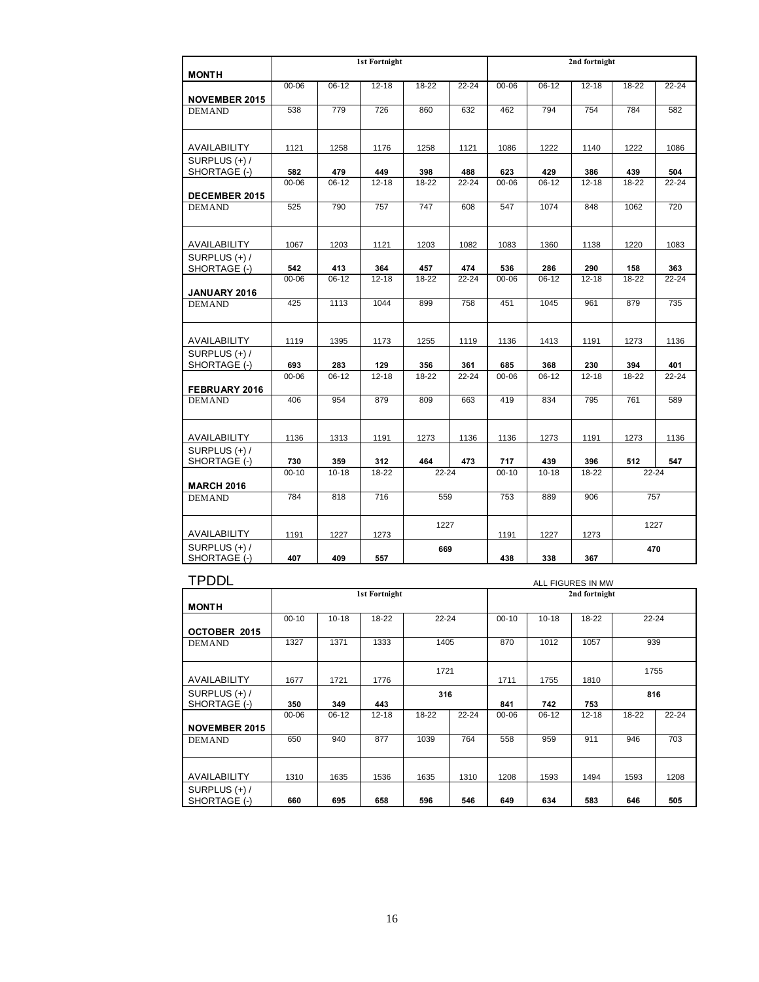| <b>MONTH</b>                    |           |           | <b>1st Fortnight</b> |           |           |           |           | 2nd fortnight |           |           |
|---------------------------------|-----------|-----------|----------------------|-----------|-----------|-----------|-----------|---------------|-----------|-----------|
| <b>NOVEMBER 2015</b>            | $00 - 06$ | $06-12$   | $12 - 18$            | $18 - 22$ | $22 - 24$ | $00 - 06$ | $06 - 12$ | $12 - 18$     | $18 - 22$ | $22 - 24$ |
| <b>DEMAND</b>                   | 538       | 779       | 726                  | 860       | 632       | 462       | 794       | 754           | 784       | 582       |
| AVAILABILITY                    | 1121      | 1258      | 1176                 | 1258      | 1121      | 1086      | 1222      | 1140          | 1222      | 1086      |
| SURPLUS (+) /<br>SHORTAGE (-)   | 582       | 479       | 449                  | 398       | 488       | 623       | 429       | 386           | 439       | 504       |
| <b>DECEMBER 2015</b>            | 00-06     | $06-12$   | $12 - 18$            | 18-22     | $22 - 24$ | $00 - 06$ | $06 - 12$ | $12 - 18$     | 18-22     | $22 - 24$ |
| <b>DEMAND</b>                   | 525       | 790       | 757                  | 747       | 608       | 547       | 1074      | 848           | 1062      | 720       |
| AVAILABILITY                    | 1067      | 1203      | 1121                 | 1203      | 1082      | 1083      | 1360      | 1138          | 1220      | 1083      |
| SURPLUS (+) /<br>SHORTAGE (-)   | 542       | 413       | 364                  | 457       | 474       | 536       | 286       | 290           | 158       | 363       |
| JANUARY 2016                    | $00 - 06$ | $06-12$   | $12 - 18$            | 18-22     | $22 - 24$ | $00 - 06$ | $06 - 12$ | $12 - 18$     | $18 - 22$ | $22 - 24$ |
| <b>DEMAND</b>                   | 425       | 1113      | 1044                 | 899       | 758       | 451       | 1045      | 961           | 879       | 735       |
| AVAILABILITY                    | 1119      | 1395      | 1173                 | 1255      | 1119      | 1136      | 1413      | 1191          | 1273      | 1136      |
| SURPLUS $(+)$ /<br>SHORTAGE (-) | 693       | 283       | 129                  | 356       | 361       | 685       | 368       | 230           | 394       | 401       |
| FEBRUARY 2016                   | 00-06     | $06 - 12$ | $12 - 18$            | 18-22     | 22-24     | $00 - 06$ | $06 - 12$ | $12 - 18$     | 18-22     | $22 - 24$ |
| <b>DEMAND</b>                   | 406       | 954       | 879                  | 809       | 663       | 419       | 834       | 795           | 761       | 589       |
| AVAILABILITY                    | 1136      | 1313      | 1191                 | 1273      | 1136      | 1136      | 1273      | 1191          | 1273      | 1136      |
| SURPLUS (+) /<br>SHORTAGE (-)   | 730       | 359       | 312                  | 464       | 473       | 717       | 439       | 396           | 512       | 547       |
| <b>MARCH 2016</b>               | $00 - 10$ | $10 - 18$ | 18-22                | 22-24     |           | $00 - 10$ | $10 - 18$ | 18-22         | 22-24     |           |
| <b>DEMAND</b>                   | 784       | 818       | 716                  | 559       |           | 753       | 889       | 906           |           | 757       |
| AVAILABILITY                    | 1191      | 1227      | 1273                 | 1227      |           | 1191      | 1227      | 1273          |           | 1227      |
| SURPLUS (+) /<br>SHORTAGE (-)   | 407       | 409       | 557                  | 669       |           | 438       | 338       | 367           |           | 470       |

| <b>TPDDL</b>         | ALL FIGURES IN MW |           |                      |       |           |           |           |               |           |           |  |  |
|----------------------|-------------------|-----------|----------------------|-------|-----------|-----------|-----------|---------------|-----------|-----------|--|--|
|                      |                   |           | <b>1st Fortnight</b> |       |           |           |           | 2nd fortnight |           |           |  |  |
| <b>MONTH</b>         |                   |           |                      |       |           |           |           |               |           |           |  |  |
|                      | $00 - 10$         | $10 - 18$ | 18-22                | 22-24 |           | $00 - 10$ | $10 - 18$ | 18-22         | $22 - 24$ |           |  |  |
| OCTOBER 2015         |                   |           |                      |       |           |           |           |               |           |           |  |  |
| <b>DEMAND</b>        | 1327              | 1371      | 1333                 | 1405  |           | 870       | 1012      | 1057          | 939       |           |  |  |
|                      |                   |           |                      |       |           |           |           |               |           |           |  |  |
|                      |                   |           |                      | 1721  |           |           |           |               |           | 1755      |  |  |
| AVAILABILITY         | 1677              | 1721      | 1776                 |       |           | 1711      | 1755      | 1810          |           |           |  |  |
| SURPLUS $(+)$ /      |                   |           |                      | 316   |           |           |           |               | 816       |           |  |  |
| SHORTAGE (-)         | 350               | 349       | 443                  |       |           | 841       | 742       | 753           |           |           |  |  |
|                      | 00-06             | $06-12$   | $12 - 18$            | 18-22 | $22 - 24$ | $00 - 06$ | $06 - 12$ | $12 - 18$     | 18-22     | $22 - 24$ |  |  |
| <b>NOVEMBER 2015</b> |                   |           |                      |       |           |           |           |               |           |           |  |  |
| <b>DEMAND</b>        | 650               | 940       | 877                  | 1039  | 764       | 558       | 959       | 911           | 946       | 703       |  |  |
|                      |                   |           |                      |       |           |           |           |               |           |           |  |  |
|                      |                   |           |                      |       |           |           |           |               |           |           |  |  |
| AVAILABILITY         | 1310              | 1635      | 1536                 | 1635  | 1310      | 1208      | 1593      | 1494          | 1593      | 1208      |  |  |
| SURPLUS $(+)$ /      |                   |           |                      |       |           |           |           |               |           |           |  |  |
| SHORTAGE (-)         | 660               | 695       | 658                  | 596   | 546       | 649       | 634       | 583           | 646       | 505       |  |  |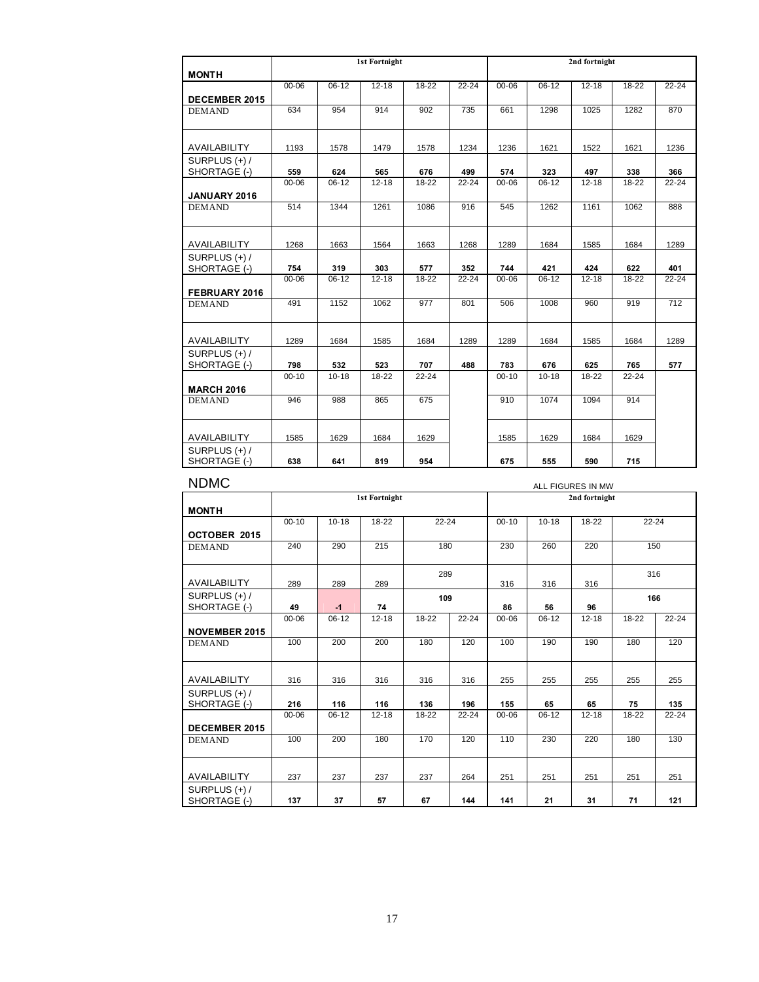|                               |                  |                | <b>1st Fortnight</b> |           |                  | 2nd fortnight    |                  |                  |              |                  |
|-------------------------------|------------------|----------------|----------------------|-----------|------------------|------------------|------------------|------------------|--------------|------------------|
| <b>MONTH</b>                  |                  |                |                      |           |                  |                  |                  |                  |              |                  |
|                               | $00 - 06$        | $06-12$        | $12 - 18$            | 18-22     | $22 - 24$        | $00 - 06$        | $06 - 12$        | $12 - 18$        | 18-22        | $22 - 24$        |
| <b>DECEMBER 2015</b>          |                  |                |                      |           |                  |                  |                  |                  |              |                  |
| <b>DEMAND</b>                 | 634              | 954            | 914                  | 902       | 735              | 661              | 1298             | 1025             | 1282         | 870              |
|                               |                  |                |                      |           |                  |                  |                  |                  |              |                  |
|                               |                  |                |                      |           |                  |                  |                  |                  |              |                  |
| AVAILABILITY                  | 1193             | 1578           | 1479                 | 1578      | 1234             | 1236             | 1621             | 1522             | 1621         | 1236             |
| SURPLUS $(+)$ /               |                  |                |                      |           |                  |                  |                  |                  |              |                  |
| SHORTAGE (-)                  | 559<br>$00 - 06$ | 624<br>$06-12$ | 565<br>$12 - 18$     | 676       | 499<br>$22 - 24$ | 574<br>$00 - 06$ | 323<br>$06 - 12$ | 497<br>$12 - 18$ | 338<br>18-22 | 366<br>$22 - 24$ |
|                               |                  |                |                      | 18-22     |                  |                  |                  |                  |              |                  |
| JANUARY 2016<br><b>DEMAND</b> | 514              | 1344           | 1261                 | 1086      | 916              | 545              | 1262             | 1161             | 1062         | 888              |
|                               |                  |                |                      |           |                  |                  |                  |                  |              |                  |
|                               |                  |                |                      |           |                  |                  |                  |                  |              |                  |
| AVAILABILITY                  | 1268             | 1663           | 1564                 | 1663      | 1268             | 1289             | 1684             | 1585             | 1684         | 1289             |
| SURPLUS (+) /                 |                  |                |                      |           |                  |                  |                  |                  |              |                  |
| SHORTAGE (-)                  | 754              | 319            | 303                  | 577       | 352              | 744              | 421              | 424              | 622          | 401              |
|                               | $00 - 06$        | $06 - 12$      | $12 - 18$            | 18-22     | $22 - 24$        | $00 - 06$        | $06 - 12$        | $12 - 18$        | $18 - 22$    | $22 - 24$        |
| FEBRUARY 2016                 |                  |                |                      |           |                  |                  |                  |                  |              |                  |
| <b>DEMAND</b>                 | 491              | 1152           | 1062                 | 977       | 801              | 506              | 1008             | 960              | 919          | 712              |
|                               |                  |                |                      |           |                  |                  |                  |                  |              |                  |
| AVAILABILITY                  | 1289             | 1684           | 1585                 | 1684      | 1289             | 1289             | 1684             | 1585             | 1684         | 1289             |
| SURPLUS (+) /                 |                  |                |                      |           |                  |                  |                  |                  |              |                  |
| SHORTAGE (-)                  | 798              | 532            | 523                  | 707       | 488              | 783              | 676              | 625              | 765          | 577              |
|                               | $00 - 10$        | $10 - 18$      | 18-22                | $22 - 24$ |                  | $00 - 10$        | $10 - 18$        | 18-22            | $22 - 24$    |                  |
| <b>MARCH 2016</b>             |                  |                |                      |           |                  |                  |                  |                  |              |                  |
| <b>DEMAND</b>                 | 946              | 988            | 865                  | 675       |                  | 910              | 1074             | 1094             | 914          |                  |
|                               |                  |                |                      |           |                  |                  |                  |                  |              |                  |
|                               |                  |                |                      |           |                  |                  |                  |                  |              |                  |
| AVAILABILITY                  | 1585             | 1629           | 1684                 | 1629      |                  | 1585             | 1629             | 1684             | 1629         |                  |
| SURPLUS $(+)$ /               |                  |                |                      |           |                  |                  |                  |                  |              |                  |
| SHORTAGE (-)                  | 638              | 641            | 819                  | 954       |                  | 675              | 555              | 590              | 715          |                  |

| <b>NDMC</b>                     | ALL FIGURES IN MW |           |                      |           |           |           |           |               |           |           |  |  |
|---------------------------------|-------------------|-----------|----------------------|-----------|-----------|-----------|-----------|---------------|-----------|-----------|--|--|
| <b>MONTH</b>                    |                   |           | <b>1st Fortnight</b> |           |           |           |           | 2nd fortnight |           |           |  |  |
| OCTOBER 2015                    | $00 - 10$         | $10 - 18$ | 18-22                | $22 - 24$ |           | $00 - 10$ | $10 - 18$ | $18 - 22$     | $22 - 24$ |           |  |  |
| <b>DEMAND</b>                   | 240               | 290       | 215                  | 180       |           | 230       | 260       | 220           | 150       |           |  |  |
| AVAILABILITY                    | 289               | 289       | 289                  | 289       |           | 316       | 316       | 316           | 316       |           |  |  |
| SURPLUS $(+)$ /<br>SHORTAGE (-) | 49                | $-1$      | 74                   | 109       |           | 86        | 56        | 96            | 166       |           |  |  |
| <b>NOVEMBER 2015</b>            | 00-06             | $06-12$   | $12 - 18$            | 18-22     | $22 - 24$ | $00 - 06$ | $06-12$   | $12 - 18$     | 18-22     | $22 - 24$ |  |  |
| <b>DEMAND</b>                   | 100               | 200       | 200                  | 180       | 120       | 100       | 190       | 190           | 180       | 120       |  |  |
| AVAILABILITY                    | 316               | 316       | 316                  | 316       | 316       | 255       | 255       | 255           | 255       | 255       |  |  |
| SURPLUS $(+)$ /<br>SHORTAGE (-) | 216               | 116       | 116                  | 136       | 196       | 155       | 65        | 65            | 75        | 135       |  |  |
| <b>DECEMBER 2015</b>            | 00-06             | $06 - 12$ | $12 - 18$            | 18-22     | $22 - 24$ | $00 - 06$ | $06 - 12$ | $12 - 18$     | 18-22     | $22 - 24$ |  |  |
| <b>DEMAND</b>                   | 100               | 200       | 180                  | 170       | 120       | 110       | 230       | 220           | 180       | 130       |  |  |
| AVAILABILITY                    | 237               | 237       | 237                  | 237       | 264       | 251       | 251       | 251           | 251       | 251       |  |  |
| SURPLUS $(+)$ /<br>SHORTAGE (-) | 137               | 37        | 57                   | 67        | 144       | 141       | 21        | 31            | 71        | 121       |  |  |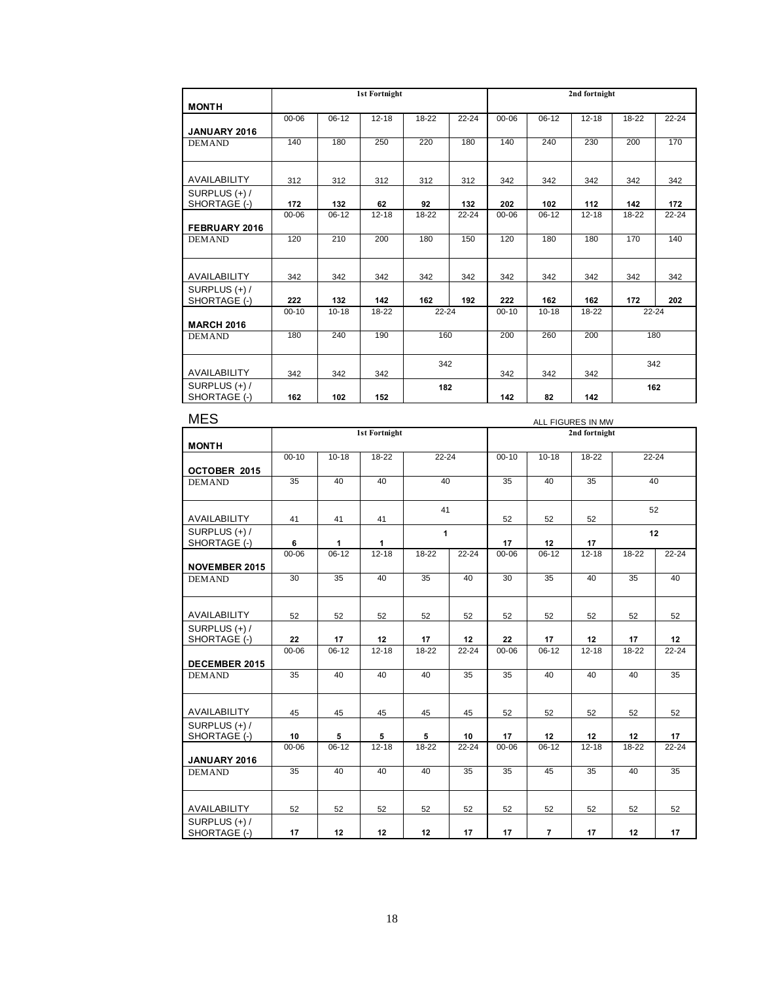|                   |           |           | <b>1st Fortnight</b> |                  |           |           |           | 2nd fortnight |                  |           |
|-------------------|-----------|-----------|----------------------|------------------|-----------|-----------|-----------|---------------|------------------|-----------|
| <b>MONTH</b>      |           |           |                      |                  |           |           |           |               |                  |           |
|                   | $00 - 06$ | $06-12$   | $12 - 18$            | 18-22            | $22 - 24$ | $00 - 06$ | $06 - 12$ | $12 - 18$     | 18-22            | $22 - 24$ |
| JANUARY 2016      |           |           |                      |                  |           |           |           |               |                  |           |
| <b>DEMAND</b>     | 140       | 180       | 250                  | 220              | 180       | 140       | 240       | 230           | 200              | 170       |
|                   |           |           |                      |                  |           |           |           |               |                  |           |
| AVAILABILITY      | 312       | 312       | 312                  | 312              | 312       | 342       | 342       | 342           | 342              | 342       |
| SURPLUS $(+)$ /   |           |           |                      |                  |           |           |           |               |                  |           |
| SHORTAGE (-)      | 172       | 132       | 62                   | 92               | 132       | 202       | 102       | 112           | 142              | 172       |
|                   | $00 - 06$ | $06-12$   | $12 - 18$            | 18-22            | $22 - 24$ | $00 - 06$ | $06 - 12$ | $12 - 18$     | 18-22            | $22 - 24$ |
| FEBRUARY 2016     |           |           |                      |                  |           |           |           |               |                  |           |
| <b>DEMAND</b>     | 120       | 210       | 200                  | 180              | 150       | 120       | 180       | 180           | 170              | 140       |
|                   |           |           |                      |                  |           |           |           |               |                  |           |
|                   |           |           |                      |                  |           |           |           |               |                  |           |
| AVAILABILITY      | 342       | 342       | 342                  | 342              | 342       | 342       | 342       | 342           | 342              | 342       |
| SURPLUS $(+)$ /   |           |           |                      |                  |           |           |           |               |                  |           |
| SHORTAGE (-)      | 222       | 132       | 142                  | 162<br>$22 - 24$ | 192       | 222       | 162       | 162           | 172<br>$22 - 24$ | 202       |
|                   | $00 - 10$ | $10 - 18$ | 18-22                |                  |           | $00 - 10$ | $10 - 18$ | $18 - 22$     |                  |           |
| <b>MARCH 2016</b> |           |           |                      |                  |           |           |           |               |                  |           |
| <b>DEMAND</b>     | 180       | 240       | 190                  | 160              |           | 200       | 260       | 200           |                  | 180       |
|                   |           |           |                      |                  |           |           |           |               |                  |           |
|                   |           |           |                      | 342              |           |           |           |               |                  | 342       |
| AVAILABILITY      | 342       | 342       | 342                  |                  |           | 342       | 342       | 342           |                  |           |
| SURPLUS $(+)$ /   |           |           |                      | 182              |           |           |           |               |                  | 162       |
| SHORTAGE (-)      | 162       | 102       | 152                  |                  |           | 142       | 82        | 142           |                  |           |

| <b>MES</b>                    | ALL FIGURES IN MW |           |                      |              |           |           |                |               |           |           |
|-------------------------------|-------------------|-----------|----------------------|--------------|-----------|-----------|----------------|---------------|-----------|-----------|
|                               |                   |           | <b>1st Fortnight</b> |              |           |           |                | 2nd fortnight |           |           |
| <b>MONTH</b>                  |                   |           |                      |              |           |           |                |               |           |           |
|                               | $00 - 10$         | $10 - 18$ | $18 - 22$            | $22 - 24$    |           | $00 - 10$ | $10 - 18$      | $18 - 22$     | $22 - 24$ |           |
| OCTOBER 2015                  |                   |           |                      |              |           |           |                |               |           |           |
| <b>DEMAND</b>                 | 35                | 40        | 40                   | 40           |           | 35        | 40             | 35            | 40        |           |
|                               |                   |           |                      | 41           |           |           |                |               | 52        |           |
| AVAILABILITY                  | 41                | 41        | 41                   |              |           | 52        | 52             | 52            |           |           |
| SURPLUS (+) /                 |                   |           |                      | $\mathbf{1}$ |           |           |                |               | 12        |           |
| SHORTAGE (-)                  | 6                 | 1         | 1                    |              |           | 17        | 12             | 17            |           |           |
|                               | 00-06             | $06-12$   | $12 - 18$            | 18-22        | $22 - 24$ | $00 - 06$ | $06 - 12$      | $12 - 18$     | 18-22     | $22 - 24$ |
| <b>NOVEMBER 2015</b>          |                   |           |                      |              |           |           |                |               |           |           |
| <b>DEMAND</b>                 | 30                | 35        | 40                   | 35           | 40        | 30        | 35             | 40            | 35        | 40        |
|                               |                   |           |                      |              |           |           |                |               |           |           |
| AVAILABILITY                  | 52                | 52        | 52                   | 52           | 52        | 52        | 52             | 52            | 52        | 52        |
| SURPLUS (+) /                 |                   |           |                      |              |           |           |                |               |           |           |
| SHORTAGE (-)                  | 22                | 17        | 12                   | 17           | 12        | 22        | 17             | 12            | 17        | 12        |
| DECEMBER 2015                 | 00-06             | $06-12$   | $12 - 18$            | 18-22        | $22 - 24$ | $00 - 06$ | $06 - 12$      | $12 - 18$     | 18-22     | $22 - 24$ |
| <b>DEMAND</b>                 | 35                | 40        | 40                   | 40           | 35        | 35        | 40             | 40            | 40        | 35        |
|                               |                   |           |                      |              |           |           |                |               |           |           |
| AVAILABILITY                  | 45                | 45        | 45                   | 45           | 45        | 52        | 52             | 52            | 52        | 52        |
| SURPLUS (+) /<br>SHORTAGE (-) | 10                | 5         | 5                    | 5            | 10        | 17        | 12             | 12            | 12        | 17        |
|                               | 00-06             | $06-12$   | $12 - 18$            | $18 - 22$    | $22 - 24$ | $00 - 06$ | $06 - 12$      | $12 - 18$     | 18-22     | $22 - 24$ |
| JANUARY 2016                  |                   |           |                      |              |           |           |                |               |           |           |
| <b>DEMAND</b>                 | 35                | 40        | 40                   | 40           | 35        | 35        | 45             | 35            | 40        | 35        |
|                               |                   |           |                      |              |           |           |                |               |           |           |
| AVAILABILITY                  | 52                | 52        | 52                   | 52           | 52        | 52        | 52             | 52            | 52        | 52        |
| SURPLUS (+) /<br>SHORTAGE (-) | 17                | 12        | 12                   | 12           | 17        | 17        | $\overline{7}$ | 17            | 12        | 17        |
|                               |                   |           |                      |              |           |           |                |               |           |           |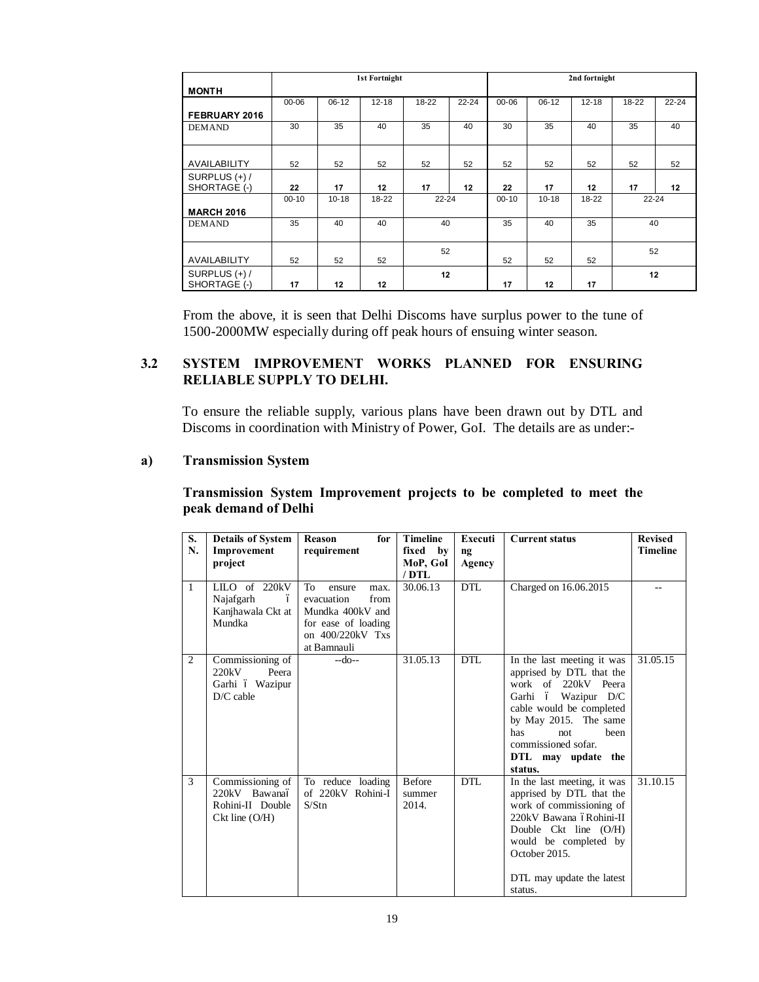|                   |           | 1st Fortnight |           |       |           |           | 2nd fortnight |           |       |           |
|-------------------|-----------|---------------|-----------|-------|-----------|-----------|---------------|-----------|-------|-----------|
| <b>MONTH</b>      |           |               |           |       |           |           |               |           |       |           |
|                   | $00 - 06$ | $06-12$       | $12 - 18$ | 18-22 | $22 - 24$ | $00 - 06$ | $06 - 12$     | $12 - 18$ | 18-22 | $22 - 24$ |
| FEBRUARY 2016     |           |               |           |       |           |           |               |           |       |           |
| <b>DEMAND</b>     | 30        | 35            | 40        | 35    | 40        | 30        | 35            | 40        | 35    | 40        |
|                   |           |               |           |       |           |           |               |           |       |           |
| AVAILABILITY      | 52        | 52            | 52        | 52    | 52        | 52        | 52            | 52        | 52    | 52        |
| SURPLUS $(+)$ /   |           |               |           |       |           |           |               |           |       |           |
| SHORTAGE (-)      | 22        | 17            | 12        | 17    | 12        | 22        | 17            | 12        | 17    | 12        |
|                   | $00 - 10$ | $10 - 18$     | 18-22     | 22-24 |           | $00 - 10$ | $10 - 18$     | 18-22     |       | $22 - 24$ |
| <b>MARCH 2016</b> |           |               |           |       |           |           |               |           |       |           |
| <b>DEMAND</b>     | 35        | 40            | 40        | 40    |           | 35        | 40            | 35        |       | 40        |
|                   |           |               |           |       |           |           |               |           |       |           |
|                   |           |               |           | 52    |           |           |               |           |       | 52        |
| AVAILABILITY      | 52        | 52            | 52        |       |           | 52        | 52            | 52        |       |           |
| SURPLUS $(+)$ /   |           |               |           | 12    |           |           |               |           |       | 12        |
| SHORTAGE (-)      | 17        | 12            | 12        |       |           | 17        | 12            | 17        |       |           |

From the above, it is seen that Delhi Discoms have surplus power to the tune of 1500-2000MW especially during off peak hours of ensuing winter season.

# **3.2 SYSTEM IMPROVEMENT WORKS PLANNED FOR ENSURING RELIABLE SUPPLY TO DELHI.**

To ensure the reliable supply, various plans have been drawn out by DTL and Discoms in coordination with Ministry of Power, GoI. The details are as under:-

### **a) Transmission System**

# **Transmission System Improvement projects to be completed to meet the peak demand of Delhi**

| S.             | <b>Details of System</b>          | for<br>Reason                          | <b>Timeline</b> | Executi    | <b>Current status</b>                                | <b>Revised</b>  |
|----------------|-----------------------------------|----------------------------------------|-----------------|------------|------------------------------------------------------|-----------------|
| N.             | Improvement                       | requirement                            | fixed by        | nq         |                                                      | <b>Timeline</b> |
|                | project                           |                                        | MoP, GoI        | Agency     |                                                      |                 |
|                |                                   |                                        | / DTL           |            |                                                      |                 |
| $\mathbf{1}$   | LILO of 220kV                     | To<br>ensure<br>max.                   | 30.06.13        | <b>DTL</b> | Charged on 16.06.2015                                | $-$             |
|                | Najafgarh<br>ó                    | evacuation<br>from                     |                 |            |                                                      |                 |
|                | Kanjhawala Ckt at                 | Mundka 400kV and                       |                 |            |                                                      |                 |
|                | Mundka                            | for ease of loading                    |                 |            |                                                      |                 |
|                |                                   | on 400/220kV Txs                       |                 |            |                                                      |                 |
|                |                                   | at Bamnauli                            |                 |            |                                                      |                 |
| $\overline{c}$ | Commissioning of                  | $-do-$                                 | 31.05.13        | <b>DTL</b> | In the last meeting it was                           | 31.05.15        |
|                | 220kV<br>Peera                    |                                        |                 |            | apprised by DTL that the                             |                 |
|                | Garhi ó Wazipur                   |                                        |                 |            | work of 220kV Peera                                  |                 |
|                | $D/C$ cable                       |                                        |                 |            | Garhi ó Wazipur D/C                                  |                 |
|                |                                   |                                        |                 |            | cable would be completed                             |                 |
|                |                                   |                                        |                 |            | by May 2015. The same                                |                 |
|                |                                   |                                        |                 |            | has<br>been<br>not                                   |                 |
|                |                                   |                                        |                 |            | commissioned sofar.                                  |                 |
|                |                                   |                                        |                 |            | DTL may update the                                   |                 |
|                |                                   |                                        |                 |            | status.                                              |                 |
| 3              | Commissioning of<br>220kV Bawanaó | To reduce loading<br>of 220kV Rohini-I | <b>Before</b>   | <b>DTL</b> | In the last meeting, it was                          | 31.10.15        |
|                | Rohini-II Double                  | S/Stn                                  | summer<br>2014. |            | apprised by DTL that the<br>work of commissioning of |                 |
|                | $Ckt$ line $(O/H)$                |                                        |                 |            | 220kV Bawana óRohini-II                              |                 |
|                |                                   |                                        |                 |            | Double $Ckt$ line $(O/H)$                            |                 |
|                |                                   |                                        |                 |            | would be completed by                                |                 |
|                |                                   |                                        |                 |            | October 2015.                                        |                 |
|                |                                   |                                        |                 |            |                                                      |                 |
|                |                                   |                                        |                 |            | DTL may update the latest                            |                 |
|                |                                   |                                        |                 |            | status.                                              |                 |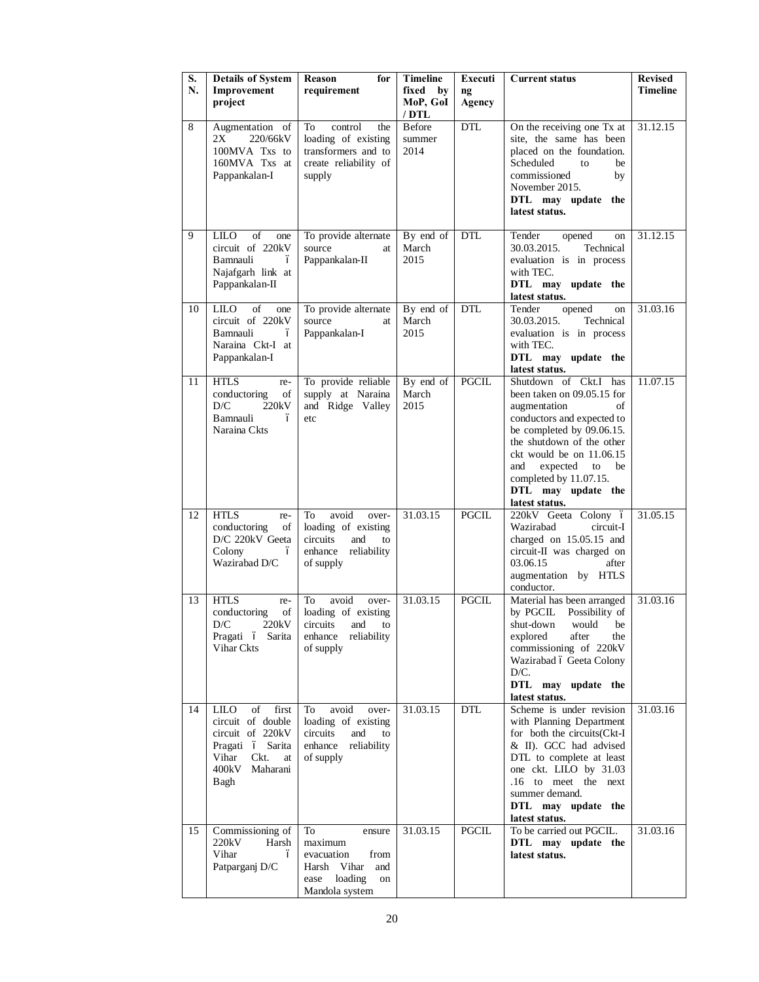| S.<br>N. | <b>Details of System</b><br>Improvement                                                                                              | Reason<br>for<br>requirement                                                                                | <b>Timeline</b><br>fixed<br>by | <b>Executi</b><br>ng | <b>Current status</b>                                                                                                                                                                                                                                                                          | Revised<br>Timeline |
|----------|--------------------------------------------------------------------------------------------------------------------------------------|-------------------------------------------------------------------------------------------------------------|--------------------------------|----------------------|------------------------------------------------------------------------------------------------------------------------------------------------------------------------------------------------------------------------------------------------------------------------------------------------|---------------------|
|          | project                                                                                                                              |                                                                                                             | MoP, GoI<br>/ DTL              | <b>Agency</b>        |                                                                                                                                                                                                                                                                                                |                     |
| 8        | Augmentation of<br>2X<br>220/66kV<br>100MVA Txs to<br>160MVA Txs at<br>Pappankalan-I                                                 | control<br>the<br>To<br>loading of existing<br>transformers and to<br>create reliability of<br>supply       | Before<br>summer<br>2014       | <b>DTL</b>           | On the receiving one Tx at<br>site, the same has been<br>placed on the foundation.<br>Scheduled<br>be<br>to<br>commissioned<br>by<br>November 2015.<br>DTL may update the<br>latest status.                                                                                                    | 31.12.15            |
| 9        | LILO<br>οf<br>one<br>circuit of 220kV<br>Bamnauli<br>ó<br>Najafgarh link at<br>Pappankalan-II                                        | To provide alternate<br>source<br>at<br>Pappankalan-II                                                      | By end of<br>March<br>2015     | <b>DTL</b>           | Tender<br>opened<br>on<br>30.03.2015.<br>Technical<br>evaluation is in process<br>with TEC.<br>DTL may update the<br>latest status.                                                                                                                                                            | 31.12.15            |
| 10       | LILO<br>of<br>one<br>circuit of 220kV<br>Bamnauli<br>ó<br>Naraina Ckt-I at<br>Pappankalan-I                                          | To provide alternate<br>source<br>at<br>Pappankalan-I                                                       | By end of<br>March<br>2015     | <b>DTL</b>           | Tender<br>opened<br>on<br>30.03.2015.<br>Technical<br>evaluation is in process<br>with TEC.<br>DTL may update the<br>latest status.                                                                                                                                                            | 31.03.16            |
| 11       | <b>HTLS</b><br>re-<br>conductoring<br>of<br>D/C<br>220kV<br>Bamnauli<br>ó<br>Naraina Ckts                                            | To provide reliable<br>supply at Naraina<br>and Ridge Valley<br>etc                                         | By end of<br>March<br>2015     | PGCIL                | Shutdown of Ckt.I has<br>been taken on 09.05.15 for<br>augmentation<br>of<br>conductors and expected to<br>be completed by 09.06.15.<br>the shutdown of the other<br>ckt would be on 11.06.15<br>expected<br>and<br>to<br>be<br>completed by 11.07.15.<br>DTL may update the<br>latest status. | 11.07.15            |
| 12       | <b>HTLS</b><br>re-<br>conductoring<br>of<br>D/C 220kV Geeta<br>Colony<br>ó<br>Wazirabad D/C                                          | avoid<br>To<br>over-<br>loading of existing<br>circuits<br>and<br>to<br>enhance reliability<br>of supply    | 31.03.15                       | <b>PGCIL</b>         | 220kV Geeta Colony ó<br>Wazirabad<br>circuit-I<br>charged on 15.05.15 and<br>circuit-II was charged on<br>03.06.15<br>after<br>augmentation by HTLS<br>conductor.                                                                                                                              | 31.05.15            |
| 13       | <b>HTLS</b><br>re-<br>conductoring<br>of  <br>220kV<br>D/C<br>Pragati ó Sarita<br>Vihar Ckts                                         | avoid<br>To<br>over-<br>loading of existing<br>circuits and to<br>enhance reliability<br>of supply          | 31.03.15                       | PGCIL                | Material has been arranged<br>by PGCIL Possibility of<br>shut-down would be<br>explored<br>after<br>the<br>commissioning of 220kV<br>Wazirabad ó Geeta Colony<br>D/C.<br>DTL may update the<br>latest status.                                                                                  | 31.03.16            |
| 14       | LILO<br>of<br>first<br>circuit of double<br>circuit of 220kV<br>Pragati ó Sarita<br>Vihar<br>Ckt.<br>at<br>400kV<br>Maharani<br>Bagh | To<br>avoid<br>over-<br>loading of existing<br>circuits<br>and<br>to<br>enhance<br>reliability<br>of supply | 31.03.15                       | <b>DTL</b>           | Scheme is under revision<br>with Planning Department<br>for both the circuits(Ckt-I<br>& II). GCC had advised<br>DTL to complete at least<br>one ckt. LILO by 31.03<br>.16 to meet the next<br>summer demand.<br>DTL may update the<br>latest status.                                          | 31.03.16            |
| 15       | Commissioning of<br>220kV<br>Harsh<br>Vihar<br>ó<br>Patparganj D/C                                                                   | To<br>ensure<br>maximum<br>evacuation<br>from<br>Harsh Vihar<br>and<br>ease loading<br>on<br>Mandola system | 31.03.15                       | <b>PGCIL</b>         | To be carried out PGCIL.<br>DTL may update the<br>latest status.                                                                                                                                                                                                                               | 31.03.16            |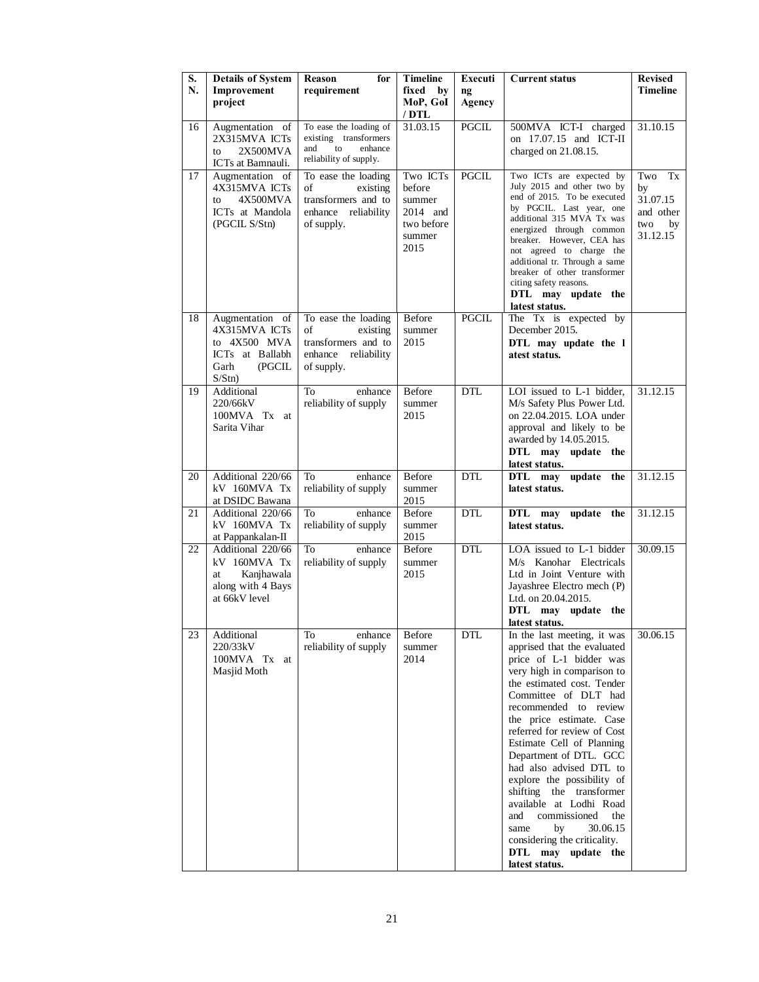| S.<br>N. | <b>Details of System</b><br>Improvement<br>project                                                          | Reason<br>for<br>requirement                                                                      | <b>Timeline</b><br>fixed<br>$-$ by<br>MoP, GoI                           | Executi<br>$\mathbf{n}\mathbf{g}$<br><b>Agency</b> | <b>Current status</b>                                                                                                                                                                                                                                                                                                                                                                                                                                                                                                                                                | <b>Revised</b><br>Timeline                                        |
|----------|-------------------------------------------------------------------------------------------------------------|---------------------------------------------------------------------------------------------------|--------------------------------------------------------------------------|----------------------------------------------------|----------------------------------------------------------------------------------------------------------------------------------------------------------------------------------------------------------------------------------------------------------------------------------------------------------------------------------------------------------------------------------------------------------------------------------------------------------------------------------------------------------------------------------------------------------------------|-------------------------------------------------------------------|
|          |                                                                                                             |                                                                                                   | / DTL                                                                    |                                                    |                                                                                                                                                                                                                                                                                                                                                                                                                                                                                                                                                                      |                                                                   |
| 16       | Augmentation of<br>2X315MVA ICTs<br>2X500MVA<br>to                                                          | To ease the loading of<br>existing transformers<br>and<br>to<br>enhance<br>reliability of supply. | 31.03.15                                                                 | PGCIL                                              | 500MVA ICT-I charged<br>on 17.07.15 and ICT-II<br>charged on 21.08.15.                                                                                                                                                                                                                                                                                                                                                                                                                                                                                               | 31.10.15                                                          |
| 17       | ICTs at Bamnauli.<br>Augmentation of<br>4X315MVA ICTs<br>4X500MVA<br>to<br>ICTs at Mandola<br>(PGCIL S/Stn) | To ease the loading<br>οf<br>existing<br>transformers and to<br>enhance reliability<br>of supply. | Two ICTs<br>before<br>summer<br>2014 and<br>two before<br>summer<br>2015 | PGCIL                                              | Two ICTs are expected by<br>July 2015 and other two by<br>end of 2015. To be executed<br>by PGCIL. Last year, one<br>additional 315 MVA Tx was<br>energized through common<br>breaker. However, CEA has<br>not agreed to charge the<br>additional tr. Through a same<br>breaker of other transformer<br>citing safety reasons.<br>DTL may update the<br>latest status.                                                                                                                                                                                               | Two<br>Tx<br>by<br>31.07.15<br>and other<br>two<br>by<br>31.12.15 |
| 18       | Augmentation of<br>4X315MVA ICTs<br>to 4X500 MVA<br>ICTs at Ballabh<br>Garh<br>(PGCIL<br>S/Stn)             | To ease the loading<br>existing<br>οf<br>transformers and to<br>enhance reliability<br>of supply. | <b>Before</b><br>summer<br>2015                                          | <b>PGCIL</b>                                       | The Tx is expected by<br>December 2015.<br>DTL may update the 1<br>atest status.                                                                                                                                                                                                                                                                                                                                                                                                                                                                                     |                                                                   |
| 19       | Additional<br>220/66kV<br>100MVA Tx at<br>Sarita Vihar                                                      | enhance<br>To<br>reliability of supply                                                            | <b>Before</b><br>summer<br>2015                                          | <b>DTL</b>                                         | LOI issued to L-1 bidder,<br>M/s Safety Plus Power Ltd.<br>on 22.04.2015. LOA under<br>approval and likely to be<br>awarded by 14.05.2015.<br>DTL may update the<br>latest status.                                                                                                                                                                                                                                                                                                                                                                                   | 31.12.15                                                          |
| 20       | Additional 220/66<br>kV 160MVA Tx<br>at DSIDC Bawana                                                        | enhance<br>To<br>reliability of supply                                                            | Before<br>summer<br>2015                                                 | <b>DTL</b>                                         | update the<br>DTL may<br>latest status.                                                                                                                                                                                                                                                                                                                                                                                                                                                                                                                              | 31.12.15                                                          |
| 21       | Additional 220/66<br>kV 160MVA Tx<br>at Pappankalan-II                                                      | <b>To</b><br>enhance<br>reliability of supply                                                     | <b>Before</b><br>summer<br>2015                                          | <b>DTL</b>                                         | DTL may update the<br>latest status.                                                                                                                                                                                                                                                                                                                                                                                                                                                                                                                                 | 31.12.15                                                          |
| 22       | Additional 220/66<br>kV 160MVA Tx<br>Kanjhawala<br>at<br>along with 4 Bays<br>at 66kV level                 | To<br>enhance<br>reliability of supply                                                            | <b>Before</b><br>summer<br>2015                                          | DTL                                                | LOA issued to L-1 bidder<br>M/s Kanohar Electricals<br>Ltd in Joint Venture with<br>Jayashree Electro mech (P)<br>Ltd. on 20.04.2015.<br>DTL may update the<br>latest status.                                                                                                                                                                                                                                                                                                                                                                                        | 30.09.15                                                          |
| 23       | Additional<br>220/33kV<br>100MVA Tx at<br>Masjid Moth                                                       | enhance<br>To<br>reliability of supply                                                            | Before<br>summer<br>2014                                                 | <b>DTL</b>                                         | In the last meeting, it was<br>apprised that the evaluated<br>price of L-1 bidder was<br>very high in comparison to<br>the estimated cost. Tender<br>Committee of DLT had<br>recommended to review<br>the price estimate. Case<br>referred for review of Cost<br>Estimate Cell of Planning<br>Department of DTL. GCC<br>had also advised DTL to<br>explore the possibility of<br>shifting the transformer<br>available at Lodhi Road<br>commissioned<br>and<br>the<br>30.06.15<br>same<br>by<br>considering the criticality.<br>DTL may update the<br>latest status. | 30.06.15                                                          |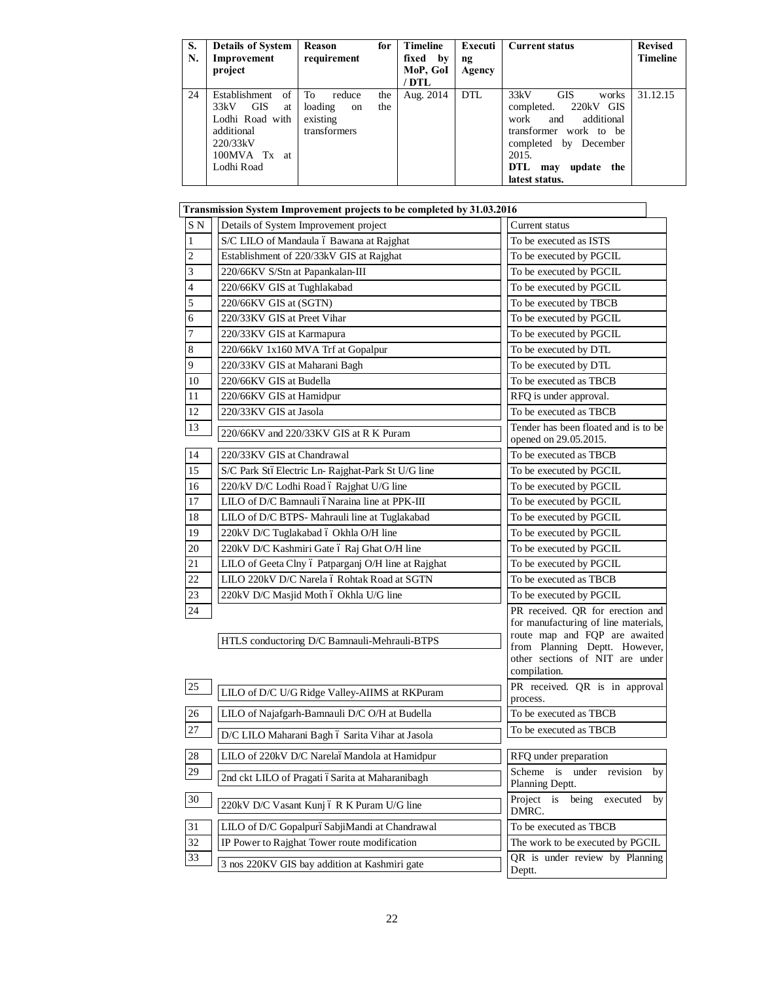| S.<br>N. | <b>Details of System</b><br>Improvement<br>project                                                                         | Reason<br>requirement                                                | for        | <b>Timeline</b><br>fixed by<br>MoP, GoI<br>' DTL | Executi<br>ng<br>Agency | <b>Current status</b>                                                                                                                                                                         | <b>Revised</b><br><b>Timeline</b> |
|----------|----------------------------------------------------------------------------------------------------------------------------|----------------------------------------------------------------------|------------|--------------------------------------------------|-------------------------|-----------------------------------------------------------------------------------------------------------------------------------------------------------------------------------------------|-----------------------------------|
| 24       | of<br>Establishment<br><b>GIS</b><br>33kV<br>at<br>Lodhi Road with<br>additional<br>220/33kV<br>100MVA Tx at<br>Lodhi Road | To<br>reduce<br>loading<br><sub>on</sub><br>existing<br>transformers | the<br>the | Aug. 2014                                        | DTL                     | 33kV<br><b>GIS</b><br>works<br>220kV GIS<br>completed.<br>additional<br>and<br>work<br>transformer work to be<br>completed by December<br>2015.<br>DTL<br>update the<br>may<br>latest status. | 31.12.15                          |

|                | Transmission System Improvement projects to be completed by 31.03.2016 |                                                                                                                                                                                               |  |  |  |  |
|----------------|------------------------------------------------------------------------|-----------------------------------------------------------------------------------------------------------------------------------------------------------------------------------------------|--|--|--|--|
| S <sub>N</sub> | Details of System Improvement project                                  | Current status                                                                                                                                                                                |  |  |  |  |
| $\mathbf{1}$   | S/C LILO of Mandaula ó Bawana at Rajghat                               | To be executed as ISTS                                                                                                                                                                        |  |  |  |  |
| $\sqrt{2}$     | Establishment of 220/33kV GIS at Rajghat                               | To be executed by PGCIL                                                                                                                                                                       |  |  |  |  |
| 3              | 220/66KV S/Stn at Papankalan-III                                       | To be executed by PGCIL                                                                                                                                                                       |  |  |  |  |
| $\overline{4}$ | 220/66KV GIS at Tughlakabad                                            | To be executed by PGCIL                                                                                                                                                                       |  |  |  |  |
| 5              | 220/66KV GIS at (SGTN)                                                 | To be executed by TBCB                                                                                                                                                                        |  |  |  |  |
| 6              | 220/33KV GIS at Preet Vihar                                            | To be executed by PGCIL                                                                                                                                                                       |  |  |  |  |
| 7              | 220/33KV GIS at Karmapura                                              | To be executed by PGCIL                                                                                                                                                                       |  |  |  |  |
| $\,8\,$        | 220/66kV 1x160 MVA Trf at Gopalpur                                     | To be executed by DTL                                                                                                                                                                         |  |  |  |  |
| 9              | 220/33KV GIS at Maharani Bagh                                          | To be executed by DTL                                                                                                                                                                         |  |  |  |  |
| 10             | 220/66KV GIS at Budella                                                | To be executed as TBCB                                                                                                                                                                        |  |  |  |  |
| 11             | 220/66KV GIS at Hamidpur                                               | RFQ is under approval.                                                                                                                                                                        |  |  |  |  |
| 12             | 220/33KV GIS at Jasola                                                 | To be executed as TBCB                                                                                                                                                                        |  |  |  |  |
| 13             | 220/66KV and 220/33KV GIS at R K Puram                                 | Tender has been floated and is to be<br>opened on 29.05.2015.                                                                                                                                 |  |  |  |  |
| 14             | 220/33KV GIS at Chandrawal                                             | To be executed as TBCB                                                                                                                                                                        |  |  |  |  |
| 15             | S/C Park StóElectric Ln- Rajghat-Park St U/G line                      | To be executed by PGCIL                                                                                                                                                                       |  |  |  |  |
| 16             | 220/kV D/C Lodhi Road ó Rajghat U/G line                               | To be executed by PGCIL                                                                                                                                                                       |  |  |  |  |
| $17\,$         | LILO of D/C Bamnauli óNaraina line at PPK-III                          | To be executed by PGCIL                                                                                                                                                                       |  |  |  |  |
| 18             | LILO of D/C BTPS- Mahrauli line at Tuglakabad                          | To be executed by PGCIL                                                                                                                                                                       |  |  |  |  |
| 19             | 220kV D/C Tuglakabad ó Okhla O/H line                                  | To be executed by PGCIL                                                                                                                                                                       |  |  |  |  |
| 20             | 220kV D/C Kashmiri Gate ó Raj Ghat O/H line                            | To be executed by PGCIL                                                                                                                                                                       |  |  |  |  |
| 21             | LILO of Geeta Clny ó Patparganj O/H line at Rajghat                    | To be executed by PGCIL                                                                                                                                                                       |  |  |  |  |
| 22             | LILO 220kV D/C Narela ó Rohtak Road at SGTN                            | To be executed as TBCB                                                                                                                                                                        |  |  |  |  |
| 23             | 220kV D/C Masjid Moth ó Okhla U/G line                                 | To be executed by PGCIL                                                                                                                                                                       |  |  |  |  |
| 24             | HTLS conductoring D/C Bamnauli-Mehrauli-BTPS                           | PR received. QR for erection and<br>for manufacturing of line materials,<br>route map and FQP are awaited<br>from Planning Deptt. However,<br>other sections of NIT are under<br>compilation. |  |  |  |  |
| 25             | LILO of D/C U/G Ridge Valley-AIIMS at RKPuram                          | PR received. QR is in approval<br>process.                                                                                                                                                    |  |  |  |  |
| 26             | LILO of Najafgarh-Bamnauli D/C O/H at Budella                          | To be executed as TBCB                                                                                                                                                                        |  |  |  |  |
| $27\,$         | D/C LILO Maharani Bagh ó Sarita Vihar at Jasola                        | To be executed as TBCB                                                                                                                                                                        |  |  |  |  |
| $28\,$         | LILO of 220kV D/C NarelaóMandola at Hamidpur                           | RFQ under preparation                                                                                                                                                                         |  |  |  |  |
| 29             | 2nd ckt LILO of Pragati óSarita at Maharanibagh                        | Scheme is<br>under revision<br>by<br>Planning Deptt.                                                                                                                                          |  |  |  |  |
| 30             | 220kV D/C Vasant Kunj ó R K Puram U/G line                             | Project is<br>being<br>executed<br>by<br>DMRC.                                                                                                                                                |  |  |  |  |
| 31             | LILO of D/C GopalpuróSabjiMandi at Chandrawal                          | To be executed as TBCB                                                                                                                                                                        |  |  |  |  |
| 32             | IP Power to Rajghat Tower route modification                           | The work to be executed by PGCIL                                                                                                                                                              |  |  |  |  |
| 33             | 3 nos 220KV GIS bay addition at Kashmiri gate                          | QR is under review by Planning<br>Deptt.                                                                                                                                                      |  |  |  |  |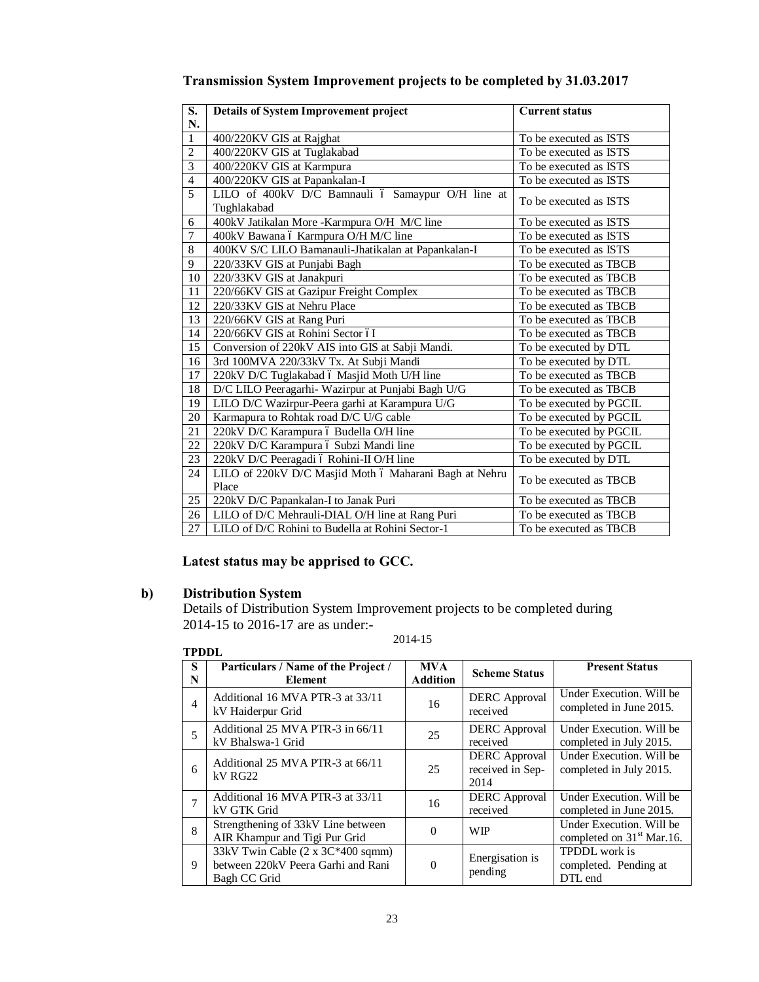| $\overline{\mathbf{S}}$ . | <b>Details of System Improvement project</b>                     | <b>Current status</b>   |
|---------------------------|------------------------------------------------------------------|-------------------------|
| N.                        |                                                                  |                         |
| $\overline{1}$            | 400/220KV GIS at Rajghat                                         | To be executed as ISTS  |
| $\overline{2}$            | 400/220KV GIS at Tuglakabad                                      | To be executed as ISTS  |
| $\overline{3}$            | 400/220KV GIS at Karmpura                                        | To be executed as ISTS  |
| $\overline{4}$            | 400/220KV GIS at Papankalan-I                                    | To be executed as ISTS  |
| 5                         | LILO of 400kV D/C Bamnauli ó Samaypur O/H line at<br>Tughlakabad | To be executed as ISTS  |
| 6                         | 400kV Jatikalan More -Karmpura O/H M/C line                      | To be executed as ISTS  |
| $\overline{7}$            | 400kV Bawana ó Karmpura O/H M/C line                             | To be executed as ISTS  |
| 8                         | 400KV S/C LILO Bamanauli-Jhatikalan at Papankalan-I              | To be executed as ISTS  |
| 9                         | 220/33KV GIS at Punjabi Bagh                                     | To be executed as TBCB  |
| 10                        | 220/33KV GIS at Janakpuri                                        | To be executed as TBCB  |
| 11                        | 220/66KV GIS at Gazipur Freight Complex                          | To be executed as TBCB  |
| 12                        | 220/33KV GIS at Nehru Place                                      | To be executed as TBCB  |
| 13                        | 220/66KV GIS at Rang Puri                                        | To be executed as TBCB  |
| 14                        | 220/66KV GIS at Rohini Sector óI                                 | To be executed as TBCB  |
| 15                        | Conversion of 220kV AIS into GIS at Sabji Mandi.                 | To be executed by DTL   |
| 16                        | 3rd 100MVA 220/33kV Tx. At Subji Mandi                           | To be executed by DTL   |
| 17                        | 220kV D/C Tuglakabad ó Masjid Moth U/H line                      | To be executed as TBCB  |
| 18                        | D/C LILO Peeragarhi- Wazirpur at Punjabi Bagh U/G                | To be executed as TBCB  |
| 19                        | LILO D/C Wazirpur-Peera garhi at Karampura U/G                   | To be executed by PGCIL |
| 20                        | Karmapura to Rohtak road D/C U/G cable                           | To be executed by PGCIL |
| 21                        | 220kV D/C Karampura ó Budella O/H line                           | To be executed by PGCIL |
| 22                        | 220kV D/C Karampura ó Subzi Mandi line                           | To be executed by PGCIL |
| 23                        | 220kV D/C Peeragadi ó Rohini-II O/H line                         | To be executed by DTL   |
| 24                        | LILO of 220kV D/C Masjid Moth ó Maharani Bagh at Nehru<br>Place  | To be executed as TBCB  |
| 25                        | 220kV D/C Papankalan-I to Janak Puri                             | To be executed as TBCB  |
| 26                        | LILO of D/C Mehrauli-DIAL O/H line at Rang Puri                  | To be executed as TBCB  |
| 27                        | LILO of D/C Rohini to Budella at Rohini Sector-1                 | To be executed as TBCB  |

**Transmission System Improvement projects to be completed by 31.03.2017**

# **Latest status may be apprised to GCC.**

# **b) Distribution System**

Details of Distribution System Improvement projects to be completed during 2014-15 to 2016-17 are as under:-

2014-15

| <b>TPDDL</b>   |                                                                                         |                               |                                                  |                                                                   |
|----------------|-----------------------------------------------------------------------------------------|-------------------------------|--------------------------------------------------|-------------------------------------------------------------------|
| S<br>N         | Particulars / Name of the Project /<br>Element                                          | <b>MVA</b><br><b>Addition</b> | <b>Scheme Status</b>                             | <b>Present Status</b>                                             |
| $\overline{4}$ | Additional 16 MVA PTR-3 at 33/11<br>kV Haiderpur Grid                                   | 16                            | <b>DERC</b> Approval<br>received                 | Under Execution. Will be<br>completed in June 2015.               |
| 5              | Additional 25 MVA PTR-3 in 66/11<br>kV Bhalswa-1 Grid                                   | 25                            | <b>DERC</b> Approval<br>received                 | Under Execution. Will be<br>completed in July 2015.               |
| 6              | Additional 25 MVA PTR-3 at 66/11<br>$kV$ RG22                                           | 25                            | <b>DERC</b> Approval<br>received in Sep-<br>2014 | Under Execution. Will be<br>completed in July 2015.               |
|                | Additional 16 MVA PTR-3 at 33/11<br>kV GTK Grid                                         | 16                            | <b>DERC</b> Approval<br>received                 | Under Execution. Will be<br>completed in June 2015.               |
| $\mathbf{8}$   | Strengthening of 33kV Line between<br>AIR Khampur and Tigi Pur Grid                     | $\Omega$                      | <b>WIP</b>                                       | Under Execution. Will be<br>completed on 31 <sup>st</sup> Mar.16. |
| 9              | 33kV Twin Cable (2 x 3C*400 sqmm)<br>between 220kV Peera Garhi and Rani<br>Bagh CC Grid | $\Omega$                      | Energisation is<br>pending                       | <b>TPDDL</b> work is<br>completed. Pending at<br>DTL end          |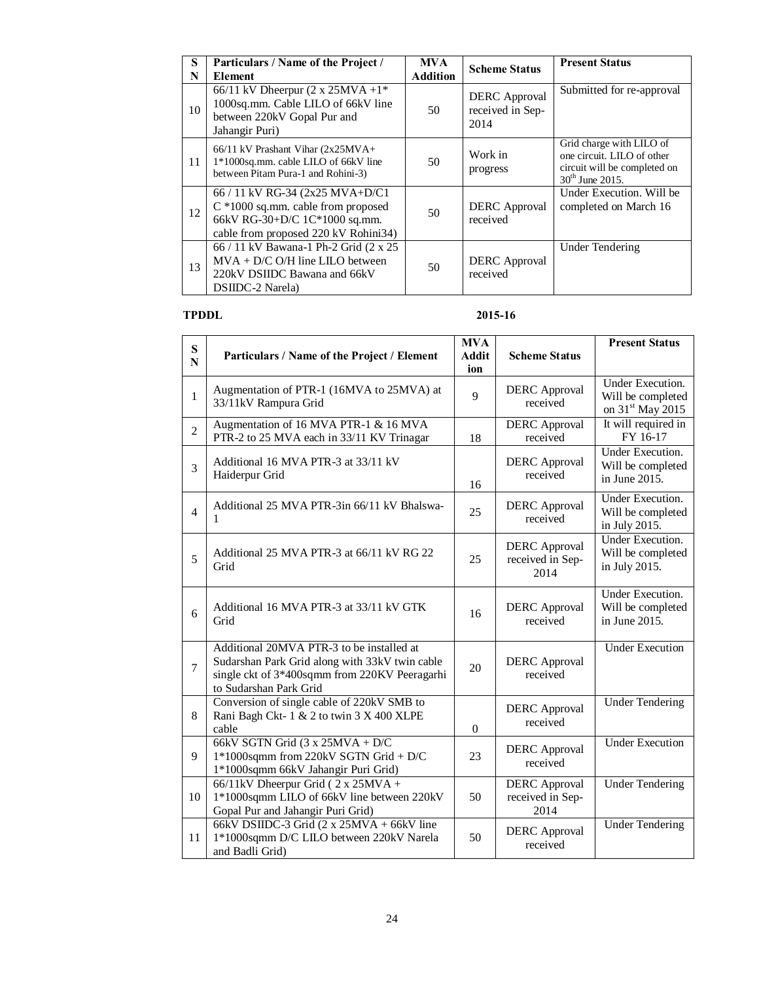| S  | Particulars / Name of the Project /                                                                                                                | <b>MVA</b>      | <b>Scheme Status</b>                             | <b>Present Status</b>                                                                                       |
|----|----------------------------------------------------------------------------------------------------------------------------------------------------|-----------------|--------------------------------------------------|-------------------------------------------------------------------------------------------------------------|
| N  | <b>Element</b>                                                                                                                                     | <b>Addition</b> |                                                  |                                                                                                             |
| 10 | 66/11 kV Dheerpur (2 x 25MVA +1*<br>1000sq.mm. Cable LILO of 66kV line<br>between 220kV Gopal Pur and<br>Jahangir Puri)                            | 50              | <b>DERC</b> Approval<br>received in Sep-<br>2014 | Submitted for re-approval                                                                                   |
| 11 | $66/11$ kV Prashant Vihar (2x25MVA+<br>1*1000sq.mm. cable LILO of 66kV line<br>between Pitam Pura-1 and Rohini-3)                                  | 50              | Work in<br>progress                              | Grid charge with LILO of<br>one circuit. LILO of other<br>circuit will be completed on<br>$30th$ June 2015. |
| 12 | 66 / 11 kV RG-34 (2x25 MVA+D/C1)<br>$C * 1000$ sq.mm. cable from proposed<br>66kV RG-30+D/C 1C*1000 sq.mm.<br>cable from proposed 220 kV Rohini34) | 50              | <b>DERC</b> Approval<br>received                 | Under Execution. Will be<br>completed on March 16                                                           |
| 13 | 66 / 11 kV Bawana-1 Ph-2 Grid (2 x 25<br>$MVA + D/C$ O/H line LILO between<br>220kV DSIIDC Bawana and 66kV<br><b>DSIIDC-2 Narela</b> )             | 50              | <b>DERC</b> Approval<br>received                 | <b>Under Tendering</b>                                                                                      |

# **TPDDL 2015-16**

| S              |                                                                                                                                                                        | <b>MVA</b>          |                                                  | <b>Present Status</b>                                                 |
|----------------|------------------------------------------------------------------------------------------------------------------------------------------------------------------------|---------------------|--------------------------------------------------|-----------------------------------------------------------------------|
| N              | Particulars / Name of the Project / Element                                                                                                                            | <b>Addit</b><br>ion | <b>Scheme Status</b>                             |                                                                       |
| 1              | Augmentation of PTR-1 (16MVA to 25MVA) at<br>33/11kV Rampura Grid                                                                                                      | 9                   | <b>DERC</b> Approval<br>received                 | Under Execution.<br>Will be completed<br>on 31 <sup>st</sup> May 2015 |
| $\overline{2}$ | Augmentation of 16 MVA PTR-1 & 16 MVA<br>PTR-2 to 25 MVA each in 33/11 KV Trinagar                                                                                     | 18                  | <b>DERC</b> Approval<br>received                 | It will required in<br>FY 16-17                                       |
| 3              | Additional 16 MVA PTR-3 at 33/11 kV<br>Haiderpur Grid                                                                                                                  | 16                  | <b>DERC</b> Approval<br>received                 | <b>Under Execution.</b><br>Will be completed<br>in June 2015.         |
| $\overline{4}$ | Additional 25 MVA PTR-3in 66/11 kV Bhalswa-<br>1                                                                                                                       | 25                  | <b>DERC</b> Approval<br>received                 | Under Execution.<br>Will be completed<br>in July 2015.                |
| 5              | Additional 25 MVA PTR-3 at 66/11 kV RG 22<br>Grid                                                                                                                      | 25                  | <b>DERC</b> Approval<br>received in Sep-<br>2014 | Under Execution.<br>Will be completed<br>in July 2015.                |
| 6              | Additional 16 MVA PTR-3 at 33/11 kV GTK<br>Grid                                                                                                                        | 16                  | <b>DERC</b> Approval<br>received                 | Under Execution.<br>Will be completed<br>in June 2015.                |
| $\tau$         | Additional 20MVA PTR-3 to be installed at<br>Sudarshan Park Grid along with 33kV twin cable<br>single ckt of 3*400sqmm from 220KV Peeragarhi<br>to Sudarshan Park Grid | 20                  | <b>DERC</b> Approval<br>received                 | <b>Under Execution</b>                                                |
| 8              | Conversion of single cable of 220kV SMB to<br>Rani Bagh Ckt-1 & 2 to twin 3 X 400 XLPE<br>cable                                                                        | $\mathbf{0}$        | <b>DERC</b> Approval<br>received                 | <b>Under Tendering</b>                                                |
| 9              | 66kV SGTN Grid $(3 \times 25MVA + D/C)$<br>1*1000sqmm from 220kV SGTN Grid + D/C<br>1*1000sqmm 66kV Jahangir Puri Grid)                                                | 23                  | <b>DERC</b> Approval<br>received                 | <b>Under Execution</b>                                                |
| 10             | 66/11kV Dheerpur Grid ( $2 \times 25MVA +$<br>1*1000sqmm LILO of 66kV line between 220kV<br>Gopal Pur and Jahangir Puri Grid)                                          | 50                  | <b>DERC</b> Approval<br>received in Sep-<br>2014 | <b>Under Tendering</b>                                                |
| 11             | 66kV DSIIDC-3 Grid $(2 \times 25MVA + 66kV)$ line<br>1*1000sqmm D/C LILO between 220kV Narela<br>and Badli Grid)                                                       | 50                  | <b>DERC</b> Approval<br>received                 | <b>Under Tendering</b>                                                |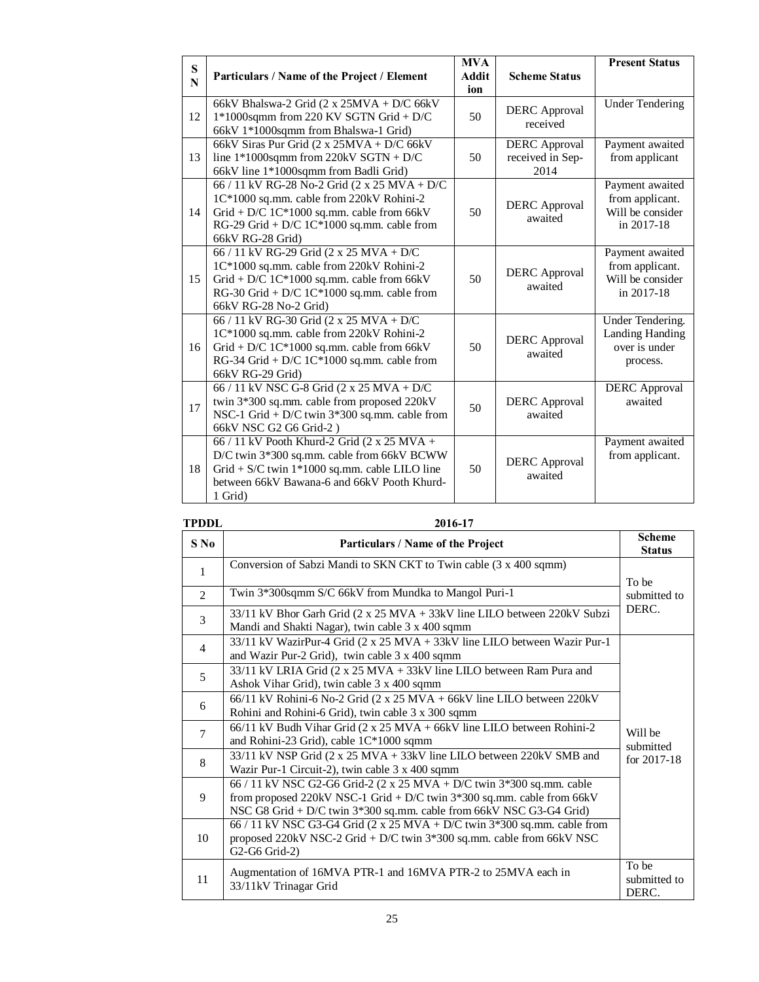| ${\bf S}$<br>N | Particulars / Name of the Project / Element                                                                                                                                                               | <b>MVA</b><br><b>Addit</b> | <b>Scheme Status</b>                             | <b>Present Status</b>                                                          |
|----------------|-----------------------------------------------------------------------------------------------------------------------------------------------------------------------------------------------------------|----------------------------|--------------------------------------------------|--------------------------------------------------------------------------------|
|                |                                                                                                                                                                                                           | ion                        |                                                  |                                                                                |
| 12             | 66kV Bhalswa-2 Grid (2 x 25MVA + D/C 66kV<br>1*1000sqmm from 220 KV SGTN Grid + D/C<br>66kV 1*1000sqmm from Bhalswa-1 Grid)                                                                               | 50                         | <b>DERC</b> Approval<br>received                 | <b>Under Tendering</b>                                                         |
| 13             | 66kV Siras Pur Grid (2 x 25MVA + D/C 66kV<br>line $1*1000$ sqmm from 220kV SGTN + D/C<br>66kV line 1*1000sqmm from Badli Grid)                                                                            | 50                         | <b>DERC</b> Approval<br>received in Sep-<br>2014 | Payment awaited<br>from applicant                                              |
| 14             | 66 / 11 kV RG-28 No-2 Grid (2 x 25 MVA + D/C<br>1C*1000 sq.mm. cable from 220kV Rohini-2<br>Grid + D/C 1C*1000 sq.mm. cable from 66kV<br>RG-29 Grid + D/C 1C*1000 sq.mm. cable from<br>66kV RG-28 Grid)   | 50                         | <b>DERC</b> Approval<br>awaited                  | Payment awaited<br>from applicant.<br>Will be consider<br>in 2017-18           |
| 15             | 66 / 11 kV RG-29 Grid (2 x 25 MVA + D/C<br>1C*1000 sq.mm. cable from 220kV Rohini-2<br>Grid + D/C 1C*1000 sq.mm. cable from 66kV<br>RG-30 Grid + D/C $1C*1000$ sq.mm. cable from<br>66kV RG-28 No-2 Grid) | 50                         | <b>DERC</b> Approval<br>awaited                  | Payment awaited<br>from applicant.<br>Will be consider<br>in 2017-18           |
| 16             | 66 / 11 kV RG-30 Grid (2 x 25 MVA + D/C<br>1C*1000 sq.mm. cable from 220kV Rohini-2<br>Grid + D/C 1C*1000 sq.mm. cable from 66kV<br>RG-34 Grid + D/C 1C*1000 sq.mm. cable from<br>66kV RG-29 Grid)        | 50                         | <b>DERC</b> Approval<br>awaited                  | <b>Under Tendering.</b><br><b>Landing Handing</b><br>over is under<br>process. |
| 17             | 66 / 11 kV NSC G-8 Grid (2 x 25 MVA + D/C<br>twin 3*300 sq.mm. cable from proposed 220kV<br>NSC-1 Grid + D/C twin $3*300$ sq.mm. cable from<br>66kV NSC G2 G6 Grid-2)                                     | 50                         | <b>DERC</b> Approval<br>awaited                  | <b>DERC</b> Approval<br>awaited                                                |
| 18             | 66 / 11 kV Pooth Khurd-2 Grid (2 x 25 MVA +<br>D/C twin 3*300 sq.mm. cable from 66kV BCWW<br>Grid + S/C twin $1*1000$ sq.mm. cable LILO line<br>between 66kV Bawana-6 and 66kV Pooth Khurd-<br>1 Grid)    | 50                         | <b>DERC</b> Approval<br>awaited                  | Payment awaited<br>from applicant.                                             |

### **TPDDL 2016-17**

| $S$ No         | Particulars / Name of the Project                                                                                                                                                                                        | <b>Scheme</b><br><b>Status</b> |
|----------------|--------------------------------------------------------------------------------------------------------------------------------------------------------------------------------------------------------------------------|--------------------------------|
| 1              | Conversion of Sabzi Mandi to SKN CKT to Twin cable (3 x 400 sqmm)                                                                                                                                                        | To be                          |
| $\mathcal{L}$  | Twin 3*300sqmm S/C 66kV from Mundka to Mangol Puri-1                                                                                                                                                                     | submitted to                   |
| 3              | 33/11 kV Bhor Garh Grid (2 x 25 MVA + 33kV line LILO between 220kV Subzi<br>Mandi and Shakti Nagar), twin cable 3 x 400 sqmm                                                                                             | DERC.                          |
| $\overline{4}$ | 33/11 kV WazirPur-4 Grid (2 x 25 MVA + 33kV line LILO between Wazir Pur-1<br>and Wazir Pur-2 Grid), twin cable 3 x 400 sqmm                                                                                              |                                |
| 5              | 33/11 kV LRIA Grid (2 x 25 MVA + 33kV line LILO between Ram Pura and<br>Ashok Vihar Grid), twin cable 3 x 400 sqmm                                                                                                       |                                |
| 6              | $66/11$ kV Rohini-6 No-2 Grid (2 x 25 MVA + 66kV line LILO between 220kV<br>Rohini and Rohini-6 Grid), twin cable 3 x 300 sqmm                                                                                           |                                |
| $\overline{7}$ | 66/11 kV Budh Vihar Grid (2 x 25 MVA + 66kV line LILO between Rohini-2<br>and Rohini-23 Grid), cable 1C*1000 sqmm                                                                                                        | Will be<br>submitted           |
| 8              | 33/11 kV NSP Grid (2 x 25 MVA + 33kV line LILO between 220kV SMB and<br>Wazir Pur-1 Circuit-2), twin cable 3 x 400 sqmm                                                                                                  | for $2017-18$                  |
| 9              | 66 / 11 kV NSC G2-G6 Grid-2 (2 x 25 MVA + D/C twin 3*300 sq.mm. cable<br>from proposed 220kV NSC-1 Grid + D/C twin $3*300$ sq.mm. cable from 66kV<br>NSC G8 Grid + D/C twin 3*300 sq.mm. cable from 66kV NSC G3-G4 Grid) |                                |
| 10             | 66 / 11 kV NSC G3-G4 Grid (2 x 25 MVA + D/C twin $3*300$ sq.mm. cable from<br>proposed 220kV NSC-2 Grid + D/C twin 3*300 sq.mm. cable from 66kV NSC<br>G2-G6 Grid-2)                                                     |                                |
| 11             | Augmentation of 16MVA PTR-1 and 16MVA PTR-2 to 25MVA each in<br>33/11kV Trinagar Grid                                                                                                                                    | To be<br>submitted to<br>DERC. |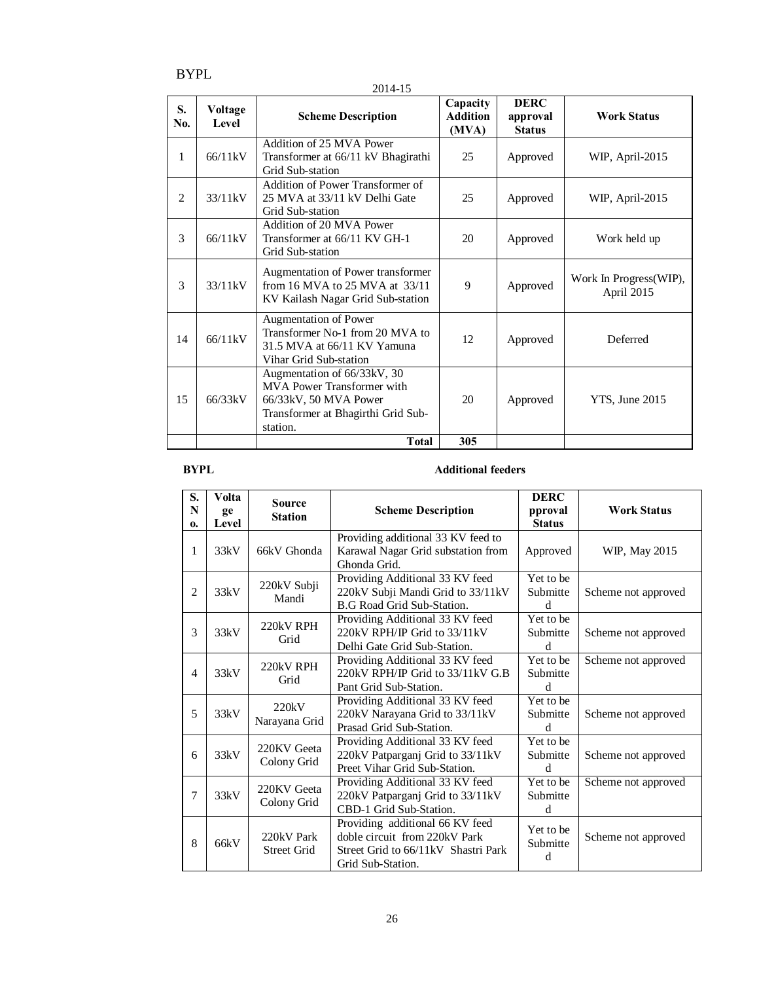BYPL

2014-15

| S.<br>No. | Voltage<br>Level | <b>Scheme Description</b>                                                                                                            | Capacity<br><b>Addition</b><br>(MVA) | <b>DERC</b><br>approval<br><b>Status</b> | <b>Work Status</b>                    |
|-----------|------------------|--------------------------------------------------------------------------------------------------------------------------------------|--------------------------------------|------------------------------------------|---------------------------------------|
| 1         | 66/11kV          | Addition of 25 MVA Power<br>Transformer at 66/11 kV Bhagirathi<br>Grid Sub-station                                                   | 25                                   | Approved                                 | WIP, April-2015                       |
| 2         | 33/11kV          | Addition of Power Transformer of<br>25 MVA at 33/11 kV Delhi Gate<br>Grid Sub-station                                                | 25                                   | Approved                                 | WIP, April-2015                       |
| 3         | 66/11kV          | Addition of 20 MVA Power<br>Transformer at 66/11 KV GH-1<br>Grid Sub-station                                                         | 20                                   | Approved                                 | Work held up                          |
| 3         | 33/11kV          | Augmentation of Power transformer<br>from 16 MVA to 25 MVA at 33/11<br>KV Kailash Nagar Grid Sub-station                             | 9                                    | Approved                                 | Work In Progress (WIP),<br>April 2015 |
| 14        | 66/11kV          | Augmentation of Power<br>Transformer No-1 from 20 MVA to<br>31.5 MVA at 66/11 KV Yamuna<br>Vihar Grid Sub-station                    | 12                                   | Approved                                 | Deferred                              |
| 15        | 66/33kV          | Augmentation of 66/33kV, 30<br>MVA Power Transformer with<br>66/33kV, 50 MVA Power<br>Transformer at Bhagirthi Grid Sub-<br>station. | 20                                   | Approved                                 | YTS, June 2015                        |
|           |                  | <b>T</b> otal                                                                                                                        | 305                                  |                                          |                                       |

### **BYPL** Additional feeders

| S.<br>N<br>$\mathbf{0}$ | Volta<br>ge<br>Level | <b>Source</b><br><b>Station</b>  | <b>Scheme Description</b>                                                                                                    | DERC<br>pproval<br><b>Status</b> | <b>Work Status</b>  |
|-------------------------|----------------------|----------------------------------|------------------------------------------------------------------------------------------------------------------------------|----------------------------------|---------------------|
| 1                       | 33kV                 | 66kV Ghonda                      | Providing additional 33 KV feed to<br>Karawal Nagar Grid substation from<br>Ghonda Grid.                                     | Approved                         | WIP, May 2015       |
| $\mathfrak{D}$          | 33kV                 | 220kV Subji<br>Mandi             | Providing Additional 33 KV feed<br>220kV Subji Mandi Grid to 33/11kV<br><b>B.G Road Grid Sub-Station.</b>                    | Yet to be<br>Submitte<br>d       | Scheme not approved |
| 3                       | 33kV                 | 220kV RPH<br>Grid                | Providing Additional 33 KV feed<br>220kV RPH/IP Grid to 33/11kV<br>Delhi Gate Grid Sub-Station.                              | Yet to be<br>Submitte<br>d       | Scheme not approved |
| 4                       | 33kV                 | 220kV RPH<br>Grid                | Providing Additional 33 KV feed<br>220kV RPH/IP Grid to 33/11kV G.B<br>Pant Grid Sub-Station.                                | Yet to be<br>Submitte<br>d       | Scheme not approved |
| 5                       | 33kV                 | 220kV<br>Narayana Grid           | Providing Additional 33 KV feed<br>220kV Narayana Grid to 33/11kV<br>Prasad Grid Sub-Station.                                | Yet to be<br>Submitte<br>d       | Scheme not approved |
| 6                       | 33kV                 | 220KV Geeta<br>Colony Grid       | Providing Additional 33 KV feed<br>220kV Patparganj Grid to 33/11kV<br>Preet Vihar Grid Sub-Station.                         | Yet to be<br>Submitte<br>d       | Scheme not approved |
| 7                       | 33kV                 | 220KV Geeta<br>Colony Grid       | Providing Additional 33 KV feed<br>220kV Patparganj Grid to 33/11kV<br>CBD-1 Grid Sub-Station.                               | Yet to be<br>Submitte<br>d       | Scheme not approved |
| 8                       | 66kV                 | 220kV Park<br><b>Street Grid</b> | Providing additional 66 KV feed<br>doble circuit from 220kV Park<br>Street Grid to 66/11kV Shastri Park<br>Grid Sub-Station. | Yet to be<br>Submitte<br>d       | Scheme not approved |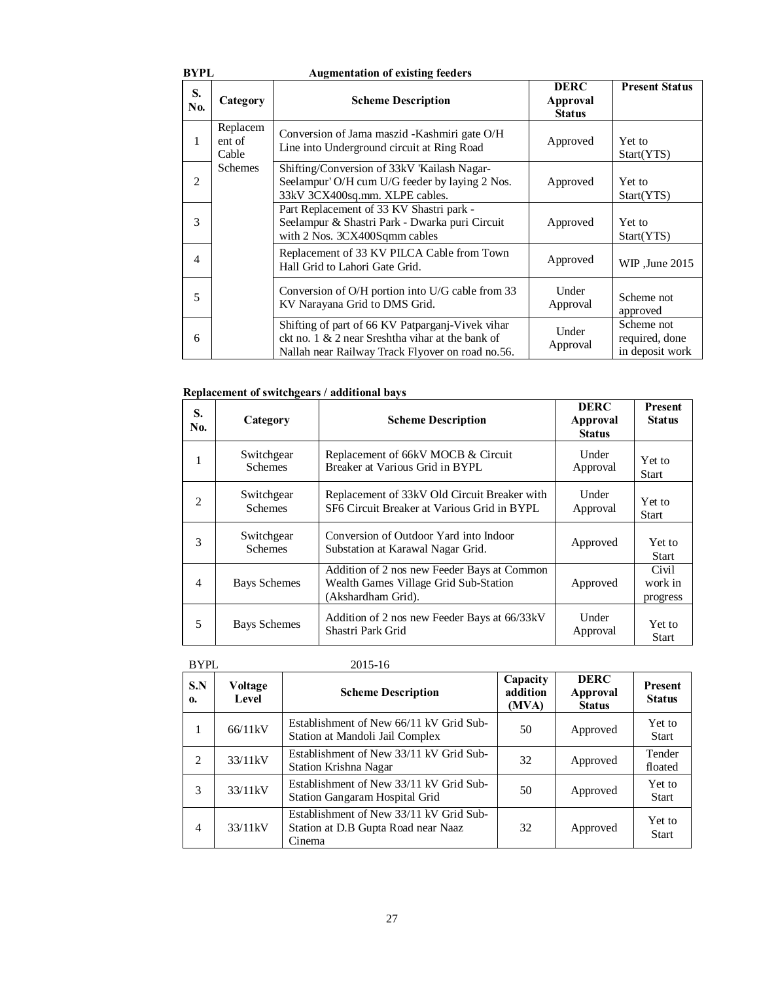| BYPL                   |                             | <b>Augmentation of existing feeders</b>                                                                                                                     |                                                 |                                                 |
|------------------------|-----------------------------|-------------------------------------------------------------------------------------------------------------------------------------------------------------|-------------------------------------------------|-------------------------------------------------|
| S.<br>N <sub>0</sub> . | Category                    | <b>Scheme Description</b>                                                                                                                                   | <b>DERC</b><br><b>Approval</b><br><b>Status</b> | <b>Present Status</b>                           |
| 1                      | Replacem<br>ent of<br>Cable | Conversion of Jama maszid - Kashmiri gate O/H<br>Line into Underground circuit at Ring Road                                                                 | Approved                                        | Yet to<br>Start(YTS)                            |
| $\overline{2}$         | <b>Schemes</b>              | Shifting/Conversion of 33kV 'Kailash Nagar-<br>Seelampur' O/H cum U/G feeder by laying 2 Nos.<br>33kV 3CX400sq.mm. XLPE cables.                             | Approved                                        | Yet to<br>Start(YTS)                            |
| 3                      |                             | Part Replacement of 33 KV Shastri park -<br>Seelampur & Shastri Park - Dwarka puri Circuit<br>with 2 Nos. 3CX400Sqmm cables                                 | Approved                                        | Yet to<br>Start(YTS)                            |
| $\overline{4}$         |                             | Replacement of 33 KV PILCA Cable from Town<br>Hall Grid to Lahori Gate Grid.                                                                                | Approved                                        | WIP, June 2015                                  |
| 5                      |                             | Conversion of O/H portion into U/G cable from 33<br>KV Narayana Grid to DMS Grid.                                                                           | Under<br>Approval                               | Scheme not<br>approved                          |
| 6                      |                             | Shifting of part of 66 KV Patparganj-Vivek vihar<br>ckt no. 1 $\&$ 2 near Sreshtha vihar at the bank of<br>Nallah near Railway Track Flyover on road no.56. | Under<br>Approval                               | Scheme not<br>required, done<br>in deposit work |

### **Replacement of switchgears / additional bays**

| S.<br>No. | Category                     | <b>Scheme Description</b>                                                                                  | <b>DERC</b><br><b>Approval</b><br><b>Status</b> | <b>Present</b><br><b>Status</b> |
|-----------|------------------------------|------------------------------------------------------------------------------------------------------------|-------------------------------------------------|---------------------------------|
| 1         | Switchgear<br><b>Schemes</b> | Replacement of 66kV MOCB & Circuit<br>Breaker at Various Grid in BYPL                                      | Under<br>Approval                               | Yet to<br><b>Start</b>          |
| 2         | Switchgear<br><b>Schemes</b> | Replacement of 33kV Old Circuit Breaker with<br>SF6 Circuit Breaker at Various Grid in BYPL                | Under<br>Approval                               | <b>Yet to</b><br><b>Start</b>   |
| 3         | Switchgear<br><b>Schemes</b> | Conversion of Outdoor Yard into Indoor<br>Substation at Karawal Nagar Grid.                                | Approved                                        | Yet to<br>Start                 |
| 4         | <b>Bays Schemes</b>          | Addition of 2 nos new Feeder Bays at Common<br>Wealth Games Village Grid Sub-Station<br>(Akshardham Grid). | Approved                                        | Civil<br>work in<br>progress    |
| 5         | <b>Bays Schemes</b>          | Addition of 2 nos new Feeder Bays at 66/33kV<br>Shastri Park Grid                                          | Under<br>Approval                               | Yet to<br><b>Start</b>          |

| BYPL           |                  | 2015-16                                                                                  |                               |                                          |                          |
|----------------|------------------|------------------------------------------------------------------------------------------|-------------------------------|------------------------------------------|--------------------------|
| S.N<br>0.      | Voltage<br>Level | <b>Scheme Description</b>                                                                | Capacity<br>addition<br>(MVA) | <b>DERC</b><br>Approval<br><b>Status</b> | Present<br><b>Status</b> |
| 1              | 66/11kV          | Establishment of New 66/11 kV Grid Sub-<br>Station at Mandoli Jail Complex               | 50                            | Approved                                 | Yet to<br><b>Start</b>   |
| 2              | 33/11kV          | Establishment of New 33/11 kV Grid Sub-<br>Station Krishna Nagar                         | 32                            | Approved                                 | Tender<br>floated        |
| 3              | 33/11kV          | Establishment of New 33/11 kV Grid Sub-<br><b>Station Gangaram Hospital Grid</b>         | 50                            | Approved                                 | Yet to<br><b>Start</b>   |
| $\overline{4}$ | 33/11kV          | Establishment of New 33/11 kV Grid Sub-<br>Station at D.B Gupta Road near Naaz<br>Cinema | 32                            | Approved                                 | Yet to<br><b>Start</b>   |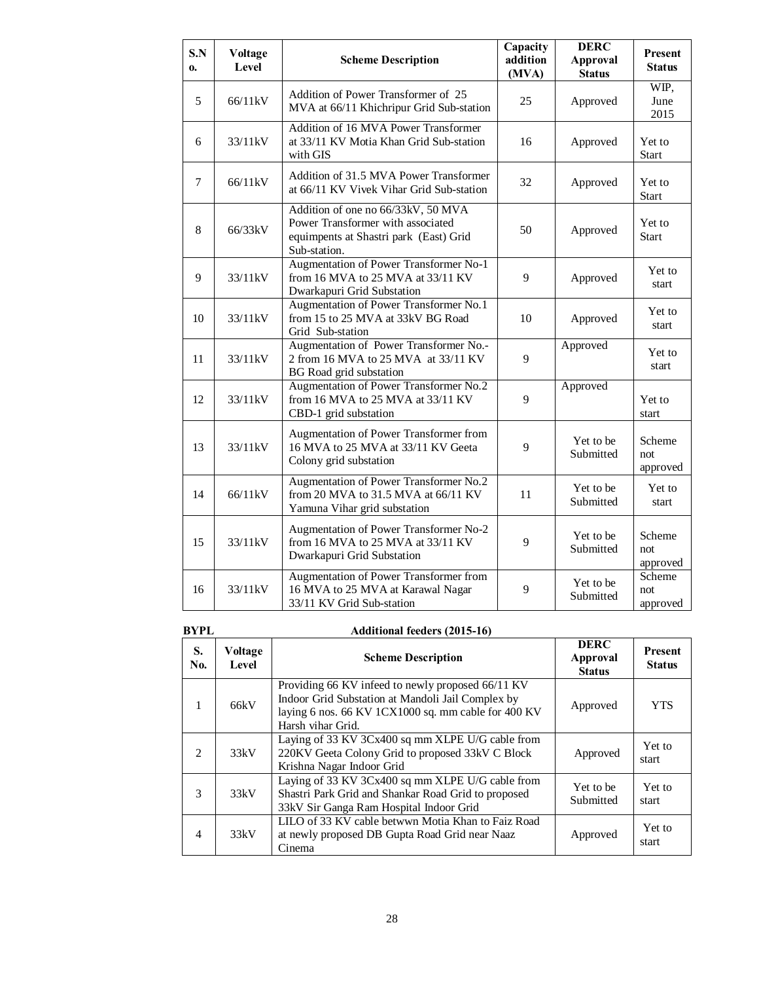| S.N<br>0. | <b>Voltage</b><br>Level | <b>Scheme Description</b>                                                                                                         | Capacity<br>addition<br>(MVA) | <b>DERC</b><br><b>Approval</b><br><b>Status</b> | Present<br><b>Status</b>  |
|-----------|-------------------------|-----------------------------------------------------------------------------------------------------------------------------------|-------------------------------|-------------------------------------------------|---------------------------|
| 5         | 66/11kV                 | Addition of Power Transformer of 25<br>MVA at 66/11 Khichripur Grid Sub-station                                                   | 25                            | Approved                                        | WIP,<br>June<br>2015      |
| 6         | 33/11kV                 | Addition of 16 MVA Power Transformer<br>at 33/11 KV Motia Khan Grid Sub-station<br>with GIS                                       | 16                            | Approved                                        | Yet to<br><b>Start</b>    |
| $\tau$    | 66/11kV                 | Addition of 31.5 MVA Power Transformer<br>at 66/11 KV Vivek Vihar Grid Sub-station                                                | 32                            | Approved                                        | Yet to<br><b>Start</b>    |
| 8         | 66/33kV                 | Addition of one no 66/33kV, 50 MVA<br>Power Transformer with associated<br>equimpents at Shastri park (East) Grid<br>Sub-station. | 50                            | Approved                                        | Yet to<br><b>Start</b>    |
| 9         | 33/11kV                 | Augmentation of Power Transformer No-1<br>from 16 MVA to 25 MVA at 33/11 KV<br>Dwarkapuri Grid Substation                         | 9                             | Approved                                        | Yet to<br>start           |
| 10        | 33/11kV                 | Augmentation of Power Transformer No.1<br>from 15 to 25 MVA at 33kV BG Road<br>Grid Sub-station                                   | 10                            | Approved                                        | Yet to<br>start           |
| 11        | 33/11kV                 | Augmentation of Power Transformer No.-<br>2 from 16 MVA to 25 MVA at 33/11 KV<br><b>BG</b> Road grid substation                   | 9                             | Approved                                        | Yet to<br>start           |
| 12        | 33/11kV                 | Augmentation of Power Transformer No.2<br>from 16 MVA to 25 MVA at 33/11 KV<br>CBD-1 grid substation                              | 9                             | Approved                                        | Yet to<br>start           |
| 13        | 33/11kV                 | Augmentation of Power Transformer from<br>16 MVA to 25 MVA at 33/11 KV Geeta<br>Colony grid substation                            | 9                             | Yet to be<br>Submitted                          | Scheme<br>not<br>approved |
| 14        | 66/11kV                 | Augmentation of Power Transformer No.2<br>from 20 MVA to 31.5 MVA at 66/11 KV<br>Yamuna Vihar grid substation                     | 11                            | Yet to be<br>Submitted                          | Yet to<br>start           |
| 15        | 33/11kV                 | Augmentation of Power Transformer No-2<br>from 16 MVA to 25 MVA at 33/11 KV<br>Dwarkapuri Grid Substation                         | 9                             | Yet to be<br>Submitted                          | Scheme<br>not<br>approved |
| 16        | 33/11kV                 | Augmentation of Power Transformer from<br>16 MVA to 25 MVA at Karawal Nagar<br>33/11 KV Grid Sub-station                          | 9                             | Yet to be<br>Submitted                          | Scheme<br>not<br>approved |

### **BYPL Additional feeders (2015-16)**

| S.<br>No. | Voltage<br>Level | <b>Scheme Description</b>                                                                                                                                                          | <b>DERC</b><br>Approval<br><b>Status</b> | <b>Present</b><br><b>Status</b> |
|-----------|------------------|------------------------------------------------------------------------------------------------------------------------------------------------------------------------------------|------------------------------------------|---------------------------------|
| 1         | 66kV             | Providing 66 KV infeed to newly proposed 66/11 KV<br>Indoor Grid Substation at Mandoli Jail Complex by<br>laying 6 nos. 66 KV 1CX1000 sq. mm cable for 400 KV<br>Harsh vihar Grid. | Approved                                 | <b>YTS</b>                      |
| 2         | 33kV             | Laying of 33 KV 3Cx400 sq mm XLPE U/G cable from<br>220KV Geeta Colony Grid to proposed 33kV C Block<br>Krishna Nagar Indoor Grid                                                  | Approved                                 | Yet to<br>start                 |
| 3         | 33kV             | Laying of 33 KV 3Cx400 sq mm XLPE U/G cable from<br>Shastri Park Grid and Shankar Road Grid to proposed<br>33kV Sir Ganga Ram Hospital Indoor Grid                                 | Yet to be<br>Submitted                   | Yet to<br>start                 |
| 4         | 33kV             | LILO of 33 KV cable betwwn Motia Khan to Faiz Road<br>at newly proposed DB Gupta Road Grid near Naaz<br>Cinema                                                                     | Approved                                 | Yet to<br>start                 |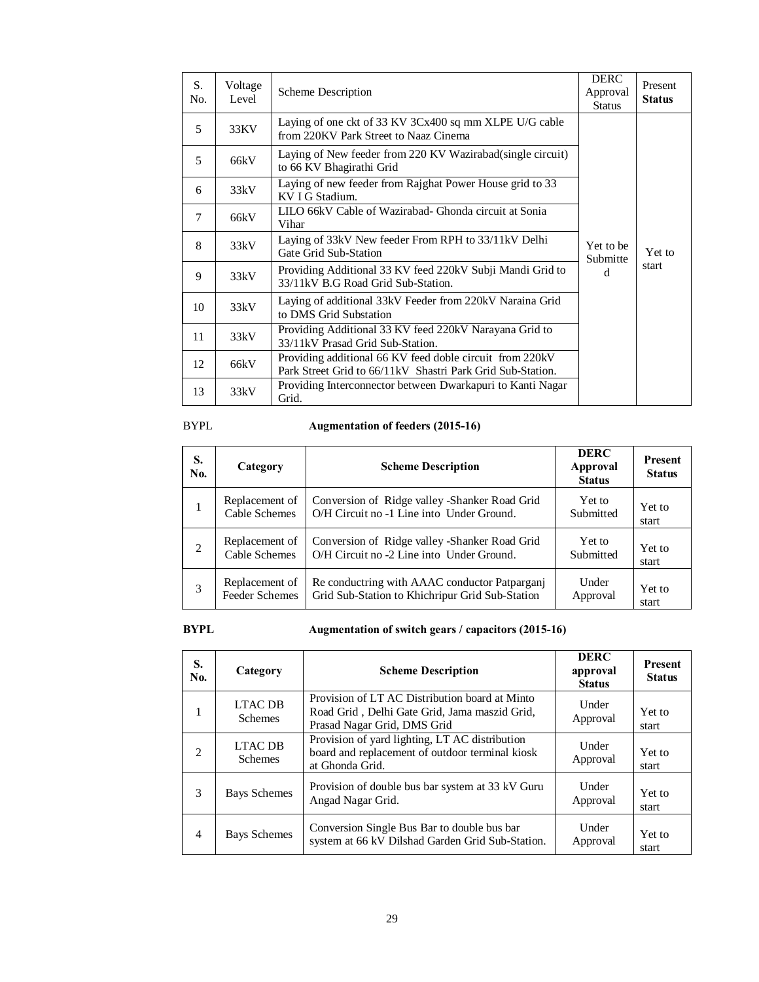| S.<br>No. | Voltage<br>Level                                                                                   | Scheme Description                                                                                                      | <b>DERC</b><br>Approval<br><b>Status</b> | Present<br><b>Status</b> |
|-----------|----------------------------------------------------------------------------------------------------|-------------------------------------------------------------------------------------------------------------------------|------------------------------------------|--------------------------|
| 5         | 33KV                                                                                               | Laying of one ckt of 33 KV 3Cx400 sq mm XLPE U/G cable<br>from 220KV Park Street to Naaz Cinema                         |                                          |                          |
| 5         | 66kV                                                                                               | Laying of New feeder from 220 KV Wazirabad(single circuit)<br>to 66 KV Bhagirathi Grid                                  |                                          |                          |
| 6         | 33kV                                                                                               | Laying of new feeder from Rajghat Power House grid to 33<br>KV I G Stadium.                                             |                                          |                          |
| 7         | 66kV                                                                                               | LILO 66 kV Cable of Wazirabad - Ghonda circuit at Sonia<br>Vihar                                                        |                                          |                          |
| 8         | 33kV                                                                                               | Laying of 33kV New feeder From RPH to 33/11kV Delhi<br>Gate Grid Sub-Station                                            |                                          | Yet to                   |
| 9         | 33kV                                                                                               | Providing Additional 33 KV feed 220 kV Subji Mandi Grid to<br>33/11kV B.G Road Grid Sub-Station.                        |                                          | start                    |
| 10        | 33kV                                                                                               | Laying of additional 33kV Feeder from 220kV Naraina Grid<br>to DMS Grid Substation                                      |                                          |                          |
| 11        | Providing Additional 33 KV feed 220kV Narayana Grid to<br>33kV<br>33/11kV Prasad Grid Sub-Station. |                                                                                                                         |                                          |                          |
| 12        | 66kV                                                                                               | Providing additional 66 KV feed doble circuit from 220 kV<br>Park Street Grid to 66/11kV Shastri Park Grid Sub-Station. |                                          |                          |
| 13        | 33kV                                                                                               | Providing Interconnector between Dwarkapuri to Kanti Nagar<br>Grid.                                                     |                                          |                          |

# BYPL **Augmentation of feeders (2015-16)**

| S.<br>N <sub>0</sub> . | Category              | <b>Scheme Description</b>                       | <b>DERC</b><br><b>Approval</b><br><b>Status</b> | Present<br><b>Status</b> |
|------------------------|-----------------------|-------------------------------------------------|-------------------------------------------------|--------------------------|
|                        | Replacement of        | Conversion of Ridge valley -Shanker Road Grid   | Yet to                                          | Yet to                   |
|                        | <b>Cable Schemes</b>  | O/H Circuit no -1 Line into Under Ground.       | Submitted                                       | start                    |
| $\overline{c}$         | Replacement of        | Conversion of Ridge valley -Shanker Road Grid   | Yet to                                          | Yet to                   |
|                        | <b>Cable Schemes</b>  | O/H Circuit no -2 Line into Under Ground.       | Submitted                                       | start                    |
| 3                      | Replacement of        | Re conductring with AAAC conductor Patpargani   | Under                                           | Yet to                   |
|                        | <b>Feeder Schemes</b> | Grid Sub-Station to Khichripur Grid Sub-Station | Approval                                        | start                    |

# **BYPL Augmentation of switch gears / capacitors (2015-16)**

| S.<br>No.      | Category                                                                                                                                                           | <b>Scheme Description</b>                                                                                            | <b>DERC</b><br>approval<br><b>Status</b> | <b>Present</b><br><b>Status</b> |
|----------------|--------------------------------------------------------------------------------------------------------------------------------------------------------------------|----------------------------------------------------------------------------------------------------------------------|------------------------------------------|---------------------------------|
| 1              | Provision of LT AC Distribution board at Minto<br><b>LTAC DB</b><br>Road Grid, Delhi Gate Grid, Jama maszid Grid,<br><b>Schemes</b><br>Prasad Nagar Grid, DMS Grid |                                                                                                                      | Under<br>Approval                        | Yet to<br>start                 |
| 2              | <b>LTAC DB</b><br><b>Schemes</b>                                                                                                                                   | Provision of yard lighting, LT AC distribution<br>board and replacement of outdoor terminal kiosk<br>at Ghonda Grid. |                                          | Yet to<br>start                 |
| 3              | Provision of double bus bar system at 33 kV Guru<br><b>Bays Schemes</b><br>Angad Nagar Grid.                                                                       |                                                                                                                      | Under<br>Approval                        | Yet to<br>start                 |
| $\overline{4}$ | Bays Schemes                                                                                                                                                       | Conversion Single Bus Bar to double bus bar<br>system at 66 kV Dilshad Garden Grid Sub-Station.                      | Under<br>Approval                        | Yet to<br>start                 |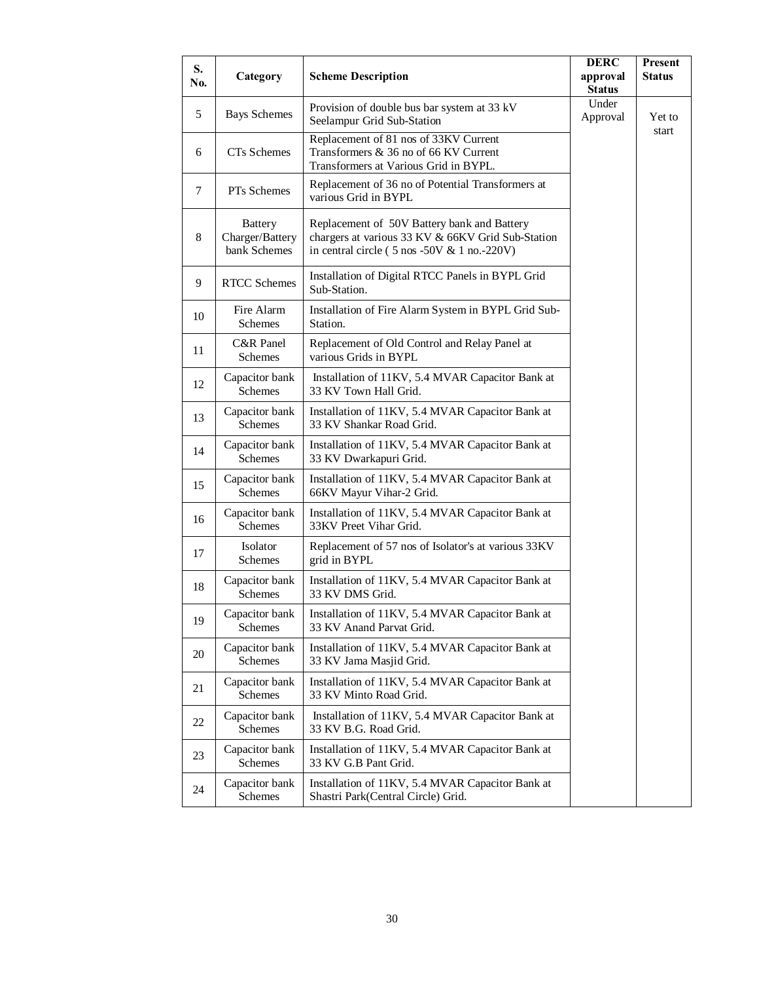| S.<br>No. | Category                                          | <b>Scheme Description</b>                                                                                                                                            | <b>DERC</b><br>approval<br><b>Status</b> | Present<br><b>Status</b> |
|-----------|---------------------------------------------------|----------------------------------------------------------------------------------------------------------------------------------------------------------------------|------------------------------------------|--------------------------|
| 5         | <b>Bays Schemes</b>                               | Provision of double bus bar system at 33 kV<br>Seelampur Grid Sub-Station                                                                                            | Under<br>Approval                        | Yet to                   |
| 6         | CTs Schemes                                       | Replacement of 81 nos of 33KV Current<br>Transformers & 36 no of 66 KV Current<br>Transformers at Various Grid in BYPL.                                              |                                          | start                    |
| 7         | PTs Schemes                                       | Replacement of 36 no of Potential Transformers at<br>various Grid in BYPL                                                                                            |                                          |                          |
| 8         | <b>Battery</b><br>Charger/Battery<br>bank Schemes | Replacement of 50V Battery bank and Battery<br>chargers at various 33 KV & 66KV Grid Sub-Station<br>in central circle $(5 \text{ nos } -50V \& 1 \text{ no.} -220V)$ |                                          |                          |
| 9         | <b>RTCC</b> Schemes                               | Installation of Digital RTCC Panels in BYPL Grid<br>Sub-Station.                                                                                                     |                                          |                          |
| 10        | Fire Alarm<br>Schemes                             | Installation of Fire Alarm System in BYPL Grid Sub-<br>Station.                                                                                                      |                                          |                          |
| 11        | C&R Panel<br>Schemes                              | Replacement of Old Control and Relay Panel at<br>various Grids in BYPL                                                                                               |                                          |                          |
| 12        | Capacitor bank<br><b>Schemes</b>                  | Installation of 11KV, 5.4 MVAR Capacitor Bank at<br>33 KV Town Hall Grid.                                                                                            |                                          |                          |
| 13        | Capacitor bank<br>Schemes                         | Installation of 11KV, 5.4 MVAR Capacitor Bank at<br>33 KV Shankar Road Grid.                                                                                         |                                          |                          |
| 14        | Capacitor bank<br><b>Schemes</b>                  | Installation of 11KV, 5.4 MVAR Capacitor Bank at<br>33 KV Dwarkapuri Grid.                                                                                           |                                          |                          |
| 15        | Capacitor bank<br>Schemes                         | Installation of 11KV, 5.4 MVAR Capacitor Bank at<br>66KV Mayur Vihar-2 Grid.                                                                                         |                                          |                          |
| 16        | Capacitor bank<br>Schemes                         | Installation of 11KV, 5.4 MVAR Capacitor Bank at<br>33KV Preet Vihar Grid.                                                                                           |                                          |                          |
| 17        | <b>Isolator</b><br>Schemes                        | Replacement of 57 nos of Isolator's at various 33KV<br>grid in BYPL                                                                                                  |                                          |                          |
| 18        | Capacitor bank<br>Schemes                         | Installation of 11KV, 5.4 MVAR Capacitor Bank at<br>33 KV DMS Grid.                                                                                                  |                                          |                          |
| 19        | Capacitor bank<br><b>Schemes</b>                  | Installation of 11KV, 5.4 MVAR Capacitor Bank at<br>33 KV Anand Parvat Grid.                                                                                         |                                          |                          |
| 20        | Capacitor bank<br>Schemes                         | Installation of 11KV, 5.4 MVAR Capacitor Bank at<br>33 KV Jama Masjid Grid.                                                                                          |                                          |                          |
| 21        | Capacitor bank<br>Schemes                         | Installation of 11KV, 5.4 MVAR Capacitor Bank at<br>33 KV Minto Road Grid.                                                                                           |                                          |                          |
| 22        | Capacitor bank<br>Schemes                         | Installation of 11KV, 5.4 MVAR Capacitor Bank at<br>33 KV B.G. Road Grid.                                                                                            |                                          |                          |
| 23        | Capacitor bank<br>Schemes                         | Installation of 11KV, 5.4 MVAR Capacitor Bank at<br>33 KV G.B Pant Grid.                                                                                             |                                          |                          |
| 24        | Capacitor bank<br>Schemes                         | Installation of 11KV, 5.4 MVAR Capacitor Bank at<br>Shastri Park(Central Circle) Grid.                                                                               |                                          |                          |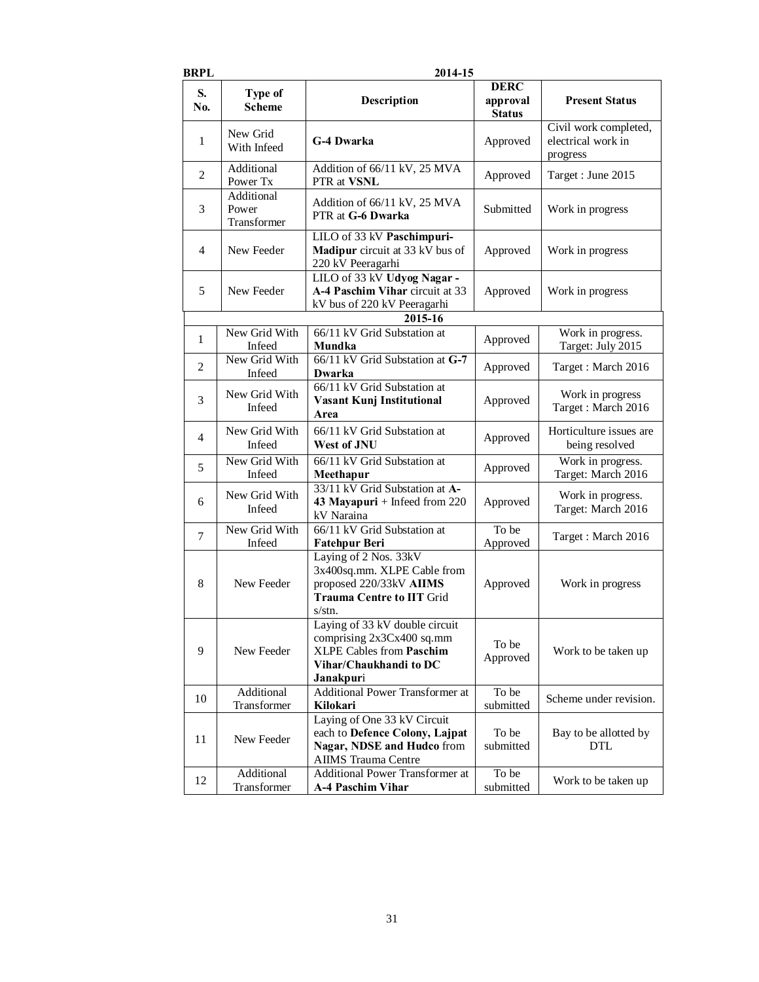| BRPL                            |                                                                                                    | 2014-15                                                                                                                               |                                          |                                                         |  |
|---------------------------------|----------------------------------------------------------------------------------------------------|---------------------------------------------------------------------------------------------------------------------------------------|------------------------------------------|---------------------------------------------------------|--|
| S.<br>No.                       | Type of<br><b>Scheme</b>                                                                           | Description                                                                                                                           | <b>DERC</b><br>approval<br><b>Status</b> | <b>Present Status</b>                                   |  |
| 1                               | New Grid<br>With Infeed                                                                            | <b>G-4 Dwarka</b>                                                                                                                     | Approved                                 | Civil work completed,<br>electrical work in<br>progress |  |
| 2                               | Additional<br>Power Tx                                                                             | Addition of 66/11 kV, 25 MVA<br>PTR at VSNL                                                                                           | Approved                                 | Target: June 2015                                       |  |
| 3                               | Additional<br>Power<br>Transformer                                                                 | Addition of 66/11 kV, 25 MVA<br>PTR at G-6 Dwarka                                                                                     | Submitted                                | Work in progress                                        |  |
| 4                               | New Feeder                                                                                         | LILO of 33 kV Paschimpuri-<br>Madipur circuit at 33 kV bus of<br>220 kV Peeragarhi                                                    | Approved                                 | Work in progress                                        |  |
| 5                               | New Feeder                                                                                         | LILO of 33 kV Udyog Nagar -<br>A-4 Paschim Vihar circuit at 33<br>kV bus of 220 kV Peeragarhi                                         | Approved                                 | Work in progress                                        |  |
|                                 |                                                                                                    | 2015-16                                                                                                                               |                                          |                                                         |  |
| 1                               | New Grid With<br>Infeed                                                                            | 66/11 kV Grid Substation at<br>Mundka                                                                                                 | Approved                                 | Work in progress.<br>Target: July 2015                  |  |
| 2                               | New Grid With<br>Infeed                                                                            | 66/11 kV Grid Substation at G-7<br>Dwarka                                                                                             | Approved                                 | Target: March 2016                                      |  |
| 3                               | 66/11 kV Grid Substation at<br>New Grid With<br><b>Vasant Kunj Institutional</b><br>Infeed<br>Area |                                                                                                                                       | Approved                                 | Work in progress<br>Target: March 2016                  |  |
| 4                               | New Grid With<br>Infeed                                                                            | 66/11 kV Grid Substation at<br>West of JNU                                                                                            | Approved                                 | Horticulture issues are<br>being resolved               |  |
| 5                               | New Grid With<br>Infeed                                                                            | 66/11 kV Grid Substation at<br>Meethapur                                                                                              | Approved                                 | Work in progress.<br>Target: March 2016                 |  |
| 6                               | New Grid With<br>Infeed                                                                            | 33/11 kV Grid Substation at A-<br>43 Mayapuri + Infeed from $220$<br>kV Naraina                                                       | Approved                                 | Work in progress.<br>Target: March 2016                 |  |
| $\overline{7}$                  | New Grid With<br>Infeed                                                                            | 66/11 kV Grid Substation at<br><b>Fatehpur Beri</b>                                                                                   | To be<br>Approved                        | Target: March 2016                                      |  |
| 8                               | New Feeder                                                                                         | Laying of 2 Nos. 33kV<br>3x400sq.mm. XLPE Cable from<br>proposed 220/33kV AIIMS<br><b>Trauma Centre to IIT Grid</b><br>s/stn.         | Approved                                 | Work in progress                                        |  |
| 9                               | New Feeder                                                                                         | Laying of 33 kV double circuit<br>comprising 2x3Cx400 sq.mm<br><b>XLPE Cables from Paschim</b><br>Vihar/Chaukhandi to DC<br>Janakpuri | To be<br>Approved                        | Work to be taken up                                     |  |
| 10                              | Additional<br>Transformer                                                                          | <b>Additional Power Transformer at</b><br>Kilokari                                                                                    | To be<br>submitted                       | Scheme under revision.                                  |  |
| 11                              | New Feeder                                                                                         | Laying of One 33 kV Circuit<br>each to Defence Colony, Lajpat<br>Nagar, NDSE and Hudco from<br><b>AIIMS</b> Trauma Centre             | To be<br>submitted                       | Bay to be allotted by<br><b>DTL</b>                     |  |
| Additional<br>12<br>Transformer |                                                                                                    | <b>Additional Power Transformer at</b><br><b>A-4 Paschim Vihar</b>                                                                    | To be<br>submitted                       | Work to be taken up                                     |  |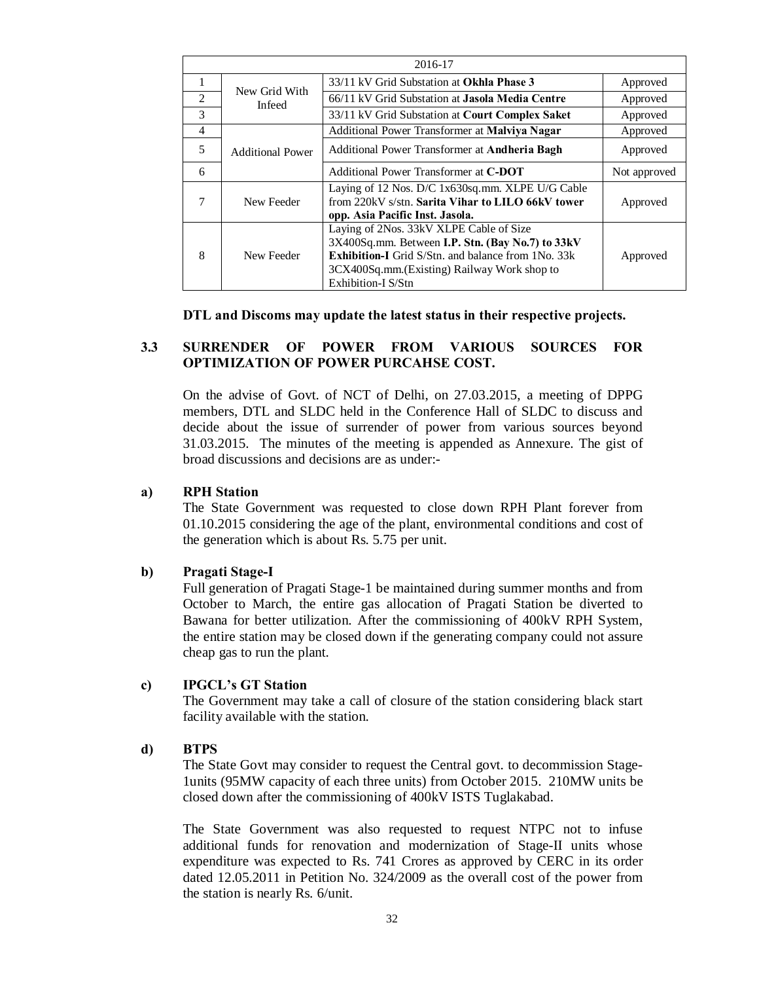|   | 2016-17                 |                                                                                                                                                                                                                                |              |  |  |
|---|-------------------------|--------------------------------------------------------------------------------------------------------------------------------------------------------------------------------------------------------------------------------|--------------|--|--|
| 1 |                         | 33/11 kV Grid Substation at <b>Okhla Phase 3</b>                                                                                                                                                                               | Approved     |  |  |
| 2 | New Grid With<br>Infeed | 66/11 kV Grid Substation at <b>Jasola Media Centre</b>                                                                                                                                                                         | Approved     |  |  |
| 3 |                         | 33/11 kV Grid Substation at Court Complex Saket                                                                                                                                                                                | Approved     |  |  |
| 4 |                         | Additional Power Transformer at Malviya Nagar                                                                                                                                                                                  | Approved     |  |  |
| 5 | <b>Additional Power</b> | Additional Power Transformer at Andheria Bagh                                                                                                                                                                                  |              |  |  |
| 6 |                         | Additional Power Transformer at C-DOT                                                                                                                                                                                          | Not approved |  |  |
|   | New Feeder              | Laying of 12 Nos. D/C 1x630sq.mm. XLPE U/G Cable<br>from 220kV s/stn. Sarita Vihar to LILO 66kV tower<br>opp. Asia Pacific Inst. Jasola.                                                                                       | Approved     |  |  |
| 8 | New Feeder              | Laying of 2Nos. 33kV XLPE Cable of Size<br>3X400Sq.mm. Between I.P. Stn. (Bay No.7) to 33kV<br><b>Exhibition-I</b> Grid S/Stn. and balance from 1No. 33k<br>3CX400Sq.mm. (Existing) Railway Work shop to<br>Exhibition-I S/Stn | Approved     |  |  |

### **DTL and Discoms may update the latest status in their respective projects.**

## **3.3 SURRENDER OF POWER FROM VARIOUS SOURCES FOR OPTIMIZATION OF POWER PURCAHSE COST.**

On the advise of Govt. of NCT of Delhi, on 27.03.2015, a meeting of DPPG members, DTL and SLDC held in the Conference Hall of SLDC to discuss and decide about the issue of surrender of power from various sources beyond 31.03.2015. The minutes of the meeting is appended as Annexure. The gist of broad discussions and decisions are as under:-

### **a) RPH Station**

The State Government was requested to close down RPH Plant forever from 01.10.2015 considering the age of the plant, environmental conditions and cost of the generation which is about Rs. 5.75 per unit.

### **b) Pragati Stage-I**

Full generation of Pragati Stage-1 be maintained during summer months and from October to March, the entire gas allocation of Pragati Station be diverted to Bawana for better utilization. After the commissioning of 400kV RPH System, the entire station may be closed down if the generating company could not assure cheap gas to run the plant.

### **c) IPGCL's GT Station**

The Government may take a call of closure of the station considering black start facility available with the station.

### **d) BTPS**

The State Govt may consider to request the Central govt. to decommission Stage-1units (95MW capacity of each three units) from October 2015. 210MW units be closed down after the commissioning of 400kV ISTS Tuglakabad.

The State Government was also requested to request NTPC not to infuse additional funds for renovation and modernization of Stage-II units whose expenditure was expected to Rs. 741 Crores as approved by CERC in its order dated 12.05.2011 in Petition No. 324/2009 as the overall cost of the power from the station is nearly Rs. 6/unit.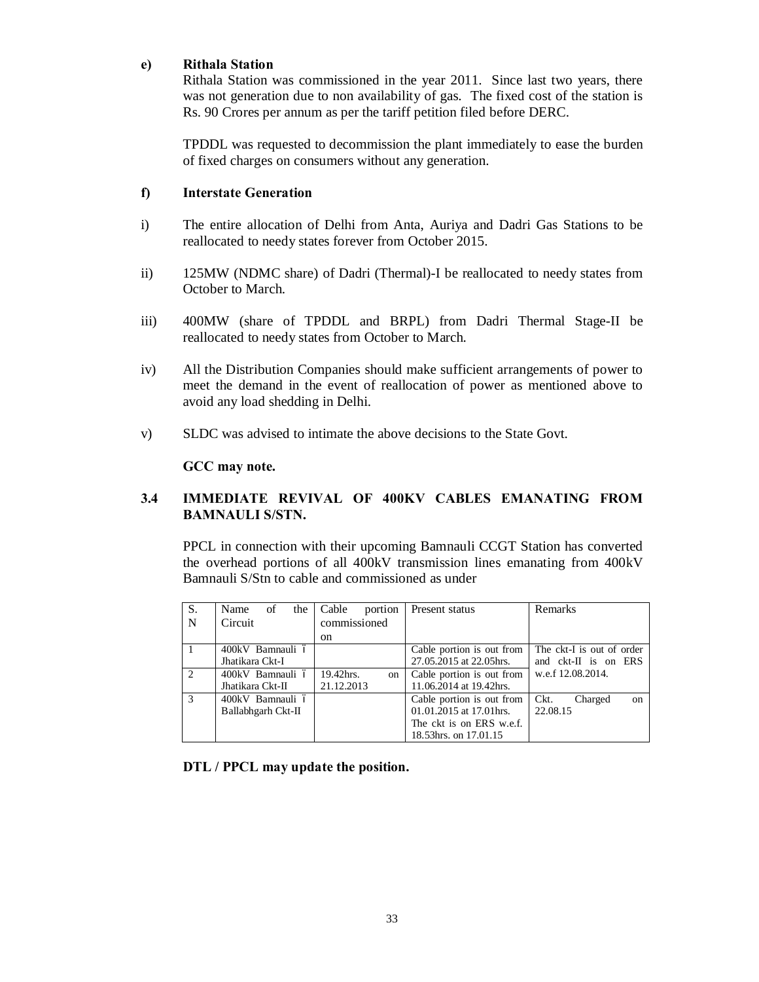### **e) Rithala Station**

Rithala Station was commissioned in the year 2011. Since last two years, there was not generation due to non availability of gas. The fixed cost of the station is Rs. 90 Crores per annum as per the tariff petition filed before DERC.

TPDDL was requested to decommission the plant immediately to ease the burden of fixed charges on consumers without any generation.

## **f) Interstate Generation**

- i) The entire allocation of Delhi from Anta, Auriya and Dadri Gas Stations to be reallocated to needy states forever from October 2015.
- ii) 125MW (NDMC share) of Dadri (Thermal)-I be reallocated to needy states from October to March.
- iii) 400MW (share of TPDDL and BRPL) from Dadri Thermal Stage-II be reallocated to needy states from October to March.
- iv) All the Distribution Companies should make sufficient arrangements of power to meet the demand in the event of reallocation of power as mentioned above to avoid any load shedding in Delhi.
- v) SLDC was advised to intimate the above decisions to the State Govt.

### **GCC may note.**

# **3.4 IMMEDIATE REVIVAL OF 400KV CABLES EMANATING FROM BAMNAULI S/STN.**

PPCL in connection with their upcoming Bamnauli CCGT Station has converted the overhead portions of all 400kV transmission lines emanating from 400kV Bamnauli S/Stn to cable and commissioned as under

| S.            | Name<br>the<br>of  | Cable<br>portion | Present status            | Remarks                          |
|---------------|--------------------|------------------|---------------------------|----------------------------------|
| N             | Circuit            | commissioned     |                           |                                  |
|               |                    | on.              |                           |                                  |
|               | 400kV Bamnauli ó   |                  | Cable portion is out from | The ckt-I is out of order        |
|               | Jhatikara Ckt-I    |                  | 27.05.2015 at 22.05hrs.   | and ckt-II is on ERS             |
| $\mathcal{L}$ | 400kV Bamnauli ó   | 19.42hrs.<br>on  | Cable portion is out from | w.e.f 12.08.2014.                |
|               | Jhatikara Ckt-II   | 21.12.2013       | 11.06.2014 at 19.42hrs.   |                                  |
| $\mathcal{R}$ | 400kV Bamnauli ó   |                  | Cable portion is out from | Ckt.<br>Charged<br><sub>on</sub> |
|               | Ballabhgarh Ckt-II |                  | 01.01.2015 at 17.01 hrs.  | 22.08.15                         |
|               |                    |                  | The ckt is on ERS w.e.f.  |                                  |
|               |                    |                  | 18.53hrs. on 17.01.15     |                                  |

**DTL / PPCL may update the position.**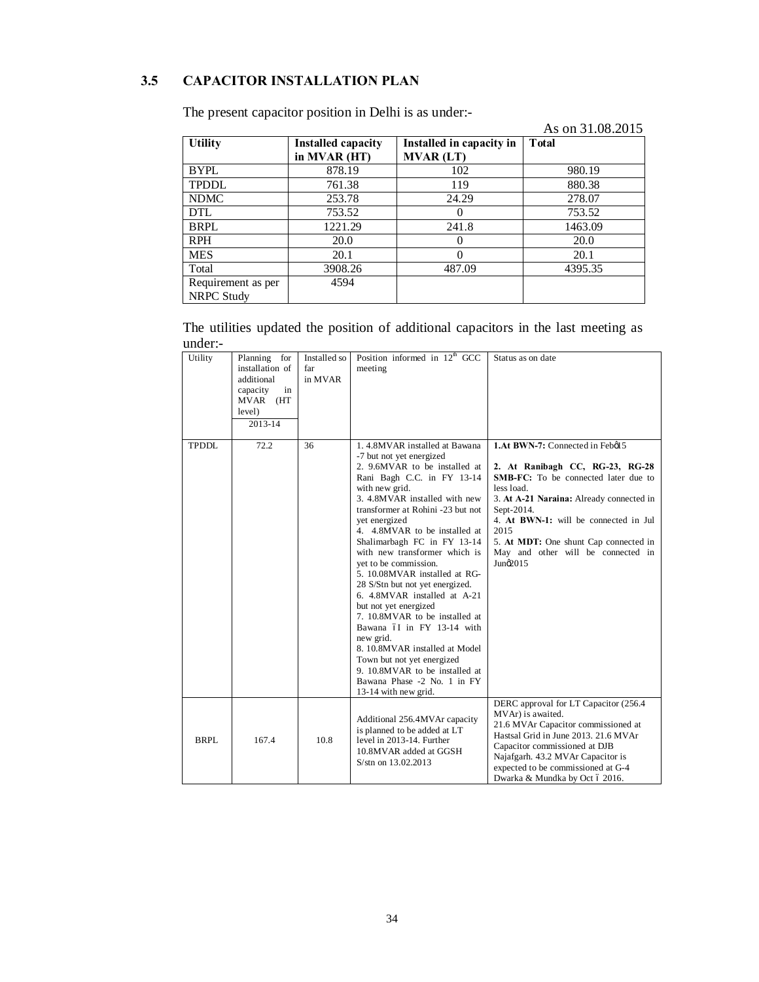# **3.5 CAPACITOR INSTALLATION PLAN**

|                    |                           |                          | As on 31.08.2015 |
|--------------------|---------------------------|--------------------------|------------------|
| <b>Utility</b>     | <b>Installed capacity</b> | Installed in capacity in | <b>T</b> otal    |
|                    | in MVAR (HT)              | <b>MVAR (LT)</b>         |                  |
| <b>BYPL</b>        | 878.19                    | 102                      | 980.19           |
| <b>TPDDL</b>       | 761.38                    | 119                      | 880.38           |
| <b>NDMC</b>        | 253.78                    | 24.29                    | 278.07           |
| DTL                | 753.52                    | 0                        | 753.52           |
| BRPL               | 1221.29                   | 241.8                    | 1463.09          |
| <b>RPH</b>         | 20.0                      | $\Omega$                 | 20.0             |
| <b>MES</b>         | 20.1                      | 0                        | 20.1             |
| Total              | 3908.26                   | 487.09                   | 4395.35          |
| Requirement as per | 4594                      |                          |                  |
| <b>NRPC Study</b>  |                           |                          |                  |

The present capacitor position in Delhi is as under:-

The utilities updated the position of additional capacitors in the last meeting as under:-

| Utility      | Planning for<br>installation of<br>additional<br>in<br>capacity<br>MVAR (HT<br>level)<br>2013-14 | Installed so<br>far<br>in MVAR | Position informed in 12 <sup>th</sup> GCC<br>meeting                                                                                                                                                                                                                                                                                                                                                                                                                                                                                                                                                                                                                                                                           | Status as on date                                                                                                                                                                                                                                                                                                                      |
|--------------|--------------------------------------------------------------------------------------------------|--------------------------------|--------------------------------------------------------------------------------------------------------------------------------------------------------------------------------------------------------------------------------------------------------------------------------------------------------------------------------------------------------------------------------------------------------------------------------------------------------------------------------------------------------------------------------------------------------------------------------------------------------------------------------------------------------------------------------------------------------------------------------|----------------------------------------------------------------------------------------------------------------------------------------------------------------------------------------------------------------------------------------------------------------------------------------------------------------------------------------|
| <b>TPDDL</b> | 72.2                                                                                             | 36                             | 1.4.8MVAR installed at Bawana<br>-7 but not yet energized<br>2. 9.6MVAR to be installed at<br>Rani Bagh C.C. in FY 13-14<br>with new grid.<br>3. 4.8MVAR installed with new<br>transformer at Rohini -23 but not<br>vet energized<br>4. 4.8MVAR to be installed at<br>Shalimarbagh FC in FY 13-14<br>with new transformer which is<br>vet to be commission.<br>5. 10.08MVAR installed at RG-<br>28 S/Stn but not yet energized.<br>6. 4.8MVAR installed at A-21<br>but not yet energized<br>7. 10.8MVAR to be installed at<br>Bawana óI in FY 13-14 with<br>new grid.<br>8. 10.8MVAR installed at Model<br>Town but not yet energized<br>9. 10.8MVAR to be installed at<br>Bawana Phase -2 No. 1 in FY<br>13-14 with new grid. | 1.At BWN-7: Connected in Febøl 5<br>2. At Ranibagh CC, RG-23, RG-28<br><b>SMB-FC:</b> To be connected later due to<br>less load.<br>3. At A-21 Naraina: Already connected in<br>Sept-2014.<br>4. At BWN-1: will be connected in Jul<br>2015<br>5. At MDT: One shunt Cap connected in<br>May and other will be connected in<br>Juno2015 |
| BRPL         | 167.4                                                                                            | 10.8                           | Additional 256.4MVAr capacity<br>is planned to be added at LT<br>level in 2013-14. Further<br>10.8MVAR added at GGSH<br>S/stn on 13.02.2013                                                                                                                                                                                                                                                                                                                                                                                                                                                                                                                                                                                    | DERC approval for LT Capacitor (256.4<br>MVAr) is awaited.<br>21.6 MVAr Capacitor commissioned at<br>Hastsal Grid in June 2013. 21.6 MVAr<br>Capacitor commissioned at DJB<br>Najafgarh. 43.2 MVAr Capacitor is<br>expected to be commissioned at G-4<br>Dwarka & Mundka by Oct ó 2016.                                                |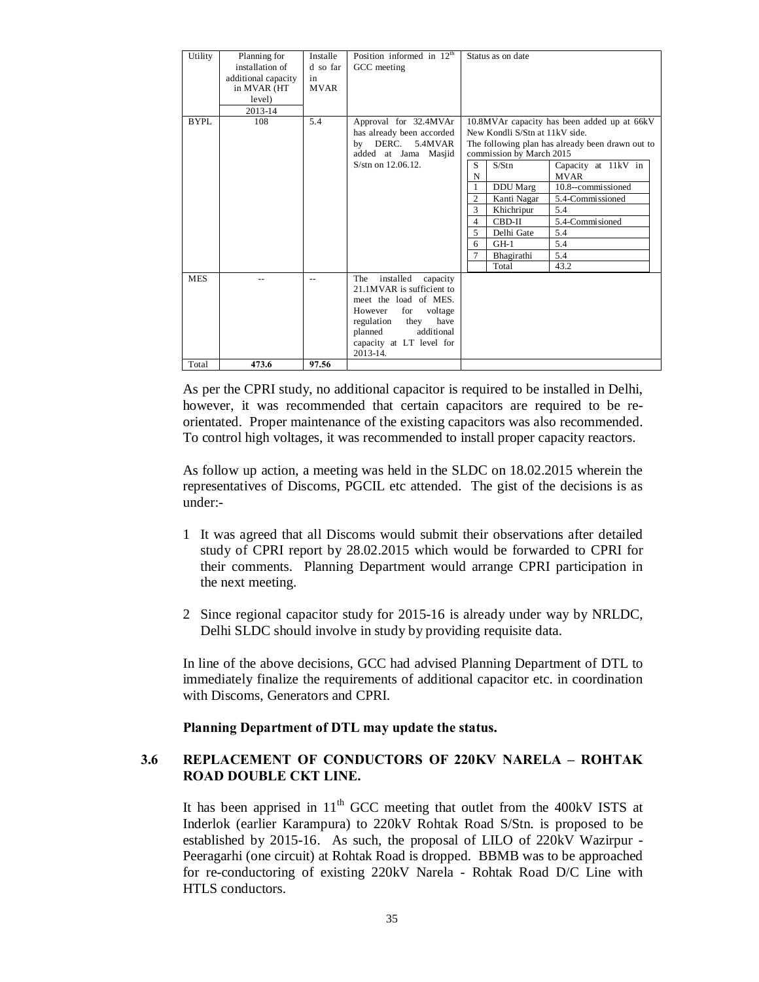| Utility             | Planning for<br>installation of<br>additional capacity<br>in MVAR (HT<br>level)<br>2013-14 | Installe<br>d so far<br>in<br><b>MVAR</b> | Position informed in $12th$<br>GCC meeting                                                                                                                                                                     | Status as on date                                                                                                                                                                                                                                                                                                                                                                                                                                               |
|---------------------|--------------------------------------------------------------------------------------------|-------------------------------------------|----------------------------------------------------------------------------------------------------------------------------------------------------------------------------------------------------------------|-----------------------------------------------------------------------------------------------------------------------------------------------------------------------------------------------------------------------------------------------------------------------------------------------------------------------------------------------------------------------------------------------------------------------------------------------------------------|
| BYPL                | 108                                                                                        | 5.4                                       | Approval for 32.4MVAr<br>has already been accorded<br>DERC.<br>5.4MVAR<br>bv<br>added at Jama Masjid<br>S/stn on 12.06.12.                                                                                     | 10.8MVAr capacity has been added up at 66kV<br>New Kondli S/Stn at 11kV side.<br>The following plan has already been drawn out to<br>commission by March 2015<br>S<br>S/Stn<br>Capacity at 11kV in<br>N<br><b>MVAR</b><br>10.8--commissioned<br>DDU Marg<br>$\overline{c}$<br>Kanti Nagar<br>5.4-Commissioned<br>3<br>5.4<br>Khichripur<br>5.4-Commisioned<br>CBD-II<br>4<br>5.4<br>5<br>Delhi Gate<br>5.4<br>$GH-1$<br>6<br>5.4<br>Bhagirathi<br>Total<br>43.2 |
| <b>MES</b><br>Total | 473.6                                                                                      | $-$<br>97.56                              | installed<br>capacity<br>The<br>21.1MVAR is sufficient to<br>meet the load of MES.<br>for<br>However<br>voltage<br>regulation<br>they<br>have<br>planned<br>additional<br>capacity at LT level for<br>2013-14. |                                                                                                                                                                                                                                                                                                                                                                                                                                                                 |
|                     |                                                                                            |                                           |                                                                                                                                                                                                                |                                                                                                                                                                                                                                                                                                                                                                                                                                                                 |

As per the CPRI study, no additional capacitor is required to be installed in Delhi, however, it was recommended that certain capacitors are required to be reorientated. Proper maintenance of the existing capacitors was also recommended. To control high voltages, it was recommended to install proper capacity reactors.

As follow up action, a meeting was held in the SLDC on 18.02.2015 wherein the representatives of Discoms, PGCIL etc attended. The gist of the decisions is as under:-

- 1 It was agreed that all Discoms would submit their observations after detailed study of CPRI report by 28.02.2015 which would be forwarded to CPRI for their comments. Planning Department would arrange CPRI participation in the next meeting.
- 2 Since regional capacitor study for 2015-16 is already under way by NRLDC, Delhi SLDC should involve in study by providing requisite data.

In line of the above decisions, GCC had advised Planning Department of DTL to immediately finalize the requirements of additional capacitor etc. in coordination with Discoms, Generators and CPRI.

### **Planning Department of DTL may update the status.**

## **3.6 REPLACEMENT OF CONDUCTORS OF 220KV NARELA – ROHTAK ROAD DOUBLE CKT LINE.**

It has been apprised in  $11<sup>th</sup>$  GCC meeting that outlet from the 400kV ISTS at Inderlok (earlier Karampura) to 220kV Rohtak Road S/Stn. is proposed to be established by 2015-16. As such, the proposal of LILO of 220kV Wazirpur - Peeragarhi (one circuit) at Rohtak Road is dropped. BBMB was to be approached for re-conductoring of existing 220kV Narela - Rohtak Road D/C Line with HTLS conductors.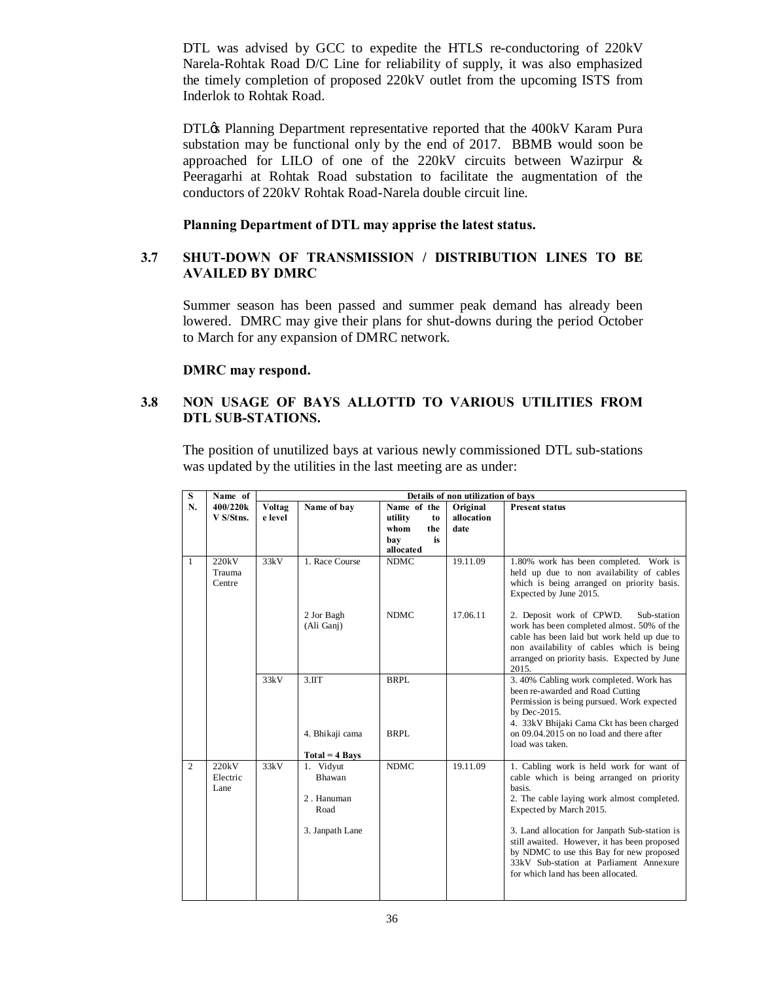DTL was advised by GCC to expedite the HTLS re-conductoring of 220kV Narela-Rohtak Road D/C Line for reliability of supply, it was also emphasized the timely completion of proposed 220kV outlet from the upcoming ISTS from Inderlok to Rohtak Road.

DTL $\alpha$  Planning Department representative reported that the 400kV Karam Pura substation may be functional only by the end of 2017. BBMB would soon be approached for LILO of one of the 220kV circuits between Wazirpur & Peeragarhi at Rohtak Road substation to facilitate the augmentation of the conductors of 220kV Rohtak Road-Narela double circuit line.

**Planning Department of DTL may apprise the latest status.**

### **3.7 SHUT-DOWN OF TRANSMISSION / DISTRIBUTION LINES TO BE AVAILED BY DMRC**

Summer season has been passed and summer peak demand has already been lowered. DMRC may give their plans for shut-downs during the period October to March for any expansion of DMRC network.

### **DMRC may respond.**

## **3.8 NON USAGE OF BAYS ALLOTTD TO VARIOUS UTILITIES FROM DTL SUB-STATIONS.**

The position of unutilized bays at various newly commissioned DTL sub-stations was updated by the utilities in the last meeting are as under:

| S              | Name of                   | Details of non utilization of bays |                                                              |                     |            |                                                                                                                                                                                                                                                                                                                                                                                                        |  |  |
|----------------|---------------------------|------------------------------------|--------------------------------------------------------------|---------------------|------------|--------------------------------------------------------------------------------------------------------------------------------------------------------------------------------------------------------------------------------------------------------------------------------------------------------------------------------------------------------------------------------------------------------|--|--|
| N.             | 400/220k                  | Voltag                             | Name of bay                                                  | Name of the         | Original   | <b>Present status</b>                                                                                                                                                                                                                                                                                                                                                                                  |  |  |
|                | V S/Stns.                 | e level                            |                                                              | utility<br>to       | allocation |                                                                                                                                                                                                                                                                                                                                                                                                        |  |  |
|                |                           |                                    |                                                              | whom<br>the         | date       |                                                                                                                                                                                                                                                                                                                                                                                                        |  |  |
|                |                           |                                    |                                                              | is<br>bay           |            |                                                                                                                                                                                                                                                                                                                                                                                                        |  |  |
|                |                           |                                    |                                                              | allocated           |            |                                                                                                                                                                                                                                                                                                                                                                                                        |  |  |
| $\mathbf{1}$   | 220kV<br>Trauma<br>Centre | 33kV                               | 1. Race Course                                               | <b>NDMC</b>         | 19.11.09   | 1.80% work has been completed. Work is<br>held up due to non availability of cables<br>which is being arranged on priority basis.<br>Expected by June 2015.                                                                                                                                                                                                                                            |  |  |
|                |                           |                                    | 2 Jor Bagh<br>(Ali Ganj)                                     | <b>NDMC</b>         | 17.06.11   | 2. Deposit work of CPWD.<br>Sub-station<br>work has been completed almost. 50% of the<br>cable has been laid but work held up due to<br>non availability of cables which is being<br>arranged on priority basis. Expected by June<br>2015.                                                                                                                                                             |  |  |
|                |                           | 33kV                               | 3.1TT<br>4. Bhikaji cama<br>$Total = 4$ Bays                 | <b>BRPL</b><br>BRPL |            | 3.40% Cabling work completed. Work has<br>been re-awarded and Road Cutting<br>Permission is being pursued. Work expected<br>by Dec-2015.<br>4. 33kV Bhijaki Cama Ckt has been charged<br>on 09.04.2015 on no load and there after<br>load was taken.                                                                                                                                                   |  |  |
| $\overline{2}$ | 220kV<br>Electric<br>Lane | 33kV                               | 1. Vidyut<br>Bhawan<br>2. Hanuman<br>Road<br>3. Janpath Lane | <b>NDMC</b>         | 19.11.09   | 1. Cabling work is held work for want of<br>cable which is being arranged on priority<br>basis.<br>2. The cable laying work almost completed.<br>Expected by March 2015.<br>3. Land allocation for Janpath Sub-station is<br>still awaited. However, it has been proposed<br>by NDMC to use this Bay for new proposed<br>33kV Sub-station at Parliament Annexure<br>for which land has been allocated. |  |  |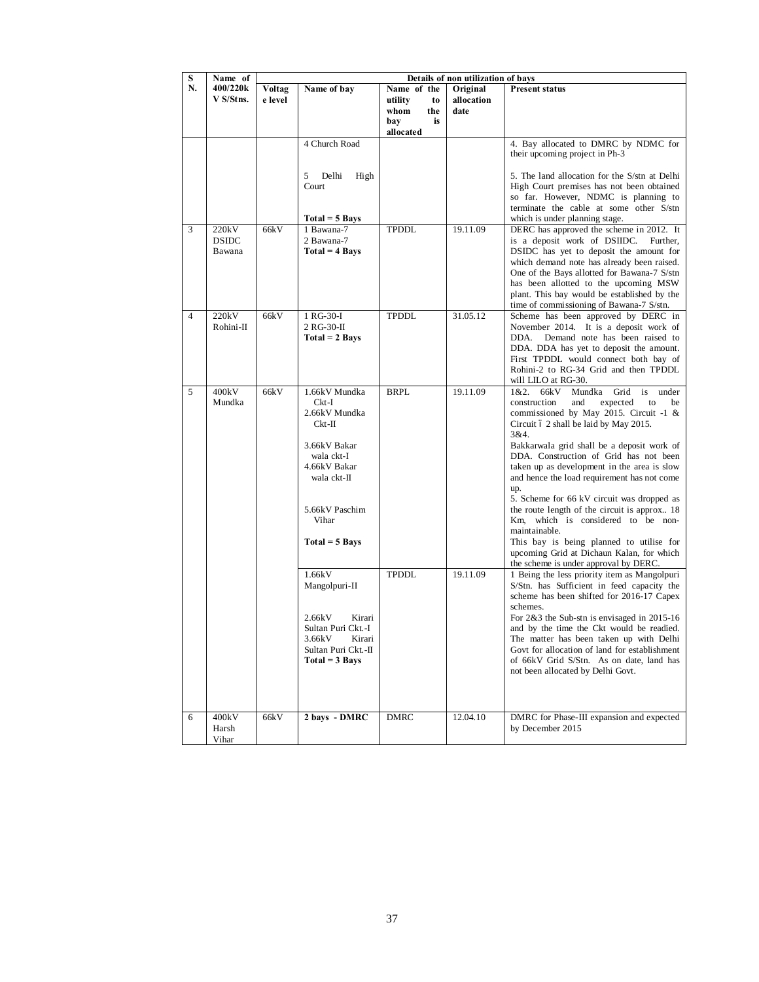| S  | Name of                         | Details of non utilization of bays |                                                                                                                                                                                                                  |                                       |                        |                                                                                                                                                                                                                                                                                                                                                                                                                                                                                                                                                                                                                                                                                                                                                                                                                                                                                |  |
|----|---------------------------------|------------------------------------|------------------------------------------------------------------------------------------------------------------------------------------------------------------------------------------------------------------|---------------------------------------|------------------------|--------------------------------------------------------------------------------------------------------------------------------------------------------------------------------------------------------------------------------------------------------------------------------------------------------------------------------------------------------------------------------------------------------------------------------------------------------------------------------------------------------------------------------------------------------------------------------------------------------------------------------------------------------------------------------------------------------------------------------------------------------------------------------------------------------------------------------------------------------------------------------|--|
| N. | 400/220k<br>V S/Stns.           | Voltag<br>e level                  | Name of bay                                                                                                                                                                                                      | Name of the<br>utility<br>to          | Original<br>allocation | <b>Present status</b>                                                                                                                                                                                                                                                                                                                                                                                                                                                                                                                                                                                                                                                                                                                                                                                                                                                          |  |
|    |                                 |                                    |                                                                                                                                                                                                                  | whom<br>the<br>bay<br>is<br>allocated | date                   |                                                                                                                                                                                                                                                                                                                                                                                                                                                                                                                                                                                                                                                                                                                                                                                                                                                                                |  |
|    |                                 |                                    | 4 Church Road                                                                                                                                                                                                    |                                       |                        | 4. Bay allocated to DMRC by NDMC for<br>their upcoming project in Ph-3                                                                                                                                                                                                                                                                                                                                                                                                                                                                                                                                                                                                                                                                                                                                                                                                         |  |
|    |                                 |                                    | Delhi<br>High<br>5<br>Court                                                                                                                                                                                      |                                       |                        | 5. The land allocation for the S/stn at Delhi<br>High Court premises has not been obtained<br>so far. However, NDMC is planning to<br>terminate the cable at some other S/stn                                                                                                                                                                                                                                                                                                                                                                                                                                                                                                                                                                                                                                                                                                  |  |
| 3  | 220kV<br><b>DSIDC</b><br>Bawana | 66kV                               | $Total = 5$ Bays<br>1 Bawana-7<br>2 Bawana-7<br>$Total = 4 \, Bays$                                                                                                                                              | <b>TPDDL</b>                          | 19.11.09               | which is under planning stage.<br>DERC has approved the scheme in 2012. It<br>is a deposit work of DSIIDC. Further,<br>DSIDC has yet to deposit the amount for<br>which demand note has already been raised.<br>One of the Bays allotted for Bawana-7 S/stn<br>has been allotted to the upcoming MSW<br>plant. This bay would be established by the<br>time of commissioning of Bawana-7 S/stn.                                                                                                                                                                                                                                                                                                                                                                                                                                                                                |  |
| 4  | 220kV<br>Rohini-II              | 66kV                               | 1 RG-30-I<br>2 RG-30-II<br>$Total = 2 \, Bays$                                                                                                                                                                   | TPDDL                                 | 31.05.12               | Scheme has been approved by DERC in<br>November 2014. It is a deposit work of<br>DDA.<br>Demand note has been raised to<br>DDA. DDA has yet to deposit the amount.<br>First TPDDL would connect both bay of<br>Rohini-2 to RG-34 Grid and then TPDDL<br>will LILO at RG-30.                                                                                                                                                                                                                                                                                                                                                                                                                                                                                                                                                                                                    |  |
| 5  | 400kV<br>Mundka                 | 66kV                               | 1.66kV Mundka<br>$Ckt-I$<br>2.66kV Mundka<br>$Ckt-II$<br>3.66kV Bakar<br>wala ckt-I<br>4.66kV Bakar<br>wala ckt-II<br>5.66kV Paschim<br>Vihar<br>$Total = 5$ Bays<br>1.66kV<br>Mangolpuri-II<br>2.66kV<br>Kirari | <b>BRPL</b><br><b>TPDDL</b>           | 19.11.09<br>19.11.09   | 1&2. 66kV<br>Mundka<br>Grid is<br>under<br>construction<br>and<br>expected<br>to<br>be<br>commissioned by May 2015. Circuit -1 &<br>Circuit ó 2 shall be laid by May 2015.<br>3&4.<br>Bakkarwala grid shall be a deposit work of<br>DDA. Construction of Grid has not been<br>taken up as development in the area is slow<br>and hence the load requirement has not come<br>up.<br>5. Scheme for 66 kV circuit was dropped as<br>the route length of the circuit is approx 18<br>Km, which is considered to be non-<br>maintainable.<br>This bay is being planned to utilise for<br>upcoming Grid at Dichaun Kalan, for which<br>the scheme is under approval by DERC.<br>1 Being the less priority item as Mangolpuri<br>S/Stn. has Sufficient in feed capacity the<br>scheme has been shifted for 2016-17 Capex<br>schemes.<br>For $2&3$ the Sub-stn is envisaged in 2015-16 |  |
|    |                                 |                                    | Sultan Puri Ckt.-I<br>3.66kV<br>Kirari<br>Sultan Puri Ckt.-II<br>$Total = 3 \; Bays$                                                                                                                             |                                       |                        | and by the time the Ckt would be readied.<br>The matter has been taken up with Delhi<br>Govt for allocation of land for establishment<br>of 66kV Grid S/Stn. As on date, land has<br>not been allocated by Delhi Govt.                                                                                                                                                                                                                                                                                                                                                                                                                                                                                                                                                                                                                                                         |  |
| 6  | 400kV<br>Harsh<br>Vihar         | 66kV                               | 2 bays - DMRC                                                                                                                                                                                                    | <b>DMRC</b>                           | 12.04.10               | DMRC for Phase-III expansion and expected<br>by December 2015                                                                                                                                                                                                                                                                                                                                                                                                                                                                                                                                                                                                                                                                                                                                                                                                                  |  |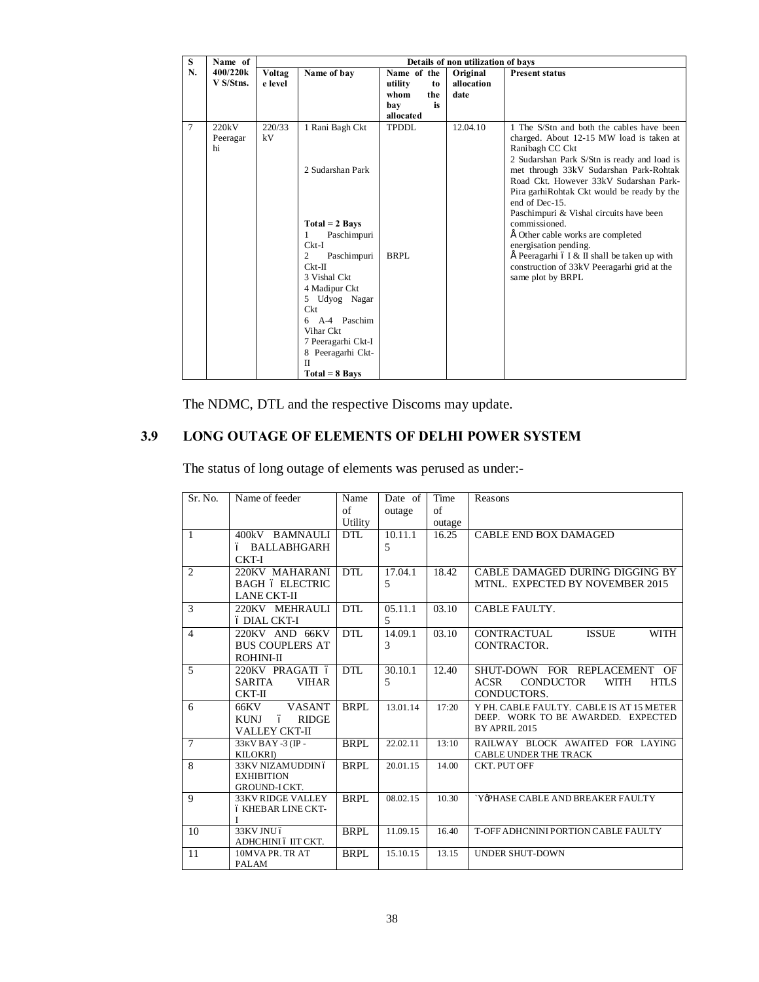| S      | Name of   | Details of non utilization of bays |                                  |               |            |                                                                                       |  |  |
|--------|-----------|------------------------------------|----------------------------------|---------------|------------|---------------------------------------------------------------------------------------|--|--|
| N.     | 400/220k  | Voltag                             | Name of bay                      | Name of the   | Original   | <b>Present status</b>                                                                 |  |  |
|        | V S/Stns. | e level                            |                                  | utility<br>to | allocation |                                                                                       |  |  |
|        |           |                                    |                                  | whom<br>the   | date       |                                                                                       |  |  |
|        |           |                                    |                                  | is<br>bay     |            |                                                                                       |  |  |
|        |           |                                    |                                  | allocated     |            |                                                                                       |  |  |
| $\tau$ | 220kV     | 220/33                             | 1 Rani Bagh Ckt                  | TPDDL         | 12.04.10   | 1 The S/Stn and both the cables have been                                             |  |  |
|        | Peeragar  | kV                                 |                                  |               |            | charged. About 12-15 MW load is taken at                                              |  |  |
|        | hi        |                                    |                                  |               |            | Ranibagh CC Ckt                                                                       |  |  |
|        |           |                                    | 2 Sudarshan Park                 |               |            | 2 Sudarshan Park S/Stn is ready and load is<br>met through 33kV Sudarshan Park-Rohtak |  |  |
|        |           |                                    |                                  |               |            | Road Ckt. However 33kV Sudarshan Park-                                                |  |  |
|        |           |                                    |                                  |               |            | Pira garhiRohtak Ckt would be ready by the                                            |  |  |
|        |           |                                    |                                  |               |            | end of Dec-15.                                                                        |  |  |
|        |           |                                    |                                  |               |            | Paschimpuri & Vishal circuits have been                                               |  |  |
|        |           |                                    | $Total = 2$ Bays                 |               |            | commissioned.                                                                         |  |  |
|        |           |                                    | Paschimpuri<br>1                 |               |            | É Other cable works are completed                                                     |  |  |
|        |           |                                    | $Ckt-I$                          |               |            | energisation pending.                                                                 |  |  |
|        |           |                                    | 2<br>Paschimpuri                 | BRPL          |            | $\hat{E}$ Peeragarhi ó I & II shall be taken up with                                  |  |  |
|        |           |                                    | $Ckt-II$                         |               |            | construction of 33kV Peeragarhi grid at the                                           |  |  |
|        |           |                                    | 3 Vishal Ckt                     |               |            | same plot by BRPL                                                                     |  |  |
|        |           |                                    | 4 Madipur Ckt                    |               |            |                                                                                       |  |  |
|        |           |                                    | 5 Udyog Nagar<br>C <sub>kt</sub> |               |            |                                                                                       |  |  |
|        |           |                                    | 6 A-4 Paschim                    |               |            |                                                                                       |  |  |
|        |           |                                    | Vihar Ckt                        |               |            |                                                                                       |  |  |
|        |           |                                    | 7 Peeragarhi Ckt-I               |               |            |                                                                                       |  |  |
|        |           |                                    | 8 Peeragarhi Ckt-                |               |            |                                                                                       |  |  |
|        |           |                                    | $_{\rm II}$                      |               |            |                                                                                       |  |  |
|        |           |                                    | $Total = 8 \, \text{Bays}$       |               |            |                                                                                       |  |  |

The NDMC, DTL and the respective Discoms may update.

# **3.9 LONG OUTAGE OF ELEMENTS OF DELHI POWER SYSTEM**

The status of long outage of elements was perused as under:-

| Sr. No.         | Name of feeder                    | Name        | Date of        | Time   | Reasons                                                |
|-----------------|-----------------------------------|-------------|----------------|--------|--------------------------------------------------------|
|                 |                                   | of          | outage         | of     |                                                        |
|                 |                                   | Utility     |                | outage |                                                        |
| $\overline{1}$  | 400kV BAMNAULI                    | <b>DTL</b>  | 10.11.1        | 16.25  | <b>CABLE END BOX DAMAGED</b>                           |
|                 | ó BALLABHGARH                     |             | $\overline{5}$ |        |                                                        |
|                 | CKT-I                             |             |                |        |                                                        |
| $\overline{2}$  | 220KV MAHARANI                    | DTL         | 17.04.1        | 18.42  | CABLE DAMAGED DURING DIGGING BY                        |
|                 | <b>BAGH 6 ELECTRIC</b>            |             | 5              |        | MTNL. EXPECTED BY NOVEMBER 2015                        |
|                 | <b>LANE CKT-II</b>                |             |                |        |                                                        |
| 3               | 220KV MEHRAULI                    | <b>DTL</b>  | 05.11.1        | 03.10  | CABLE FAULTY.                                          |
|                 | ó DIAL CKT-I                      |             | 5              |        |                                                        |
| $\overline{4}$  | 220KV AND 66KV                    | <b>DTL</b>  | 14.09.1        | 03.10  | <b>WITH</b><br><b>ISSUE</b><br><b>CONTRACTUAL</b>      |
|                 | <b>BUS COUPLERS AT</b>            |             | 3              |        | CONTRACTOR.                                            |
|                 | ROHINI-II                         |             |                |        |                                                        |
| 5               | 220KV PRAGATI ó                   | DTL         | 30.10.1        | 12.40  | SHUT-DOWN FOR REPLACEMENT OF                           |
|                 | <b>VIHAR</b><br>SARITA            |             | 5              |        | <b>CONDUCTOR</b><br><b>ACSR</b><br>WITH<br><b>HTLS</b> |
|                 | $CKT-II$                          |             |                |        | CONDUCTORS.                                            |
| 6               | VASANT<br>66KV                    | <b>BRPL</b> | 13.01.14       | 17:20  | Y PH. CABLE FAULTY. CABLE IS AT 15 METER               |
|                 | <b>RIDGE</b><br><b>KUNJ</b><br>ó  |             |                |        | DEEP. WORK TO BE AWARDED. EXPECTED                     |
|                 | <b>VALLEY CKT-II</b>              |             |                |        | BY APRIL 2015                                          |
| $7\phantom{.0}$ | 33KV BAY -3 (IP -                 | <b>BRPL</b> | 22.02.11       | 13:10  | RAILWAY BLOCK AWAITED FOR LAYING                       |
|                 | <b>KILOKRI</b> )                  |             |                |        | <b>CABLE UNDER THE TRACK</b>                           |
| 8               | 33KV NIZAMUDDIN ó                 | BRPL        | 20.01.15       | 14.00  | <b>CKT. PUT OFF</b>                                    |
|                 | <b>EXHIBITION</b><br>GROUND-ICKT. |             |                |        |                                                        |
| 9               | 33KV RIDGE VALLEY                 | <b>BRPL</b> | 08.02.15       | 10.30  | 'Y@PHASE CABLE AND BREAKER FAULTY                      |
|                 | ó KHEBAR LINE CKT-                |             |                |        |                                                        |
|                 | $\mathbf{I}$                      |             |                |        |                                                        |
| 10              | 33KV JNU ó                        | <b>BRPL</b> | 11.09.15       | 16.40  | T-OFF ADHCNINI PORTION CABLE FAULTY                    |
|                 | ADHCHINI 6 IIT CKT.               |             |                |        |                                                        |
| -11             | 10MVAPR. TR AT                    | <b>BRPL</b> | 15.10.15       | 13.15  | <b>UNDER SHUT-DOWN</b>                                 |
|                 | PALAM                             |             |                |        |                                                        |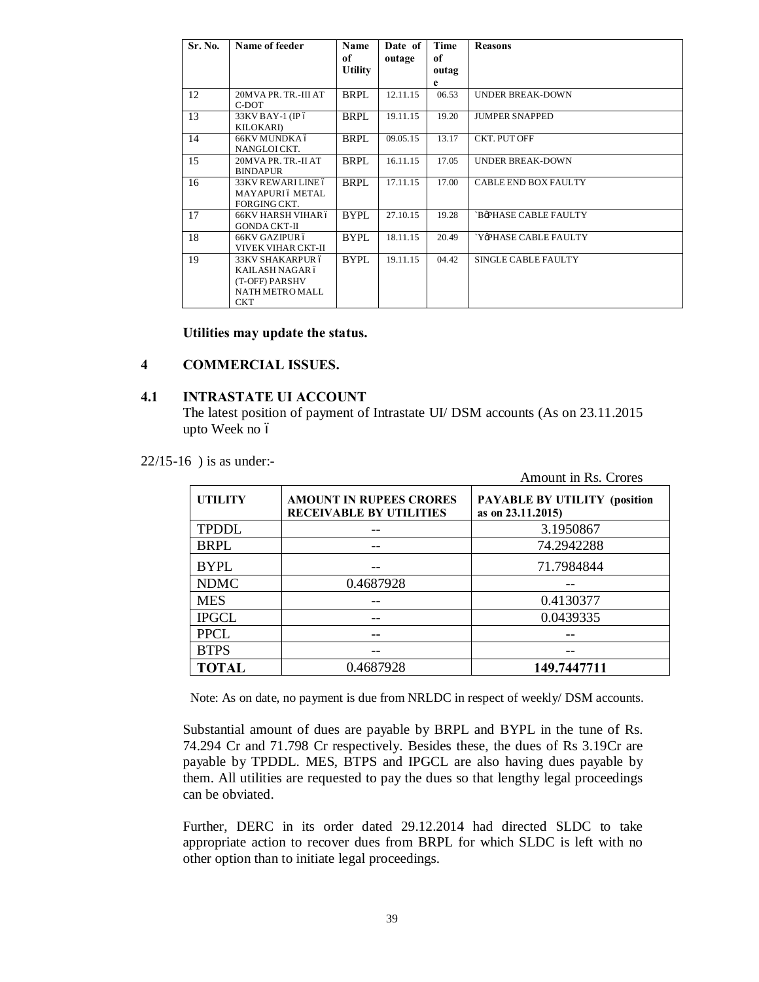| Sr. No. | Name of feeder                         | Name<br>of     | Date of<br>outage | Time<br>of | <b>Reasons</b>          |
|---------|----------------------------------------|----------------|-------------------|------------|-------------------------|
|         |                                        | <b>Utility</b> |                   | outag      |                         |
|         |                                        |                |                   | e          |                         |
| 12      | 20MVA PR. TR.-III AT<br>C-DOT          | <b>BRPL</b>    | 12.11.15          | 06.53      | <b>UNDER BREAK-DOWN</b> |
| 13      | 33KV BAY-1 (IP ó<br><b>KILOKARI</b> )  | BRPL           | 19.11.15          | 19.20      | <b>JUMPER SNAPPED</b>   |
| 14      | 66KV MUNDKA ó<br>NANGLOICKT.           | <b>BRPL</b>    | 09.05.15          | 13.17      | <b>CKT. PUT OFF</b>     |
| 15      | 20MVA PR. TR.-II AT<br><b>BINDAPUR</b> | <b>BRPL</b>    | 16.11.15          | 17.05      | <b>UNDER BREAK-DOWN</b> |
| 16      | 33KV REWARLLINE 6                      | <b>BRPL</b>    | 17.11.15          | 17.00      | CABLE END BOX FAULTY    |
|         | MAYAPURI ó METAL                       |                |                   |            |                         |
| 17      | FORGING CKT.<br>66KV HARSH VIHAR ó     | <b>BYPL</b>    | 27.10.15          | 19.28      | `BøPHASE CABLE FAULTY   |
|         | <b>GONDA CKT-II</b>                    |                |                   |            |                         |
| 18      | 66KV GAZIPUR ó                         | <b>BYPL</b>    | 18.11.15          | 20.49      | `YøPHASE CABLE FAULTY   |
|         | VIVEK VIHAR CKT-II                     |                |                   |            |                         |
| 19      | 33KV SHAKARPUR ó                       | <b>BYPL</b>    | 19.11.15          | 04.42      | SINGLE CABLE FAULTY     |
|         | KAILASH NAGAR ó                        |                |                   |            |                         |
|         | (T-OFF) PARSHV                         |                |                   |            |                         |
|         | NATH METRO MALL                        |                |                   |            |                         |
|         | <b>CKT</b>                             |                |                   |            |                         |

### **Utilities may update the status.**

### **4 COMMERCIAL ISSUES.**

### **4.1 INTRASTATE UI ACCOUNT**

The latest position of payment of Intrastate UI/ DSM accounts (As on 23.11.2015 upto Week no ó

22/15-16 ) is as under:-

|                |                                                                  | Amount in Rs. Crores                                     |  |  |  |
|----------------|------------------------------------------------------------------|----------------------------------------------------------|--|--|--|
| <b>UTILITY</b> | <b>AMOUNT IN RUPEES CRORES</b><br><b>RECEIVABLE BY UTILITIES</b> | <b>PAYABLE BY UTILITY (position</b><br>as on 23.11.2015) |  |  |  |
| <b>TPDDL</b>   |                                                                  | 3.1950867                                                |  |  |  |
| <b>BRPL</b>    |                                                                  | 74.2942288                                               |  |  |  |
| <b>BYPL</b>    |                                                                  | 71.7984844                                               |  |  |  |
| <b>NDMC</b>    | 0.4687928                                                        |                                                          |  |  |  |
| <b>MES</b>     |                                                                  | 0.4130377                                                |  |  |  |
| <b>IPGCL</b>   |                                                                  | 0.0439335                                                |  |  |  |
| <b>PPCL</b>    |                                                                  |                                                          |  |  |  |
| <b>BTPS</b>    |                                                                  |                                                          |  |  |  |
| <b>TOTAL</b>   | 0.4687928                                                        | 149.7447711                                              |  |  |  |

Note: As on date, no payment is due from NRLDC in respect of weekly/ DSM accounts.

Substantial amount of dues are payable by BRPL and BYPL in the tune of Rs. 74.294 Cr and 71.798 Cr respectively. Besides these, the dues of Rs 3.19Cr are payable by TPDDL. MES, BTPS and IPGCL are also having dues payable by them. All utilities are requested to pay the dues so that lengthy legal proceedings can be obviated.

Further, DERC in its order dated 29.12.2014 had directed SLDC to take appropriate action to recover dues from BRPL for which SLDC is left with no other option than to initiate legal proceedings.